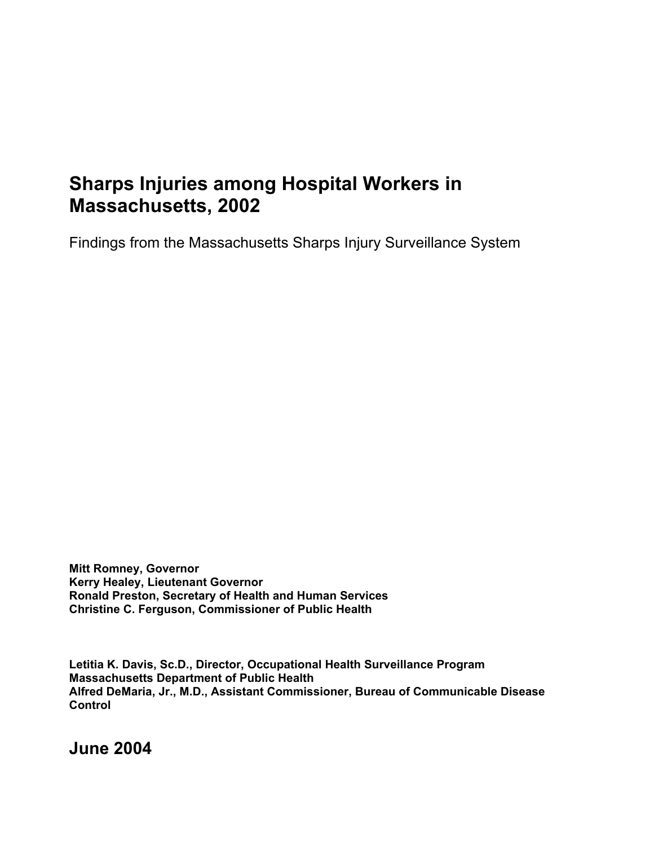# **Sharps Injuries among Hospital Workers in Massachusetts, 2002**

Findings from the Massachusetts Sharps Injury Surveillance System

**Mitt Romney, Governor Kerry Healey, Lieutenant Governor Ronald Preston, Secretary of Health and Human Services Christine C. Ferguson, Commissioner of Public Health** 

**Letitia K. Davis, Sc.D., Director, Occupational Health Surveillance Program Massachusetts Department of Public Health Alfred DeMaria, Jr., M.D., Assistant Commissioner, Bureau of Communicable Disease Control** 

**June 2004**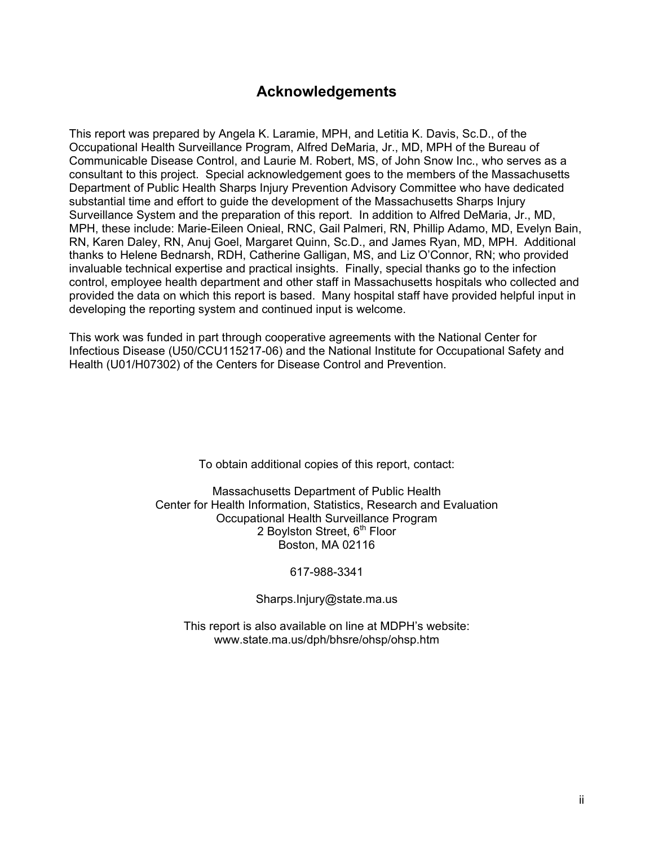## **Acknowledgements**

This report was prepared by Angela K. Laramie, MPH, and Letitia K. Davis, Sc.D., of the Occupational Health Surveillance Program, Alfred DeMaria, Jr., MD, MPH of the Bureau of Communicable Disease Control, and Laurie M. Robert, MS, of John Snow Inc., who serves as a consultant to this project. Special acknowledgement goes to the members of the Massachusetts Department of Public Health Sharps Injury Prevention Advisory Committee who have dedicated substantial time and effort to guide the development of the Massachusetts Sharps Injury Surveillance System and the preparation of this report. In addition to Alfred DeMaria, Jr., MD, MPH, these include: Marie-Eileen Onieal, RNC, Gail Palmeri, RN, Phillip Adamo, MD, Evelyn Bain, RN, Karen Daley, RN, Anuj Goel, Margaret Quinn, Sc.D., and James Ryan, MD, MPH. Additional thanks to Helene Bednarsh, RDH, Catherine Galligan, MS, and Liz O'Connor, RN; who provided invaluable technical expertise and practical insights. Finally, special thanks go to the infection control, employee health department and other staff in Massachusetts hospitals who collected and provided the data on which this report is based. Many hospital staff have provided helpful input in developing the reporting system and continued input is welcome.

This work was funded in part through cooperative agreements with the National Center for Infectious Disease (U50/CCU115217-06) and the National Institute for Occupational Safety and Health (U01/H07302) of the Centers for Disease Control and Prevention.

To obtain additional copies of this report, contact:

Massachusetts Department of Public Health Center for Health Information, Statistics, Research and Evaluation Occupational Health Surveillance Program 2 Boylston Street, 6<sup>th</sup> Floor Boston, MA 02116

#### 617-988-3341

#### Sharps.Injury@state.ma.us

This report is also available on line at MDPH's website: www.state.ma.us/dph/bhsre/ohsp/ohsp.htm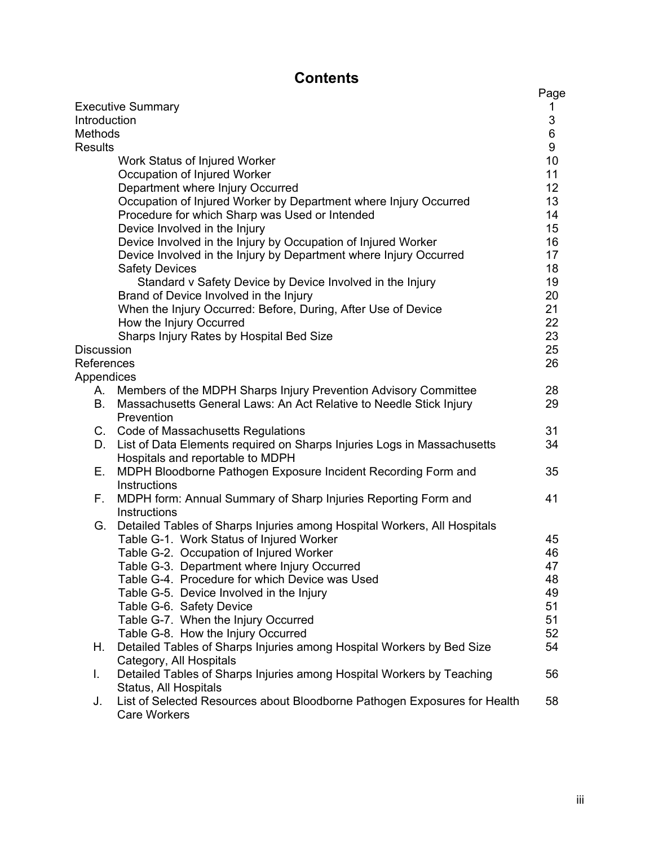## **Contents**

|                                                                                 | Page       |
|---------------------------------------------------------------------------------|------------|
| <b>Executive Summary</b>                                                        | 1          |
| Introduction                                                                    | $\sqrt{3}$ |
| Methods                                                                         | $\,6$      |
| <b>Results</b>                                                                  | 9          |
| Work Status of Injured Worker                                                   | 10         |
| Occupation of Injured Worker                                                    | 11         |
| Department where Injury Occurred                                                | 12         |
| Occupation of Injured Worker by Department where Injury Occurred                | 13         |
| Procedure for which Sharp was Used or Intended                                  | 14         |
| Device Involved in the Injury                                                   | 15         |
| Device Involved in the Injury by Occupation of Injured Worker                   | 16         |
| Device Involved in the Injury by Department where Injury Occurred               | 17         |
| <b>Safety Devices</b>                                                           | 18         |
| Standard v Safety Device by Device Involved in the Injury                       | 19         |
| Brand of Device Involved in the Injury                                          | 20         |
| When the Injury Occurred: Before, During, After Use of Device                   | 21         |
| How the Injury Occurred                                                         | 22         |
| Sharps Injury Rates by Hospital Bed Size                                        | 23         |
| <b>Discussion</b>                                                               | 25         |
| References                                                                      | 26         |
| Appendices                                                                      |            |
| Members of the MDPH Sharps Injury Prevention Advisory Committee<br>Α.           | 28         |
| Massachusetts General Laws: An Act Relative to Needle Stick Injury<br>B.        | 29         |
| Prevention                                                                      |            |
| C. Code of Massachusetts Regulations                                            | 31         |
| List of Data Elements required on Sharps Injuries Logs in Massachusetts<br>D.   | 34         |
| Hospitals and reportable to MDPH                                                |            |
| Ε.<br>MDPH Bloodborne Pathogen Exposure Incident Recording Form and             | 35         |
| Instructions                                                                    |            |
| MDPH form: Annual Summary of Sharp Injuries Reporting Form and<br>F.            | 41         |
| Instructions                                                                    |            |
| Detailed Tables of Sharps Injuries among Hospital Workers, All Hospitals<br>G.  |            |
| Table G-1. Work Status of Injured Worker                                        | 45         |
| Table G-2. Occupation of Injured Worker                                         | 46         |
| Table G-3. Department where Injury Occurred                                     | 47         |
| Table G-4. Procedure for which Device was Used                                  | 48         |
| Table G-5. Device Involved in the Injury                                        | 49         |
| Table G-6. Safety Device                                                        | 51         |
| Table G-7. When the Injury Occurred                                             | 51         |
| Table G-8. How the Injury Occurred                                              | 52         |
| Detailed Tables of Sharps Injuries among Hospital Workers by Bed Size<br>Η.     | 54         |
| Category, All Hospitals                                                         |            |
| Detailed Tables of Sharps Injuries among Hospital Workers by Teaching<br>I.     | 56         |
| Status, All Hospitals                                                           |            |
| List of Selected Resources about Bloodborne Pathogen Exposures for Health<br>J. | 58         |
| <b>Care Workers</b>                                                             |            |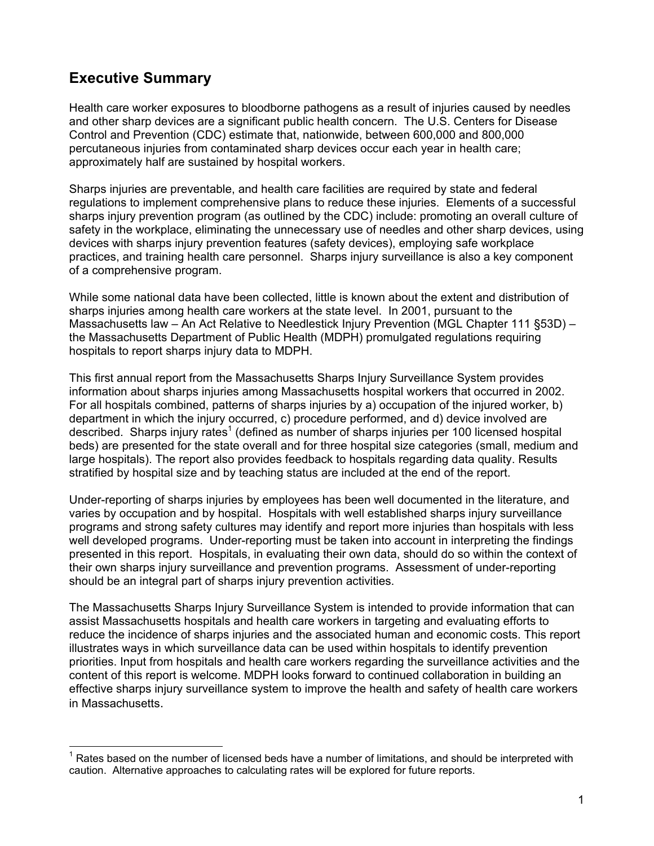## **Executive Summary**

l

Health care worker exposures to bloodborne pathogens as a result of injuries caused by needles and other sharp devices are a significant public health concern. The U.S. Centers for Disease Control and Prevention (CDC) estimate that, nationwide, between 600,000 and 800,000 percutaneous injuries from contaminated sharp devices occur each year in health care; approximately half are sustained by hospital workers.

Sharps injuries are preventable, and health care facilities are required by state and federal regulations to implement comprehensive plans to reduce these injuries. Elements of a successful sharps injury prevention program (as outlined by the CDC) include: promoting an overall culture of safety in the workplace, eliminating the unnecessary use of needles and other sharp devices, using devices with sharps injury prevention features (safety devices), employing safe workplace practices, and training health care personnel. Sharps injury surveillance is also a key component of a comprehensive program.

While some national data have been collected, little is known about the extent and distribution of sharps injuries among health care workers at the state level. In 2001, pursuant to the Massachusetts law – An Act Relative to Needlestick Injury Prevention (MGL Chapter 111 §53D) – the Massachusetts Department of Public Health (MDPH) promulgated regulations requiring hospitals to report sharps injury data to MDPH.

This first annual report from the Massachusetts Sharps Injury Surveillance System provides information about sharps injuries among Massachusetts hospital workers that occurred in 2002. For all hospitals combined, patterns of sharps injuries by a) occupation of the injured worker, b) department in which the injury occurred, c) procedure performed, and d) device involved are described. Sharps injury rates<sup>1</sup> (defined as number of sharps injuries per 100 licensed hospital beds) are presented for the state overall and for three hospital size categories (small, medium and large hospitals). The report also provides feedback to hospitals regarding data quality. Results stratified by hospital size and by teaching status are included at the end of the report.

Under-reporting of sharps injuries by employees has been well documented in the literature, and varies by occupation and by hospital. Hospitals with well established sharps injury surveillance programs and strong safety cultures may identify and report more injuries than hospitals with less well developed programs. Under-reporting must be taken into account in interpreting the findings presented in this report. Hospitals, in evaluating their own data, should do so within the context of their own sharps injury surveillance and prevention programs. Assessment of under-reporting should be an integral part of sharps injury prevention activities.

The Massachusetts Sharps Injury Surveillance System is intended to provide information that can assist Massachusetts hospitals and health care workers in targeting and evaluating efforts to reduce the incidence of sharps injuries and the associated human and economic costs. This report illustrates ways in which surveillance data can be used within hospitals to identify prevention priorities. Input from hospitals and health care workers regarding the surveillance activities and the content of this report is welcome. MDPH looks forward to continued collaboration in building an effective sharps injury surveillance system to improve the health and safety of health care workers in Massachusetts.

 $1$  Rates based on the number of licensed beds have a number of limitations, and should be interpreted with caution. Alternative approaches to calculating rates will be explored for future reports.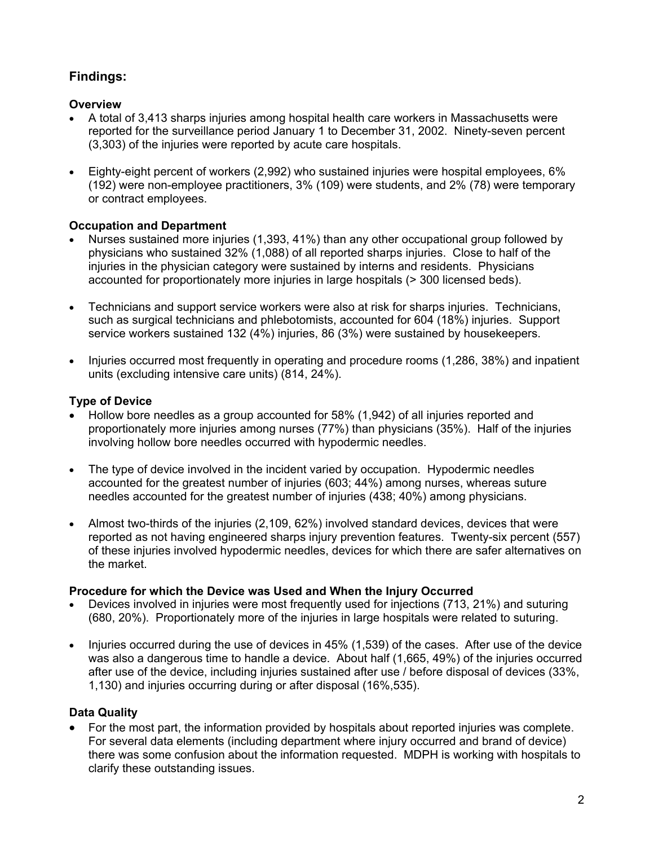## **Findings:**

#### **Overview**

- A total of 3,413 sharps injuries among hospital health care workers in Massachusetts were reported for the surveillance period January 1 to December 31, 2002. Ninety-seven percent (3,303) of the injuries were reported by acute care hospitals.
- Eighty-eight percent of workers (2,992) who sustained injuries were hospital employees, 6% (192) were non-employee practitioners, 3% (109) were students, and 2% (78) were temporary or contract employees.

#### **Occupation and Department**

- Nurses sustained more injuries (1,393, 41%) than any other occupational group followed by physicians who sustained 32% (1,088) of all reported sharps injuries. Close to half of the injuries in the physician category were sustained by interns and residents. Physicians accounted for proportionately more injuries in large hospitals (> 300 licensed beds).
- Technicians and support service workers were also at risk for sharps injuries. Technicians, such as surgical technicians and phlebotomists, accounted for 604 (18%) injuries. Support service workers sustained 132 (4%) injuries, 86 (3%) were sustained by housekeepers.
- Injuries occurred most frequently in operating and procedure rooms (1,286, 38%) and inpatient units (excluding intensive care units) (814, 24%).

#### **Type of Device**

- Hollow bore needles as a group accounted for 58% (1,942) of all injuries reported and proportionately more injuries among nurses (77%) than physicians (35%). Half of the injuries involving hollow bore needles occurred with hypodermic needles.
- The type of device involved in the incident varied by occupation. Hypodermic needles accounted for the greatest number of injuries (603; 44%) among nurses, whereas suture needles accounted for the greatest number of injuries (438; 40%) among physicians.
- Almost two-thirds of the injuries (2,109, 62%) involved standard devices, devices that were reported as not having engineered sharps injury prevention features. Twenty-six percent (557) of these injuries involved hypodermic needles, devices for which there are safer alternatives on the market.

#### **Procedure for which the Device was Used and When the Injury Occurred**

- Devices involved in injuries were most frequently used for injections (713, 21%) and suturing (680, 20%). Proportionately more of the injuries in large hospitals were related to suturing.
- Injuries occurred during the use of devices in 45% (1,539) of the cases. After use of the device was also a dangerous time to handle a device. About half (1,665, 49%) of the injuries occurred after use of the device, including injuries sustained after use / before disposal of devices (33%, 1,130) and injuries occurring during or after disposal (16%,535).

#### **Data Quality**

• For the most part, the information provided by hospitals about reported injuries was complete. For several data elements (including department where injury occurred and brand of device) there was some confusion about the information requested. MDPH is working with hospitals to clarify these outstanding issues.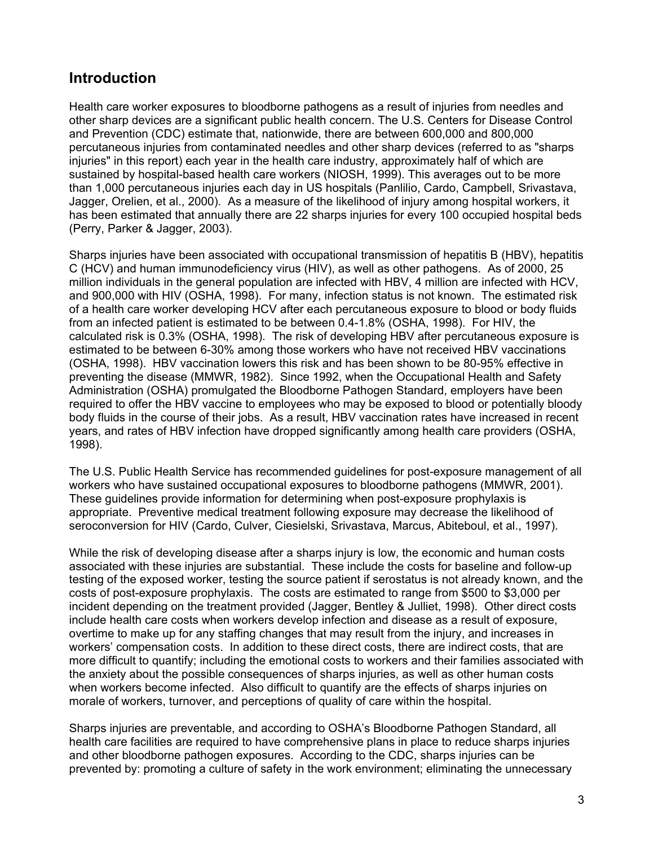## **Introduction**

Health care worker exposures to bloodborne pathogens as a result of injuries from needles and other sharp devices are a significant public health concern. The U.S. Centers for Disease Control and Prevention (CDC) estimate that, nationwide, there are between 600,000 and 800,000 percutaneous injuries from contaminated needles and other sharp devices (referred to as "sharps injuries" in this report) each year in the health care industry, approximately half of which are sustained by hospital-based health care workers (NIOSH, 1999). This averages out to be more than 1,000 percutaneous injuries each day in US hospitals (Panlilio, Cardo, Campbell, Srivastava, Jagger, Orelien, et al., 2000). As a measure of the likelihood of injury among hospital workers, it has been estimated that annually there are 22 sharps injuries for every 100 occupied hospital beds (Perry, Parker & Jagger, 2003).

Sharps injuries have been associated with occupational transmission of hepatitis B (HBV), hepatitis C (HCV) and human immunodeficiency virus (HIV), as well as other pathogens. As of 2000, 25 million individuals in the general population are infected with HBV, 4 million are infected with HCV, and 900,000 with HIV (OSHA, 1998). For many, infection status is not known. The estimated risk of a health care worker developing HCV after each percutaneous exposure to blood or body fluids from an infected patient is estimated to be between 0.4-1.8% (OSHA, 1998). For HIV, the calculated risk is 0.3% (OSHA, 1998). The risk of developing HBV after percutaneous exposure is estimated to be between 6-30% among those workers who have not received HBV vaccinations (OSHA, 1998). HBV vaccination lowers this risk and has been shown to be 80-95% effective in preventing the disease (MMWR, 1982). Since 1992, when the Occupational Health and Safety Administration (OSHA) promulgated the Bloodborne Pathogen Standard, employers have been required to offer the HBV vaccine to employees who may be exposed to blood or potentially bloody body fluids in the course of their jobs. As a result, HBV vaccination rates have increased in recent years, and rates of HBV infection have dropped significantly among health care providers (OSHA, 1998).

The U.S. Public Health Service has recommended guidelines for post-exposure management of all workers who have sustained occupational exposures to bloodborne pathogens (MMWR, 2001). These guidelines provide information for determining when post-exposure prophylaxis is appropriate. Preventive medical treatment following exposure may decrease the likelihood of seroconversion for HIV (Cardo, Culver, Ciesielski, Srivastava, Marcus, Abiteboul, et al., 1997).

While the risk of developing disease after a sharps injury is low, the economic and human costs associated with these injuries are substantial. These include the costs for baseline and follow-up testing of the exposed worker, testing the source patient if serostatus is not already known, and the costs of post-exposure prophylaxis. The costs are estimated to range from \$500 to \$3,000 per incident depending on the treatment provided (Jagger, Bentley & Julliet, 1998). Other direct costs include health care costs when workers develop infection and disease as a result of exposure, overtime to make up for any staffing changes that may result from the injury, and increases in workers' compensation costs. In addition to these direct costs, there are indirect costs, that are more difficult to quantify; including the emotional costs to workers and their families associated with the anxiety about the possible consequences of sharps injuries, as well as other human costs when workers become infected. Also difficult to quantify are the effects of sharps injuries on morale of workers, turnover, and perceptions of quality of care within the hospital.

Sharps injuries are preventable, and according to OSHA's Bloodborne Pathogen Standard, all health care facilities are required to have comprehensive plans in place to reduce sharps injuries and other bloodborne pathogen exposures. According to the CDC, sharps injuries can be prevented by: promoting a culture of safety in the work environment; eliminating the unnecessary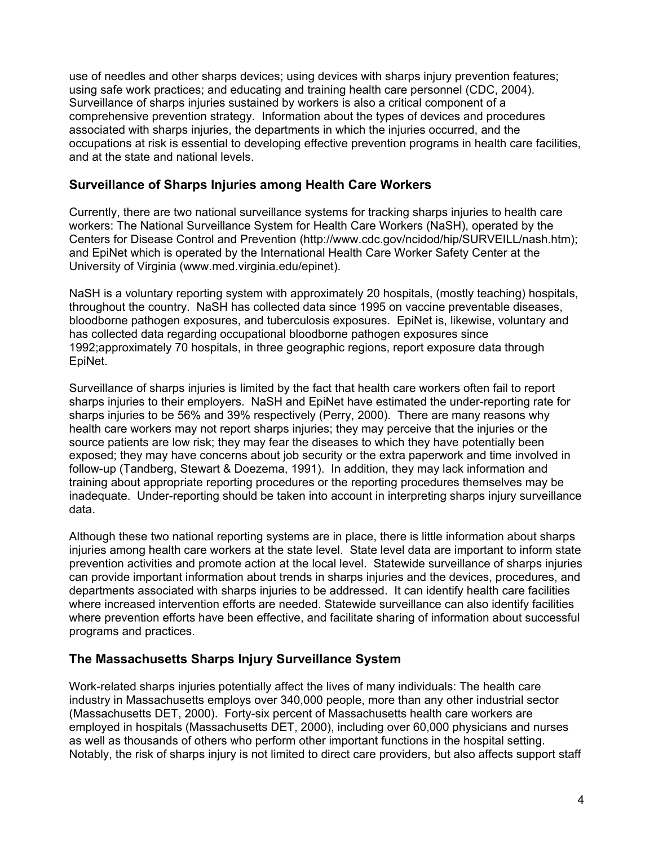use of needles and other sharps devices; using devices with sharps injury prevention features; using safe work practices; and educating and training health care personnel (CDC, 2004). Surveillance of sharps injuries sustained by workers is also a critical component of a comprehensive prevention strategy. Information about the types of devices and procedures associated with sharps injuries, the departments in which the injuries occurred, and the occupations at risk is essential to developing effective prevention programs in health care facilities, and at the state and national levels.

#### **Surveillance of Sharps Injuries among Health Care Workers**

Currently, there are two national surveillance systems for tracking sharps injuries to health care workers: The National Surveillance System for Health Care Workers (NaSH), operated by the Centers for Disease Control and Prevention (http://www.cdc.gov/ncidod/hip/SURVEILL/nash.htm); and EpiNet which is operated by the International Health Care Worker Safety Center at the University of Virginia (www.med.virginia.edu/epinet).

NaSH is a voluntary reporting system with approximately 20 hospitals, (mostly teaching) hospitals, throughout the country. NaSH has collected data since 1995 on vaccine preventable diseases, bloodborne pathogen exposures, and tuberculosis exposures. EpiNet is, likewise, voluntary and has collected data regarding occupational bloodborne pathogen exposures since 1992;approximately 70 hospitals, in three geographic regions, report exposure data through EpiNet.

Surveillance of sharps injuries is limited by the fact that health care workers often fail to report sharps injuries to their employers. NaSH and EpiNet have estimated the under-reporting rate for sharps injuries to be 56% and 39% respectively (Perry, 2000). There are many reasons why health care workers may not report sharps injuries; they may perceive that the injuries or the source patients are low risk; they may fear the diseases to which they have potentially been exposed; they may have concerns about job security or the extra paperwork and time involved in follow-up (Tandberg, Stewart & Doezema, 1991). In addition, they may lack information and training about appropriate reporting procedures or the reporting procedures themselves may be inadequate. Under-reporting should be taken into account in interpreting sharps injury surveillance data.

Although these two national reporting systems are in place, there is little information about sharps injuries among health care workers at the state level. State level data are important to inform state prevention activities and promote action at the local level. Statewide surveillance of sharps injuries can provide important information about trends in sharps injuries and the devices, procedures, and departments associated with sharps injuries to be addressed. It can identify health care facilities where increased intervention efforts are needed. Statewide surveillance can also identify facilities where prevention efforts have been effective, and facilitate sharing of information about successful programs and practices.

#### **The Massachusetts Sharps Injury Surveillance System**

Work-related sharps injuries potentially affect the lives of many individuals: The health care industry in Massachusetts employs over 340,000 people, more than any other industrial sector (Massachusetts DET, 2000). Forty-six percent of Massachusetts health care workers are employed in hospitals (Massachusetts DET, 2000), including over 60,000 physicians and nurses as well as thousands of others who perform other important functions in the hospital setting. Notably, the risk of sharps injury is not limited to direct care providers, but also affects support staff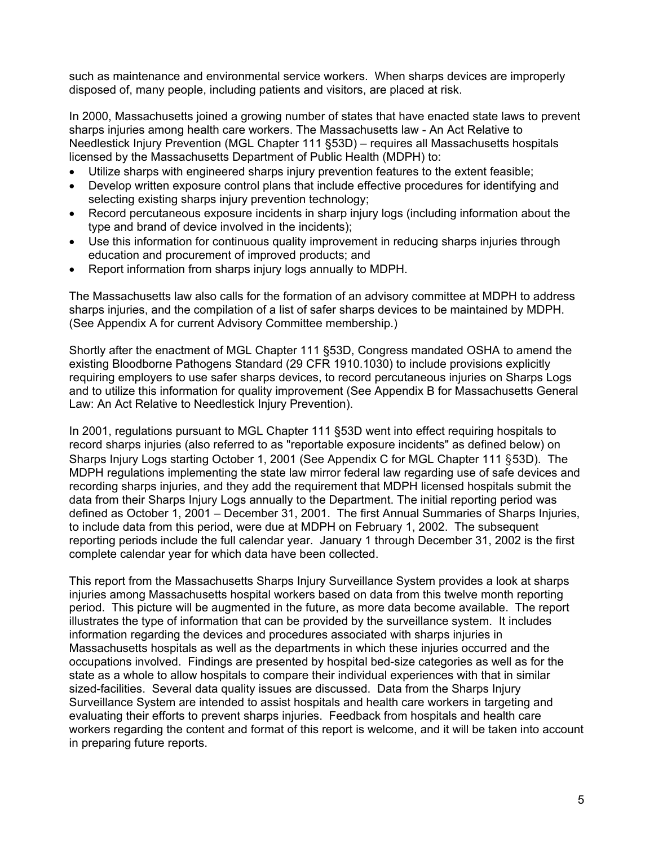such as maintenance and environmental service workers. When sharps devices are improperly disposed of, many people, including patients and visitors, are placed at risk.

In 2000, Massachusetts joined a growing number of states that have enacted state laws to prevent sharps injuries among health care workers. The Massachusetts law - An Act Relative to Needlestick Injury Prevention (MGL Chapter 111 §53D) – requires all Massachusetts hospitals licensed by the Massachusetts Department of Public Health (MDPH) to:

- Utilize sharps with engineered sharps injury prevention features to the extent feasible;
- Develop written exposure control plans that include effective procedures for identifying and selecting existing sharps injury prevention technology;
- Record percutaneous exposure incidents in sharp injury logs (including information about the type and brand of device involved in the incidents);
- Use this information for continuous quality improvement in reducing sharps injuries through education and procurement of improved products; and
- Report information from sharps injury logs annually to MDPH.

The Massachusetts law also calls for the formation of an advisory committee at MDPH to address sharps injuries, and the compilation of a list of safer sharps devices to be maintained by MDPH. (See Appendix A for current Advisory Committee membership.)

Shortly after the enactment of MGL Chapter 111 §53D, Congress mandated OSHA to amend the existing Bloodborne Pathogens Standard (29 CFR 1910.1030) to include provisions explicitly requiring employers to use safer sharps devices, to record percutaneous injuries on Sharps Logs and to utilize this information for quality improvement (See Appendix B for Massachusetts General Law: An Act Relative to Needlestick Injury Prevention).

In 2001, regulations pursuant to MGL Chapter 111 §53D went into effect requiring hospitals to record sharps injuries (also referred to as "reportable exposure incidents" as defined below) on Sharps Injury Logs starting October 1, 2001 (See Appendix C for MGL Chapter 111 §53D). The MDPH regulations implementing the state law mirror federal law regarding use of safe devices and recording sharps injuries, and they add the requirement that MDPH licensed hospitals submit the data from their Sharps Injury Logs annually to the Department. The initial reporting period was defined as October 1, 2001 – December 31, 2001. The first Annual Summaries of Sharps Injuries, to include data from this period, were due at MDPH on February 1, 2002. The subsequent reporting periods include the full calendar year. January 1 through December 31, 2002 is the first complete calendar year for which data have been collected.

This report from the Massachusetts Sharps Injury Surveillance System provides a look at sharps injuries among Massachusetts hospital workers based on data from this twelve month reporting period. This picture will be augmented in the future, as more data become available. The report illustrates the type of information that can be provided by the surveillance system. It includes information regarding the devices and procedures associated with sharps injuries in Massachusetts hospitals as well as the departments in which these injuries occurred and the occupations involved. Findings are presented by hospital bed-size categories as well as for the state as a whole to allow hospitals to compare their individual experiences with that in similar sized-facilities. Several data quality issues are discussed. Data from the Sharps Injury Surveillance System are intended to assist hospitals and health care workers in targeting and evaluating their efforts to prevent sharps injuries. Feedback from hospitals and health care workers regarding the content and format of this report is welcome, and it will be taken into account in preparing future reports.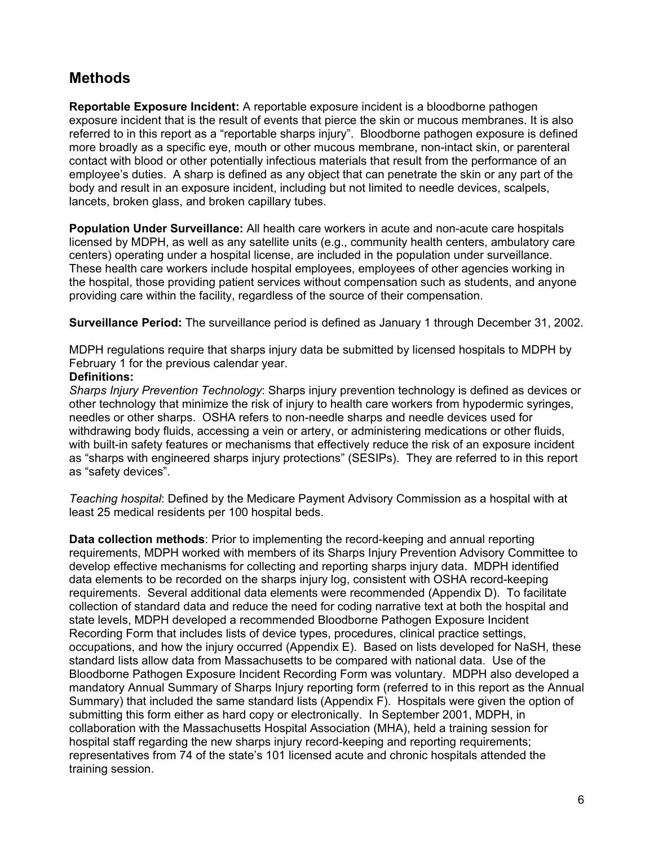## **Methods**

**Reportable Exposure Incident:** A reportable exposure incident is a bloodborne pathogen exposure incident that is the result of events that pierce the skin or mucous membranes. It is also referred to in this report as a "reportable sharps injury". Bloodborne pathogen exposure is defined more broadly as a specific eye, mouth or other mucous membrane, non-intact skin, or parenteral contact with blood or other potentially infectious materials that result from the performance of an employee's duties. A sharp is defined as any object that can penetrate the skin or any part of the body and result in an exposure incident, including but not limited to needle devices, scalpels, lancets, broken glass, and broken capillary tubes.

**Population Under Surveillance:** All health care workers in acute and non-acute care hospitals licensed by MDPH, as well as any satellite units (e.g., community health centers, ambulatory care centers) operating under a hospital license, are included in the population under surveillance. These health care workers include hospital employees, employees of other agencies working in the hospital, those providing patient services without compensation such as students, and anyone providing care within the facility, regardless of the source of their compensation.

**Surveillance Period:** The surveillance period is defined as January 1 through December 31, 2002.

MDPH regulations require that sharps injury data be submitted by licensed hospitals to MDPH by February 1 for the previous calendar year.

#### **Definitions:**

*Sharps Injury Prevention Technology*: Sharps injury prevention technology is defined as devices or other technology that minimize the risk of injury to health care workers from hypodermic syringes, needles or other sharps. OSHA refers to non-needle sharps and needle devices used for withdrawing body fluids, accessing a vein or artery, or administering medications or other fluids, with built-in safety features or mechanisms that effectively reduce the risk of an exposure incident as "sharps with engineered sharps injury protections" (SESIPs). They are referred to in this report as "safety devices".

*Teaching hospital*: Defined by the Medicare Payment Advisory Commission as a hospital with at least 25 medical residents per 100 hospital beds.

**Data collection methods**: Prior to implementing the record-keeping and annual reporting requirements, MDPH worked with members of its Sharps Injury Prevention Advisory Committee to develop effective mechanisms for collecting and reporting sharps injury data. MDPH identified data elements to be recorded on the sharps injury log, consistent with OSHA record-keeping requirements. Several additional data elements were recommended (Appendix D). To facilitate collection of standard data and reduce the need for coding narrative text at both the hospital and state levels, MDPH developed a recommended Bloodborne Pathogen Exposure Incident Recording Form that includes lists of device types, procedures, clinical practice settings, occupations, and how the injury occurred (Appendix E). Based on lists developed for NaSH, these standard lists allow data from Massachusetts to be compared with national data. Use of the Bloodborne Pathogen Exposure Incident Recording Form was voluntary. MDPH also developed a mandatory Annual Summary of Sharps Injury reporting form (referred to in this report as the Annual Summary) that included the same standard lists (Appendix F). Hospitals were given the option of submitting this form either as hard copy or electronically. In September 2001, MDPH, in collaboration with the Massachusetts Hospital Association (MHA), held a training session for hospital staff regarding the new sharps injury record-keeping and reporting requirements; representatives from 74 of the state's 101 licensed acute and chronic hospitals attended the training session.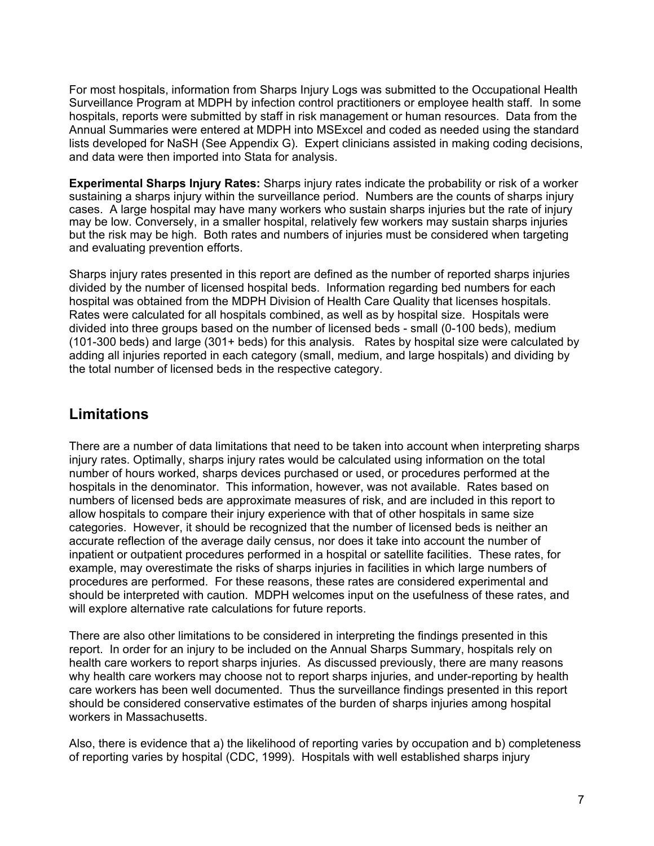For most hospitals, information from Sharps Injury Logs was submitted to the Occupational Health Surveillance Program at MDPH by infection control practitioners or employee health staff. In some hospitals, reports were submitted by staff in risk management or human resources. Data from the Annual Summaries were entered at MDPH into MSExcel and coded as needed using the standard lists developed for NaSH (See Appendix G). Expert clinicians assisted in making coding decisions, and data were then imported into Stata for analysis.

**Experimental Sharps Injury Rates:** Sharps injury rates indicate the probability or risk of a worker sustaining a sharps injury within the surveillance period. Numbers are the counts of sharps injury cases. A large hospital may have many workers who sustain sharps injuries but the rate of injury may be low. Conversely, in a smaller hospital, relatively few workers may sustain sharps injuries but the risk may be high. Both rates and numbers of injuries must be considered when targeting and evaluating prevention efforts.

Sharps injury rates presented in this report are defined as the number of reported sharps injuries divided by the number of licensed hospital beds. Information regarding bed numbers for each hospital was obtained from the MDPH Division of Health Care Quality that licenses hospitals. Rates were calculated for all hospitals combined, as well as by hospital size. Hospitals were divided into three groups based on the number of licensed beds - small (0-100 beds), medium (101-300 beds) and large (301+ beds) for this analysis. Rates by hospital size were calculated by adding all injuries reported in each category (small, medium, and large hospitals) and dividing by the total number of licensed beds in the respective category.

## **Limitations**

There are a number of data limitations that need to be taken into account when interpreting sharps injury rates. Optimally, sharps injury rates would be calculated using information on the total number of hours worked, sharps devices purchased or used, or procedures performed at the hospitals in the denominator. This information, however, was not available. Rates based on numbers of licensed beds are approximate measures of risk, and are included in this report to allow hospitals to compare their injury experience with that of other hospitals in same size categories. However, it should be recognized that the number of licensed beds is neither an accurate reflection of the average daily census, nor does it take into account the number of inpatient or outpatient procedures performed in a hospital or satellite facilities. These rates, for example, may overestimate the risks of sharps injuries in facilities in which large numbers of procedures are performed. For these reasons, these rates are considered experimental and should be interpreted with caution. MDPH welcomes input on the usefulness of these rates, and will explore alternative rate calculations for future reports.

There are also other limitations to be considered in interpreting the findings presented in this report. In order for an injury to be included on the Annual Sharps Summary, hospitals rely on health care workers to report sharps injuries. As discussed previously, there are many reasons why health care workers may choose not to report sharps injuries, and under-reporting by health care workers has been well documented. Thus the surveillance findings presented in this report should be considered conservative estimates of the burden of sharps injuries among hospital workers in Massachusetts.

Also, there is evidence that a) the likelihood of reporting varies by occupation and b) completeness of reporting varies by hospital (CDC, 1999). Hospitals with well established sharps injury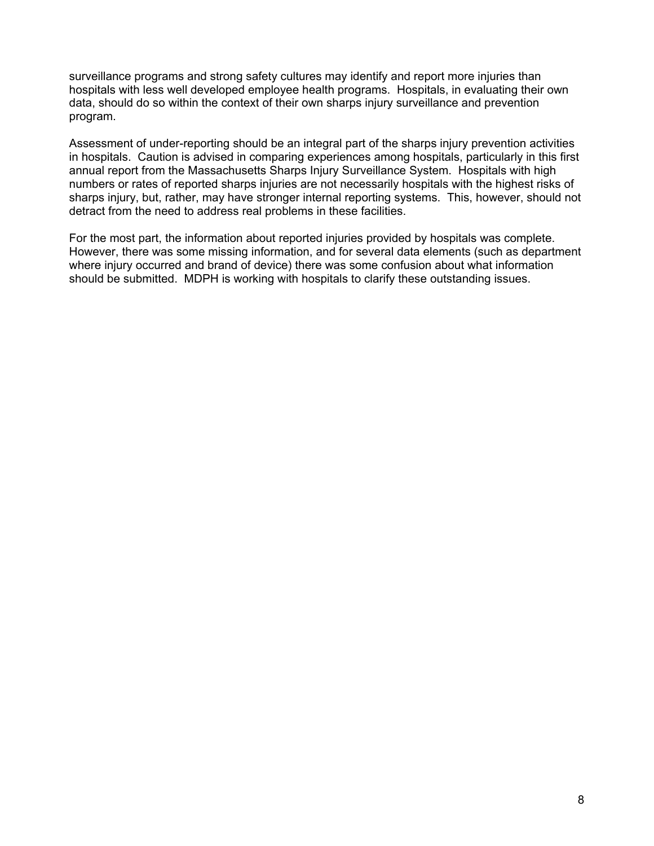surveillance programs and strong safety cultures may identify and report more injuries than hospitals with less well developed employee health programs. Hospitals, in evaluating their own data, should do so within the context of their own sharps injury surveillance and prevention program.

Assessment of under-reporting should be an integral part of the sharps injury prevention activities in hospitals. Caution is advised in comparing experiences among hospitals, particularly in this first annual report from the Massachusetts Sharps Injury Surveillance System. Hospitals with high numbers or rates of reported sharps injuries are not necessarily hospitals with the highest risks of sharps injury, but, rather, may have stronger internal reporting systems. This, however, should not detract from the need to address real problems in these facilities.

For the most part, the information about reported injuries provided by hospitals was complete. However, there was some missing information, and for several data elements (such as department where injury occurred and brand of device) there was some confusion about what information should be submitted. MDPH is working with hospitals to clarify these outstanding issues.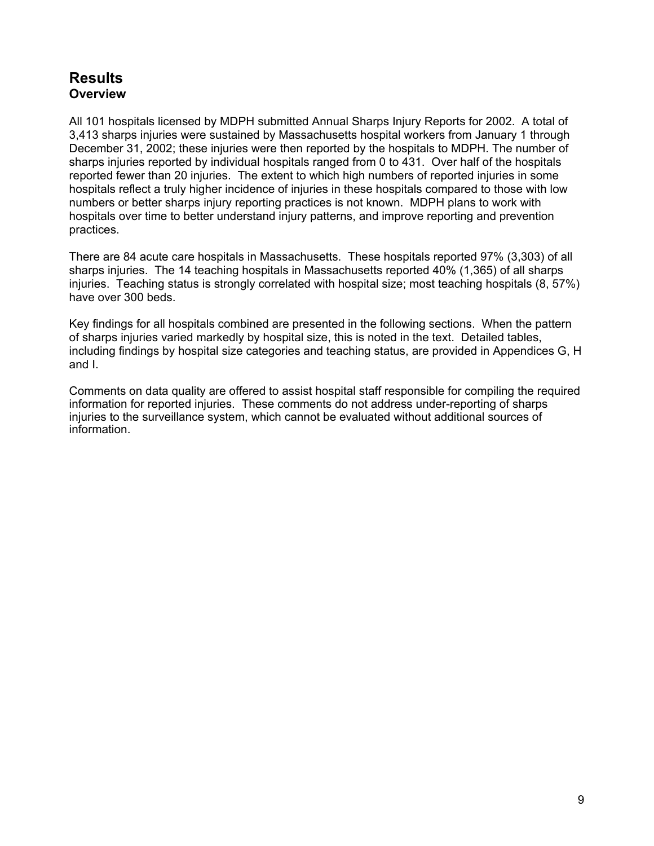## **Results Overview**

All 101 hospitals licensed by MDPH submitted Annual Sharps Injury Reports for 2002. A total of 3,413 sharps injuries were sustained by Massachusetts hospital workers from January 1 through December 31, 2002; these injuries were then reported by the hospitals to MDPH. The number of sharps injuries reported by individual hospitals ranged from 0 to 431. Over half of the hospitals reported fewer than 20 injuries. The extent to which high numbers of reported injuries in some hospitals reflect a truly higher incidence of injuries in these hospitals compared to those with low numbers or better sharps injury reporting practices is not known. MDPH plans to work with hospitals over time to better understand injury patterns, and improve reporting and prevention practices.

There are 84 acute care hospitals in Massachusetts. These hospitals reported 97% (3,303) of all sharps injuries. The 14 teaching hospitals in Massachusetts reported 40% (1,365) of all sharps injuries. Teaching status is strongly correlated with hospital size; most teaching hospitals (8, 57%) have over 300 beds.

Key findings for all hospitals combined are presented in the following sections. When the pattern of sharps injuries varied markedly by hospital size, this is noted in the text. Detailed tables, including findings by hospital size categories and teaching status, are provided in Appendices G, H and I.

Comments on data quality are offered to assist hospital staff responsible for compiling the required information for reported injuries. These comments do not address under-reporting of sharps injuries to the surveillance system, which cannot be evaluated without additional sources of information.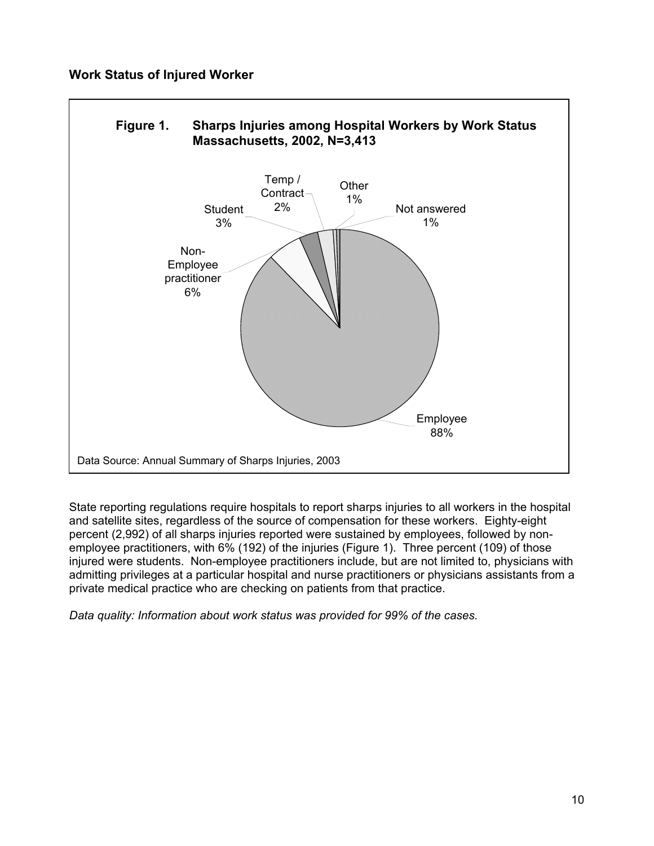### **Work Status of Injured Worker**



State reporting regulations require hospitals to report sharps injuries to all workers in the hospital and satellite sites, regardless of the source of compensation for these workers. Eighty-eight percent (2,992) of all sharps injuries reported were sustained by employees, followed by nonemployee practitioners, with 6% (192) of the injuries (Figure 1). Three percent (109) of those injured were students. Non-employee practitioners include, but are not limited to, physicians with admitting privileges at a particular hospital and nurse practitioners or physicians assistants from a private medical practice who are checking on patients from that practice.

*Data quality: Information about work status was provided for 99% of the cases.*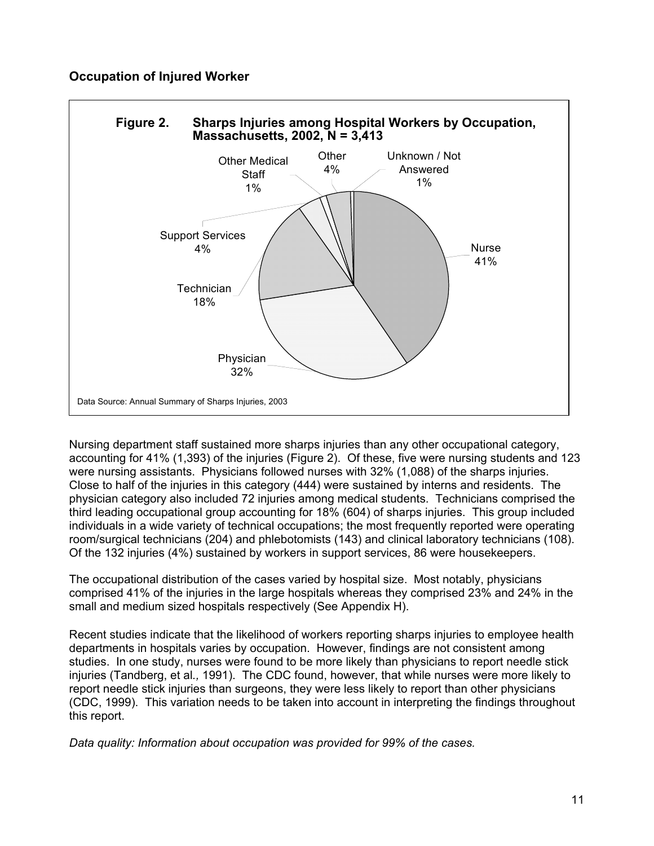### **Occupation of Injured Worker**



Nursing department staff sustained more sharps injuries than any other occupational category, accounting for 41% (1,393) of the injuries (Figure 2). Of these, five were nursing students and 123 were nursing assistants. Physicians followed nurses with 32% (1,088) of the sharps injuries. Close to half of the injuries in this category (444) were sustained by interns and residents. The physician category also included 72 injuries among medical students. Technicians comprised the third leading occupational group accounting for 18% (604) of sharps injuries. This group included individuals in a wide variety of technical occupations; the most frequently reported were operating room/surgical technicians (204) and phlebotomists (143) and clinical laboratory technicians (108). Of the 132 injuries (4%) sustained by workers in support services, 86 were housekeepers.

The occupational distribution of the cases varied by hospital size. Most notably, physicians comprised 41% of the injuries in the large hospitals whereas they comprised 23% and 24% in the small and medium sized hospitals respectively (See Appendix H).

Recent studies indicate that the likelihood of workers reporting sharps injuries to employee health departments in hospitals varies by occupation. However, findings are not consistent among studies. In one study, nurses were found to be more likely than physicians to report needle stick injuries (Tandberg, et al*.,* 1991). The CDC found, however, that while nurses were more likely to report needle stick injuries than surgeons, they were less likely to report than other physicians (CDC, 1999). This variation needs to be taken into account in interpreting the findings throughout this report.

*Data quality: Information about occupation was provided for 99% of the cases.*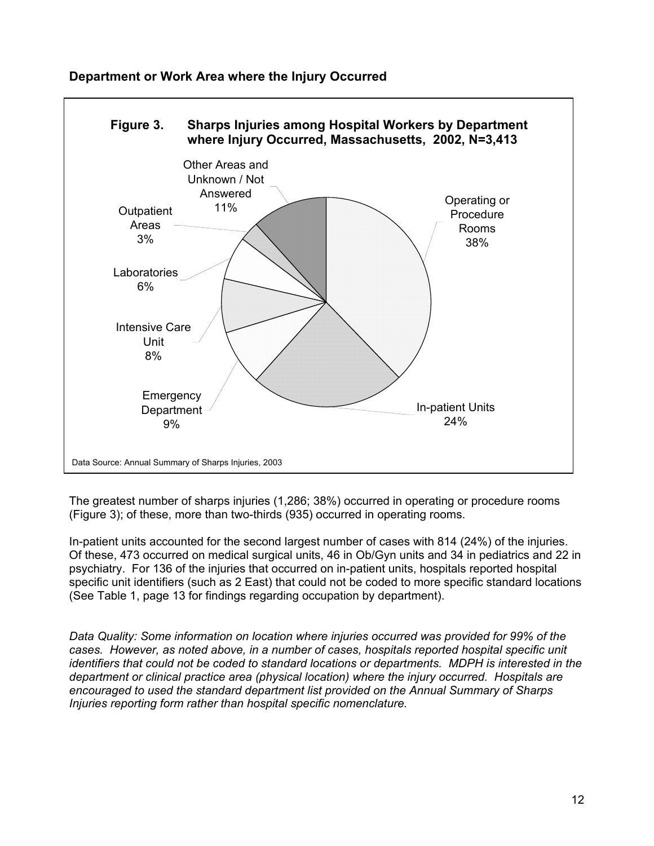

## **Department or Work Area where the Injury Occurred**

The greatest number of sharps injuries (1,286; 38%) occurred in operating or procedure rooms (Figure 3); of these, more than two-thirds (935) occurred in operating rooms.

In-patient units accounted for the second largest number of cases with 814 (24%) of the injuries. Of these, 473 occurred on medical surgical units, 46 in Ob/Gyn units and 34 in pediatrics and 22 in psychiatry. For 136 of the injuries that occurred on in-patient units, hospitals reported hospital specific unit identifiers (such as 2 East) that could not be coded to more specific standard locations (See Table 1, page 13 for findings regarding occupation by department).

*Data Quality: Some information on location where injuries occurred was provided for 99% of the cases. However, as noted above, in a number of cases, hospitals reported hospital specific unit identifiers that could not be coded to standard locations or departments. MDPH is interested in the department or clinical practice area (physical location) where the injury occurred. Hospitals are encouraged to used the standard department list provided on the Annual Summary of Sharps Injuries reporting form rather than hospital specific nomenclature.*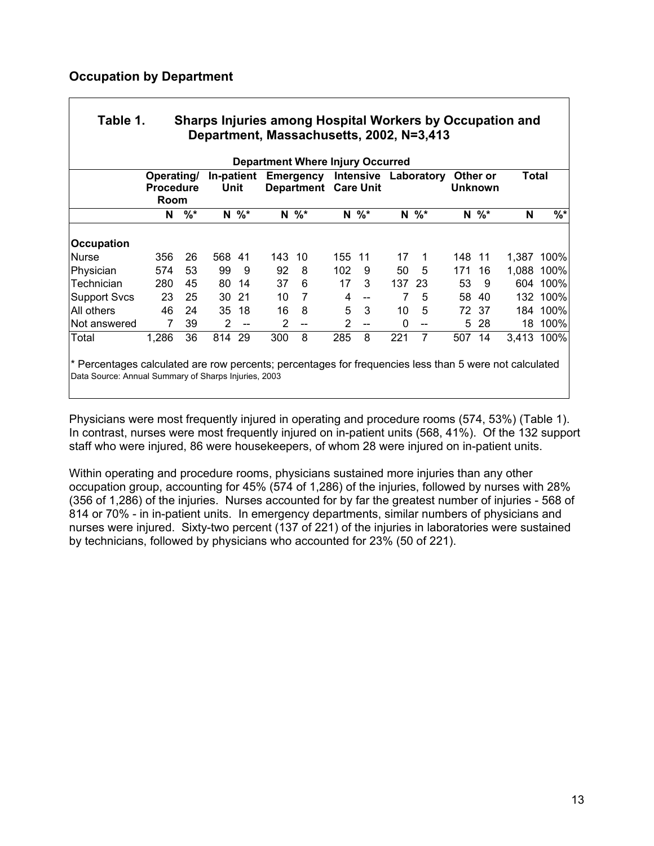#### **Occupation by Department**

| <b>Department Where Injury Occurred</b> |                                        |       |        |            |     |                                          |     |           |     |            |     |                            |       |            |
|-----------------------------------------|----------------------------------------|-------|--------|------------|-----|------------------------------------------|-----|-----------|-----|------------|-----|----------------------------|-------|------------|
|                                         | Operating/<br><b>Procedure</b><br>Room |       | Unit   | In-patient |     | Emergency<br><b>Department Care Unit</b> |     | Intensive |     | Laboratory |     | Other or<br><b>Unknown</b> | Total |            |
|                                         | N                                      | $%$ * |        | $N \%^*$   |     | $N \%^*$                                 |     | $N \%^*$  |     | $N \%^*$   |     | $N \%^*$                   | N     | $%$ *      |
| Occupation                              |                                        |       |        |            |     |                                          |     |           |     |            |     |                            |       |            |
| <b>Nurse</b>                            | 356                                    | 26    | 568 41 |            | 143 | 10                                       | 155 | 11        | 17  | 1          | 148 | $-11$                      | 1,387 | 100%       |
| Physician                               | 574                                    | 53    | 99     | 9          | 92  | 8                                        | 102 | 9         | 50  | 5          | 171 | 16                         | 1,088 | 100%       |
| Technician                              | 280                                    | 45    | 80     | 14         | 37  | 6                                        | 17  | 3         | 137 | 23         | 53  | 9                          | 604   | 100%       |
| <b>Support Svcs</b>                     | 23                                     | 25    | 30     | 21         | 10  | 7                                        | 4   | --        |     | 5          | 58  | 40                         | 132   | 100%       |
| All others                              | 46                                     | 24    | 35     | 18         | 16  | 8                                        | 5   | 3         | 10  | 5          | 72. | -37                        | 184   | 100%       |
| Not answered                            | 7                                      | 39    | 2      | $-$        | 2   | --                                       | 2   | $-$       | 0   |            | 5   | 28                         | 18    | 100%       |
| Total                                   | 1,286                                  | 36    | 814    | 29         | 300 | 8                                        | 285 | 8         | 221 | 7          | 507 | 14                         |       | 3,413 100% |

Physicians were most frequently injured in operating and procedure rooms (574, 53%) (Table 1). In contrast, nurses were most frequently injured on in-patient units (568, 41%). Of the 132 support staff who were injured, 86 were housekeepers, of whom 28 were injured on in-patient units.

Within operating and procedure rooms, physicians sustained more injuries than any other occupation group, accounting for 45% (574 of 1,286) of the injuries, followed by nurses with 28% (356 of 1,286) of the injuries. Nurses accounted for by far the greatest number of injuries - 568 of 814 or 70% - in in-patient units. In emergency departments, similar numbers of physicians and nurses were injured. Sixty-two percent (137 of 221) of the injuries in laboratories were sustained by technicians, followed by physicians who accounted for 23% (50 of 221).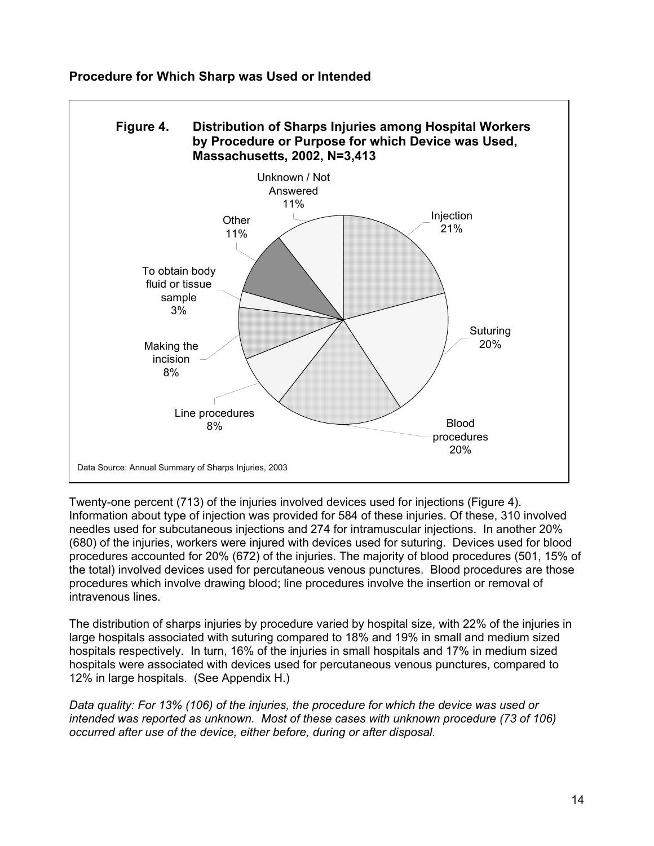

**Procedure for Which Sharp was Used or Intended** 

Twenty-one percent (713) of the injuries involved devices used for injections (Figure 4). Information about type of injection was provided for 584 of these injuries. Of these, 310 involved needles used for subcutaneous injections and 274 for intramuscular injections. In another 20% (680) of the injuries, workers were injured with devices used for suturing. Devices used for blood procedures accounted for 20% (672) of the injuries. The majority of blood procedures (501, 15% of the total) involved devices used for percutaneous venous punctures. Blood procedures are those procedures which involve drawing blood; line procedures involve the insertion or removal of intravenous lines.

The distribution of sharps injuries by procedure varied by hospital size, with 22% of the injuries in large hospitals associated with suturing compared to 18% and 19% in small and medium sized hospitals respectively. In turn, 16% of the injuries in small hospitals and 17% in medium sized hospitals were associated with devices used for percutaneous venous punctures, compared to 12% in large hospitals. (See Appendix H.)

*Data quality: For 13% (106) of the injuries, the procedure for which the device was used or intended was reported as unknown. Most of these cases with unknown procedure (73 of 106) occurred after use of the device, either before, during or after disposal.*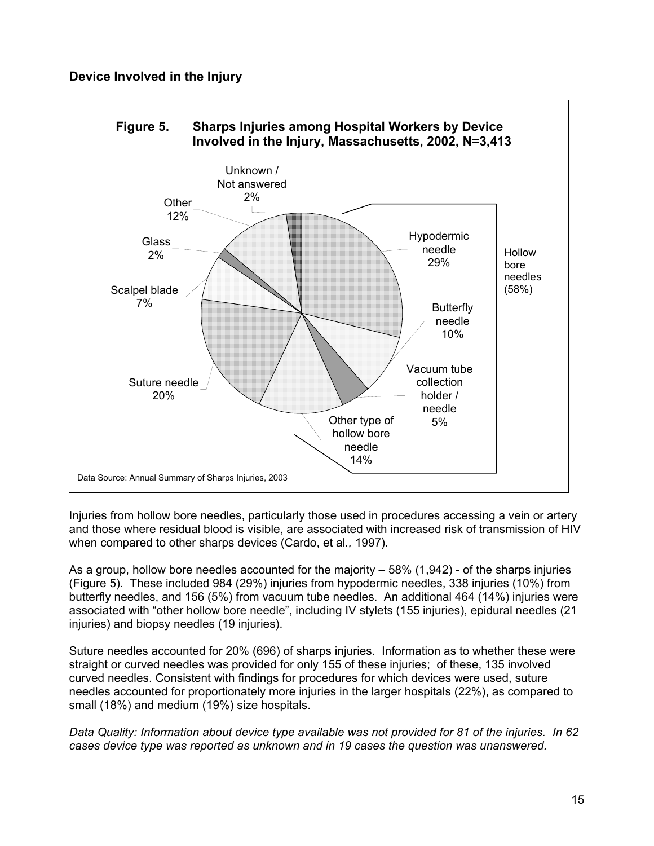#### **Device Involved in the Injury**



Injuries from hollow bore needles, particularly those used in procedures accessing a vein or artery and those where residual blood is visible, are associated with increased risk of transmission of HIV when compared to other sharps devices (Cardo, et al*.,* 1997).

As a group, hollow bore needles accounted for the majority – 58% (1,942) - of the sharps injuries (Figure 5). These included 984 (29%) injuries from hypodermic needles, 338 injuries (10%) from butterfly needles, and 156 (5%) from vacuum tube needles. An additional 464 (14%) injuries were associated with "other hollow bore needle", including IV stylets (155 injuries), epidural needles (21 injuries) and biopsy needles (19 injuries).

Suture needles accounted for 20% (696) of sharps injuries. Information as to whether these were straight or curved needles was provided for only 155 of these injuries; of these, 135 involved curved needles. Consistent with findings for procedures for which devices were used, suture needles accounted for proportionately more injuries in the larger hospitals (22%), as compared to small (18%) and medium (19%) size hospitals.

*Data Quality: Information about device type available was not provided for 81 of the injuries. In 62 cases device type was reported as unknown and in 19 cases the question was unanswered.*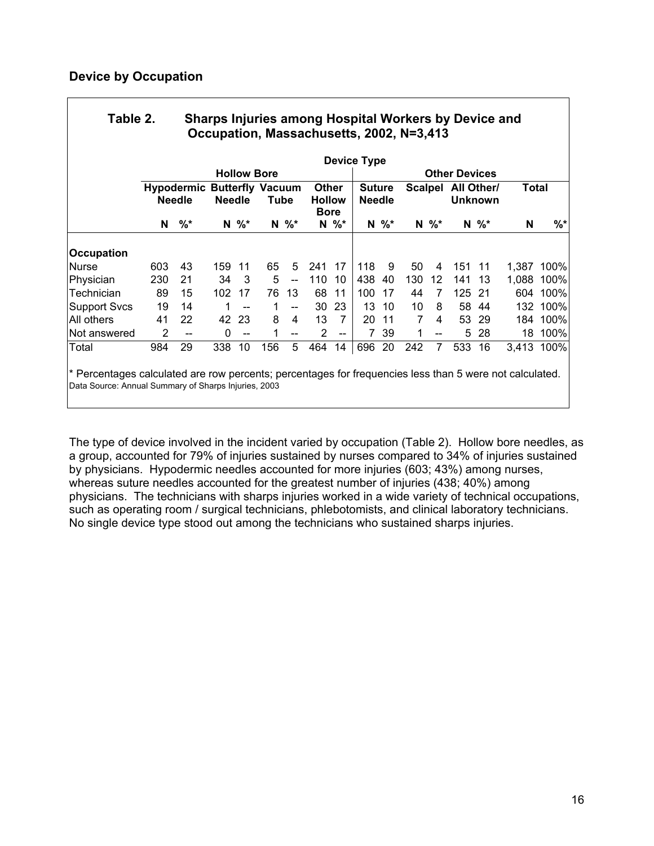| Table 2. | Sharps Injuries among Hospital Workers by Device and |
|----------|------------------------------------------------------|
|          | Occupation, Massachusetts, 2002, N=3,413             |

|                     |               |                    |     |                                                             | <b>Device Type</b> |                                              |     |                                       |                      |                |     |                              |     |              |       |          |
|---------------------|---------------|--------------------|-----|-------------------------------------------------------------|--------------------|----------------------------------------------|-----|---------------------------------------|----------------------|----------------|-----|------------------------------|-----|--------------|-------|----------|
|                     |               | <b>Hollow Bore</b> |     |                                                             |                    |                                              |     |                                       | <b>Other Devices</b> |                |     |                              |     |              |       |          |
|                     | <b>Needle</b> |                    |     | <b>Hypodermic Butterfly Vacuum</b><br><b>Needle</b><br>Tube |                    | <b>Other</b><br><b>Hollow</b><br><b>Bore</b> |     | <b>Suture</b><br><b>Needle</b>        |                      | <b>Scalpel</b> |     | All Other/<br><b>Unknown</b> |     | <b>Total</b> |       |          |
|                     | N             | $%$ *              | N   | $\%^{*}$                                                    | N                  | $\%^{*}$                                     | N   | $\%^{*}$                              | N                    | $%$ *          | N   | %                            |     | $N \%$       | N     | %*       |
| <b>Occupation</b>   |               |                    |     |                                                             |                    |                                              |     |                                       |                      |                |     |                              |     |              |       |          |
| <b>Nurse</b>        | 603           | 43                 | 159 | -11                                                         | 65                 | 5                                            | 241 | 17                                    | 118                  | 9              | 50  | 4                            | 151 | -11          | 1.387 | 100%     |
| Physician           | 230           | 21                 | 34  | 3                                                           | 5                  | $\overline{\phantom{a}}$                     | 110 | 10                                    | 438                  | 40             | 130 | 12                           | 141 | 13           | 1,088 | 100%     |
| Technician          | 89            | 15                 | 102 | 17                                                          | 76                 | 13                                           | 68  | 11                                    | 100                  | 17             | 44  |                              | 125 | -21          | 604   | 100%     |
| <b>Support Svcs</b> | 19            | 14                 |     | --                                                          |                    | $\overline{\phantom{a}}$                     | 30  | 23                                    | 13                   | 10             | 10  | 8                            |     | 58 44        |       | 132 100% |
| All others          | 41            | 22                 | 42  | 23                                                          | 8                  | 4                                            | 13  | 7                                     | 20                   | 11             | 7   | 4                            | 53  | 29           | 184   | 100%     |
| Not answered        | 2             | --                 | 0   | $- -$                                                       |                    | --                                           | 2   | $\hspace{0.05cm}$ – $\hspace{0.05cm}$ |                      | 39             | 1   | $- -$                        | 5   | -28          | 18    | 100%     |
| Total               | 984           | 29                 | 338 | 10                                                          | 156                | 5                                            | 464 | 14                                    | 696                  | 20             | 242 | 7                            | 533 | 16           | 3,413 | 100%     |

\* Percentages calculated are row percents; percentages for frequencies less than 5 were not calculated. Data Source: Annual Summary of Sharps Injuries, 2003

The type of device involved in the incident varied by occupation (Table 2). Hollow bore needles, as a group, accounted for 79% of injuries sustained by nurses compared to 34% of injuries sustained by physicians. Hypodermic needles accounted for more injuries (603; 43%) among nurses, whereas suture needles accounted for the greatest number of injuries (438; 40%) among physicians. The technicians with sharps injuries worked in a wide variety of technical occupations, such as operating room / surgical technicians, phlebotomists, and clinical laboratory technicians. No single device type stood out among the technicians who sustained sharps injuries.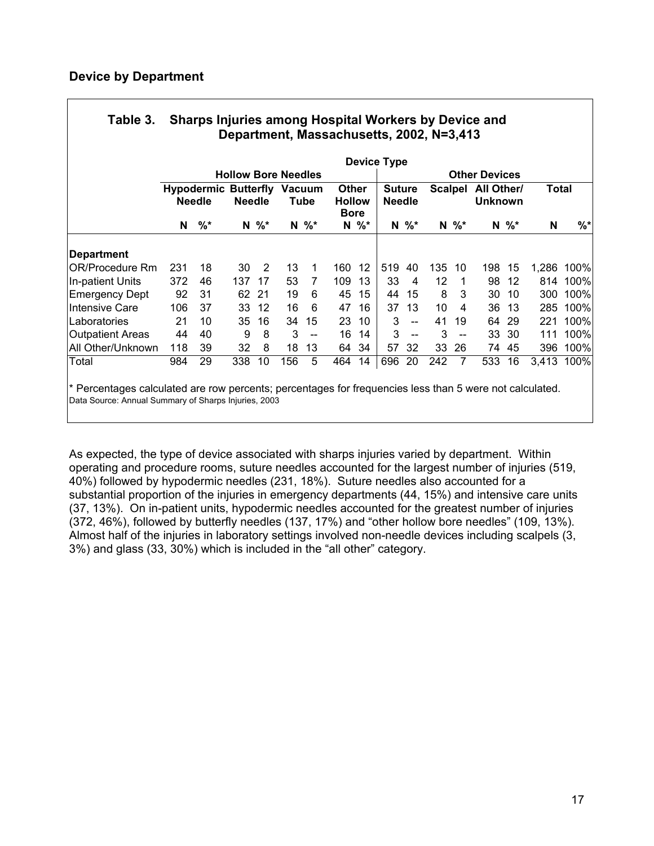|                   |                            | <b>Device Type</b>                                  |               |          |     |          |                                              |          |                                |                          |                |                          |                              |          |              |            |
|-------------------|----------------------------|-----------------------------------------------------|---------------|----------|-----|----------|----------------------------------------------|----------|--------------------------------|--------------------------|----------------|--------------------------|------------------------------|----------|--------------|------------|
|                   | <b>Hollow Bore Needles</b> |                                                     |               |          |     |          |                                              |          | <b>Other Devices</b>           |                          |                |                          |                              |          |              |            |
|                   |                            | <b>Hypodermic Butterfly Vacuum</b><br><b>Needle</b> | <b>Needle</b> |          |     | Tube     | <b>Other</b><br><b>Hollow</b><br><b>Bore</b> |          | <b>Suture</b><br><b>Needle</b> |                          | <b>Scalpel</b> |                          | All Other/<br><b>Unknown</b> |          | <b>Total</b> |            |
|                   | N                          | $%$ *                                               |               | $N \%^*$ |     | $N \%^*$ |                                              | $N \%^*$ |                                | $N \%^*$                 |                | $N \%^*$                 |                              | $N \, %$ | N            | $%$ *      |
| Department        |                            |                                                     |               |          |     |          |                                              |          |                                |                          |                |                          |                              |          |              |            |
| IOR/Procedure Rm  | 231                        | 18                                                  | 30            | 2        | 13  | 1        | 160                                          | 12       | 519                            | 40                       | 135            | 10                       | 198                          | 15       | 1,286        | 100%       |
| In-patient Units  | 372                        | 46                                                  | 137           | 17       | 53  | 7        | 109                                          | 13       | 33                             | 4                        | 12             | -1                       | 98                           | 12       | 814          | 100%       |
| Emergency Dept    | 92                         | 31                                                  | 62            | -21      | 19  | 6        | 45                                           | 15       | 44                             | 15                       | 8              | 3                        | 30                           | 10       | 300          | 100%       |
| IIntensive Care   | 106                        | 37                                                  | 33            | 12       | 16  | 6        | 47                                           | 16       | 37                             | 13                       | 10             | 4                        | 36                           | 13       | 285          | 100%       |
| lLaboratories     | 21                         | 10                                                  | 35            | 16       | 34  | 15       | 23                                           | 10       | 3                              | $\overline{a}$           | 41             | 19                       | 64                           | 29       | 221          | 100%       |
| Outpatient Areas  | 44                         | 40                                                  | 9             | 8        | 3   | $-$      | 16                                           | 14       | 3                              | $\overline{\phantom{a}}$ | 3              | $\overline{\phantom{a}}$ | 33                           | 30       | 111          | 100%       |
| All Other/Unknown | 118                        | 39                                                  | 32            | 8        | 18  | 13       | 64                                           | 34       | 57                             | 32                       | 33             | 26                       | 74                           | 45       | 396          | 100%       |
| Total             | 984                        | 29                                                  | 338           | 10       | 156 | 5        | 464                                          | 14       | 696                            | 20                       | 242            | 7                        | 533                          | 16       |              | 3,413 100% |

# **Table 3. Sharps Injuries among Hospital Workers by Device and**

Percentages calculated are row percents; percentages for frequencies less than Data Source: Annual Summary of Sharps Injuries, 2003

As expected, the type of device associated with sharps injuries varied by department. Within operating and procedure rooms, suture needles accounted for the largest number of injuries (519, 40%) followed by hypodermic needles (231, 18%). Suture needles also accounted for a substantial proportion of the injuries in emergency departments (44, 15%) and intensive care units (37, 13%). On in-patient units, hypodermic needles accounted for the greatest number of injuries (372, 46%), followed by butterfly needles (137, 17%) and "other hollow bore needles" (109, 13%). Almost half of the injuries in laboratory settings involved non-needle devices including scalpels (3, 3%) and glass (33, 30%) which is included in the "all other" category.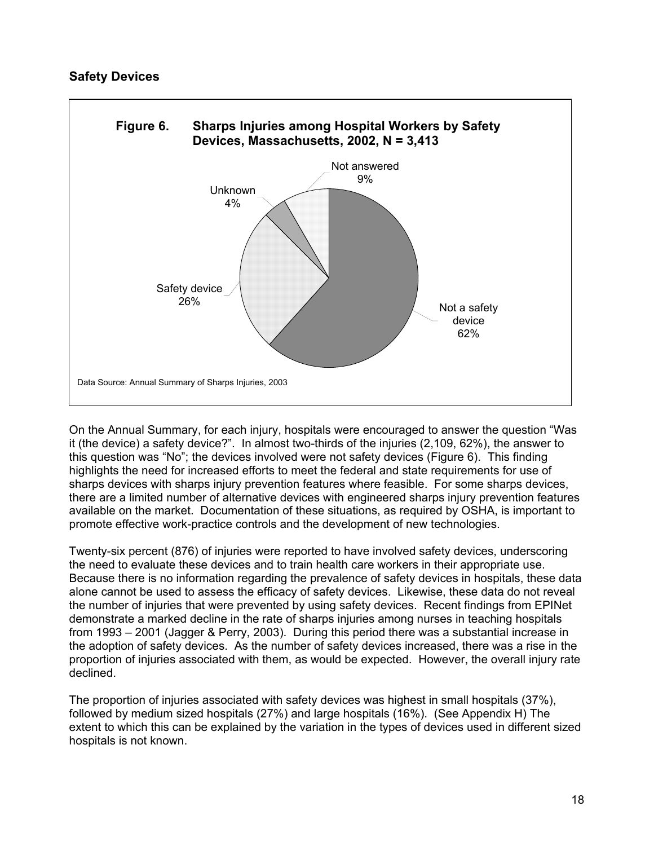

On the Annual Summary, for each injury, hospitals were encouraged to answer the question "Was it (the device) a safety device?". In almost two-thirds of the injuries (2,109, 62%), the answer to this question was "No"; the devices involved were not safety devices (Figure 6). This finding highlights the need for increased efforts to meet the federal and state requirements for use of sharps devices with sharps injury prevention features where feasible. For some sharps devices, there are a limited number of alternative devices with engineered sharps injury prevention features available on the market. Documentation of these situations, as required by OSHA, is important to promote effective work-practice controls and the development of new technologies.

Twenty-six percent (876) of injuries were reported to have involved safety devices, underscoring the need to evaluate these devices and to train health care workers in their appropriate use. Because there is no information regarding the prevalence of safety devices in hospitals, these data alone cannot be used to assess the efficacy of safety devices. Likewise, these data do not reveal the number of injuries that were prevented by using safety devices. Recent findings from EPINet demonstrate a marked decline in the rate of sharps injuries among nurses in teaching hospitals from 1993 – 2001 (Jagger & Perry, 2003). During this period there was a substantial increase in the adoption of safety devices. As the number of safety devices increased, there was a rise in the proportion of injuries associated with them, as would be expected. However, the overall injury rate declined.

The proportion of injuries associated with safety devices was highest in small hospitals (37%), followed by medium sized hospitals (27%) and large hospitals (16%). (See Appendix H) The extent to which this can be explained by the variation in the types of devices used in different sized hospitals is not known.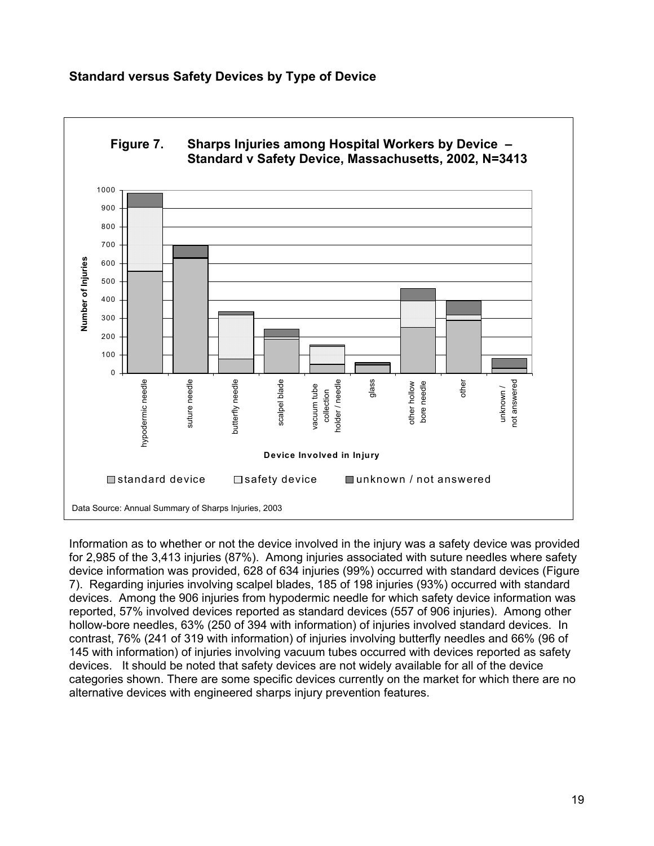#### **Standard versus Safety Devices by Type of Device**



Information as to whether or not the device involved in the injury was a safety device was provided for 2,985 of the 3,413 injuries (87%). Among injuries associated with suture needles where safety device information was provided, 628 of 634 injuries (99%) occurred with standard devices (Figure 7). Regarding injuries involving scalpel blades, 185 of 198 injuries (93%) occurred with standard devices. Among the 906 injuries from hypodermic needle for which safety device information was reported, 57% involved devices reported as standard devices (557 of 906 injuries). Among other hollow-bore needles, 63% (250 of 394 with information) of injuries involved standard devices. In contrast, 76% (241 of 319 with information) of injuries involving butterfly needles and 66% (96 of 145 with information) of injuries involving vacuum tubes occurred with devices reported as safety devices. It should be noted that safety devices are not widely available for all of the device categories shown. There are some specific devices currently on the market for which there are no alternative devices with engineered sharps injury prevention features.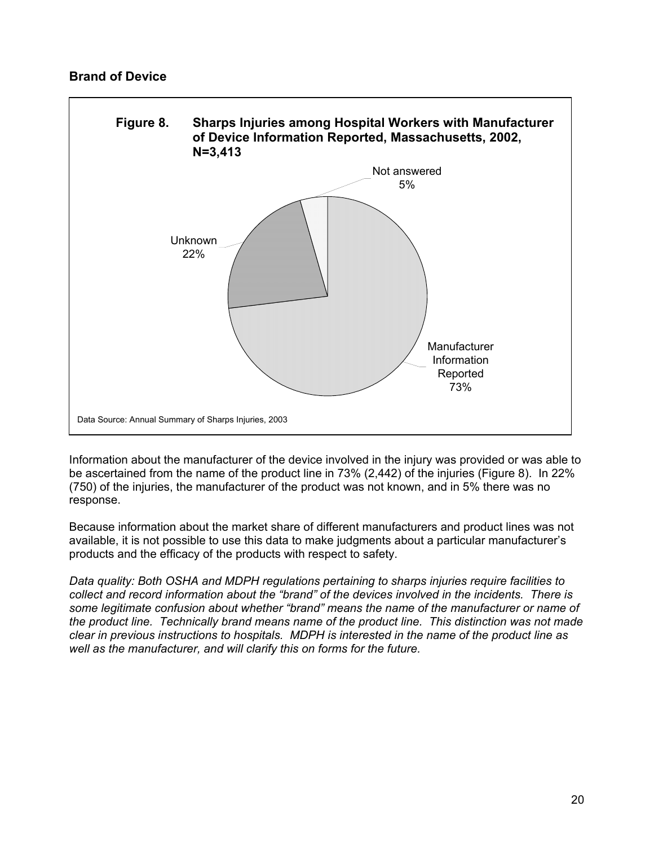#### **Brand of Device**



Information about the manufacturer of the device involved in the injury was provided or was able to be ascertained from the name of the product line in 73% (2,442) of the injuries (Figure 8). In 22% (750) of the injuries, the manufacturer of the product was not known, and in 5% there was no response.

Because information about the market share of different manufacturers and product lines was not available, it is not possible to use this data to make judgments about a particular manufacturer's products and the efficacy of the products with respect to safety.

*Data quality: Both OSHA and MDPH regulations pertaining to sharps injuries require facilities to collect and record information about the "brand" of the devices involved in the incidents. There is some legitimate confusion about whether "brand" means the name of the manufacturer or name of the product line. Technically brand means name of the product line. This distinction was not made clear in previous instructions to hospitals. MDPH is interested in the name of the product line as well as the manufacturer, and will clarify this on forms for the future.*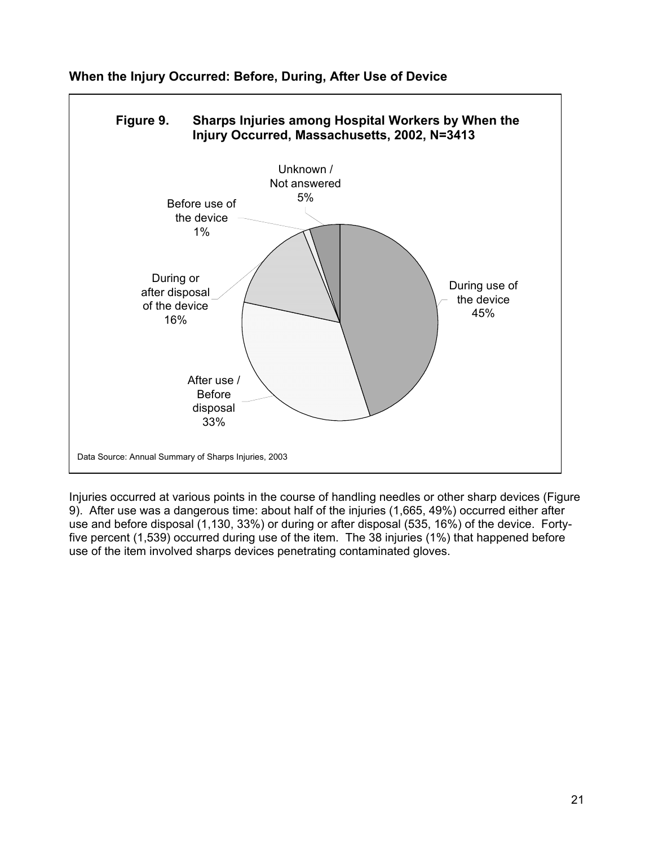

**When the Injury Occurred: Before, During, After Use of Device** 

Injuries occurred at various points in the course of handling needles or other sharp devices (Figure 9). After use was a dangerous time: about half of the injuries (1,665, 49%) occurred either after use and before disposal (1,130, 33%) or during or after disposal (535, 16%) of the device. Fortyfive percent (1,539) occurred during use of the item. The 38 injuries (1%) that happened before use of the item involved sharps devices penetrating contaminated gloves.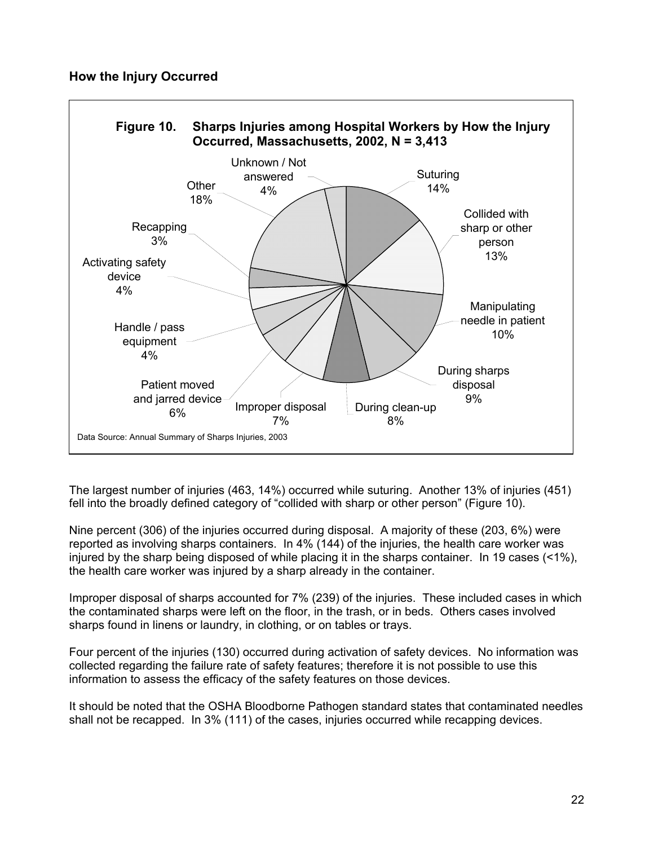

The largest number of injuries (463, 14%) occurred while suturing. Another 13% of injuries (451) fell into the broadly defined category of "collided with sharp or other person" (Figure 10).

Nine percent (306) of the injuries occurred during disposal. A majority of these (203, 6%) were reported as involving sharps containers. In 4% (144) of the injuries, the health care worker was injured by the sharp being disposed of while placing it in the sharps container. In 19 cases (<1%), the health care worker was injured by a sharp already in the container.

Improper disposal of sharps accounted for 7% (239) of the injuries. These included cases in which the contaminated sharps were left on the floor, in the trash, or in beds. Others cases involved sharps found in linens or laundry, in clothing, or on tables or trays.

Four percent of the injuries (130) occurred during activation of safety devices. No information was collected regarding the failure rate of safety features; therefore it is not possible to use this information to assess the efficacy of the safety features on those devices.

It should be noted that the OSHA Bloodborne Pathogen standard states that contaminated needles shall not be recapped. In 3% (111) of the cases, injuries occurred while recapping devices.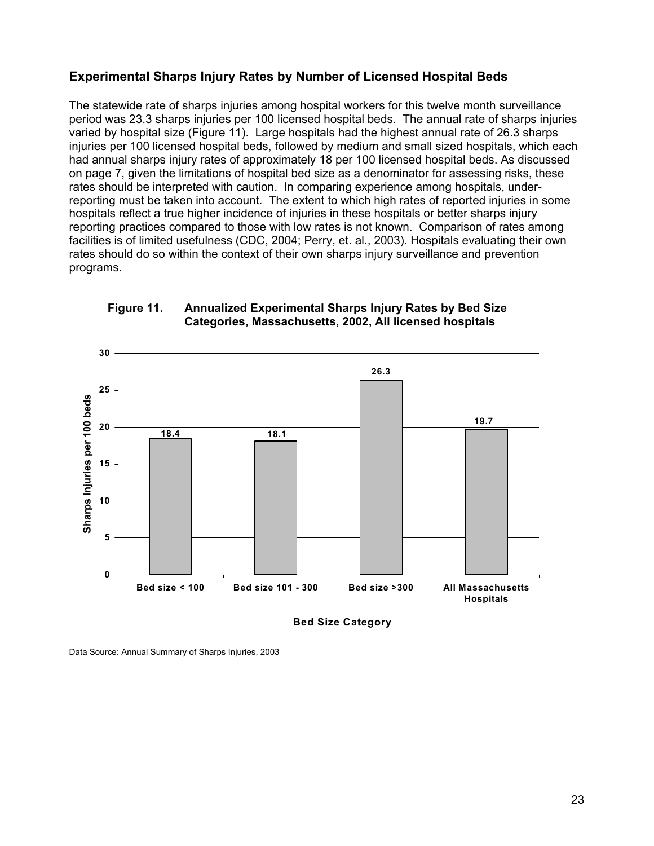#### **Experimental Sharps Injury Rates by Number of Licensed Hospital Beds**

The statewide rate of sharps injuries among hospital workers for this twelve month surveillance period was 23.3 sharps injuries per 100 licensed hospital beds. The annual rate of sharps injuries varied by hospital size (Figure 11). Large hospitals had the highest annual rate of 26.3 sharps injuries per 100 licensed hospital beds, followed by medium and small sized hospitals, which each had annual sharps injury rates of approximately 18 per 100 licensed hospital beds. As discussed on page 7, given the limitations of hospital bed size as a denominator for assessing risks, these rates should be interpreted with caution. In comparing experience among hospitals, underreporting must be taken into account. The extent to which high rates of reported injuries in some hospitals reflect a true higher incidence of injuries in these hospitals or better sharps injury reporting practices compared to those with low rates is not known. Comparison of rates among facilities is of limited usefulness (CDC, 2004; Perry, et. al., 2003). Hospitals evaluating their own rates should do so within the context of their own sharps injury surveillance and prevention programs.



#### **Figure 11. Annualized Experimental Sharps Injury Rates by Bed Size Categories, Massachusetts, 2002, All licensed hospitals**

**Bed Size Category**

Data Source: Annual Summary of Sharps Injuries, 2003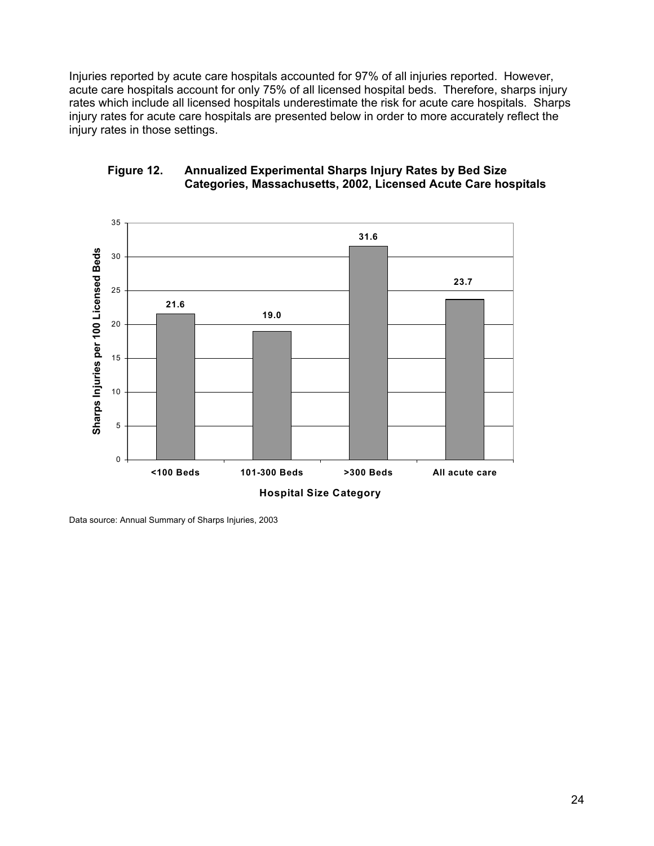Injuries reported by acute care hospitals accounted for 97% of all injuries reported. However, acute care hospitals account for only 75% of all licensed hospital beds. Therefore, sharps injury rates which include all licensed hospitals underestimate the risk for acute care hospitals. Sharps injury rates for acute care hospitals are presented below in order to more accurately reflect the injury rates in those settings.



#### **Figure 12. Annualized Experimental Sharps Injury Rates by Bed Size Categories, Massachusetts, 2002, Licensed Acute Care hospitals**

Data source: Annual Summary of Sharps Injuries, 2003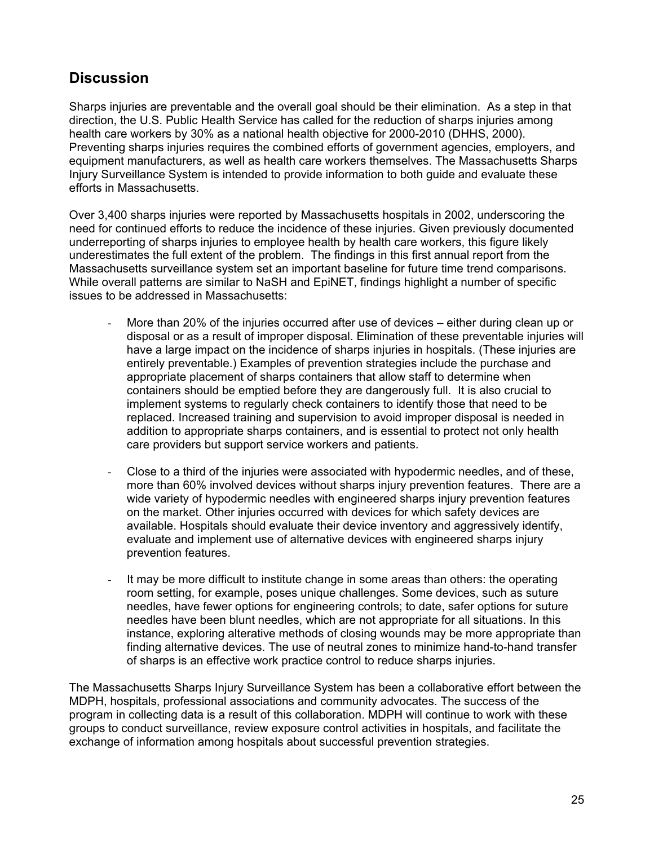## **Discussion**

Sharps injuries are preventable and the overall goal should be their elimination. As a step in that direction, the U.S. Public Health Service has called for the reduction of sharps injuries among health care workers by 30% as a national health objective for 2000-2010 (DHHS, 2000). Preventing sharps injuries requires the combined efforts of government agencies, employers, and equipment manufacturers, as well as health care workers themselves. The Massachusetts Sharps Injury Surveillance System is intended to provide information to both guide and evaluate these efforts in Massachusetts.

Over 3,400 sharps injuries were reported by Massachusetts hospitals in 2002, underscoring the need for continued efforts to reduce the incidence of these injuries. Given previously documented underreporting of sharps injuries to employee health by health care workers, this figure likely underestimates the full extent of the problem. The findings in this first annual report from the Massachusetts surveillance system set an important baseline for future time trend comparisons. While overall patterns are similar to NaSH and EpiNET, findings highlight a number of specific issues to be addressed in Massachusetts:

- More than 20% of the injuries occurred after use of devices either during clean up or disposal or as a result of improper disposal. Elimination of these preventable injuries will have a large impact on the incidence of sharps injuries in hospitals. (These injuries are entirely preventable.) Examples of prevention strategies include the purchase and appropriate placement of sharps containers that allow staff to determine when containers should be emptied before they are dangerously full. It is also crucial to implement systems to regularly check containers to identify those that need to be replaced. Increased training and supervision to avoid improper disposal is needed in addition to appropriate sharps containers, and is essential to protect not only health care providers but support service workers and patients.
- Close to a third of the injuries were associated with hypodermic needles, and of these, more than 60% involved devices without sharps injury prevention features. There are a wide variety of hypodermic needles with engineered sharps injury prevention features on the market. Other injuries occurred with devices for which safety devices are available. Hospitals should evaluate their device inventory and aggressively identify, evaluate and implement use of alternative devices with engineered sharps injury prevention features.
- It may be more difficult to institute change in some areas than others: the operating room setting, for example, poses unique challenges. Some devices, such as suture needles, have fewer options for engineering controls; to date, safer options for suture needles have been blunt needles, which are not appropriate for all situations. In this instance, exploring alterative methods of closing wounds may be more appropriate than finding alternative devices. The use of neutral zones to minimize hand-to-hand transfer of sharps is an effective work practice control to reduce sharps injuries.

The Massachusetts Sharps Injury Surveillance System has been a collaborative effort between the MDPH, hospitals, professional associations and community advocates. The success of the program in collecting data is a result of this collaboration. MDPH will continue to work with these groups to conduct surveillance, review exposure control activities in hospitals, and facilitate the exchange of information among hospitals about successful prevention strategies.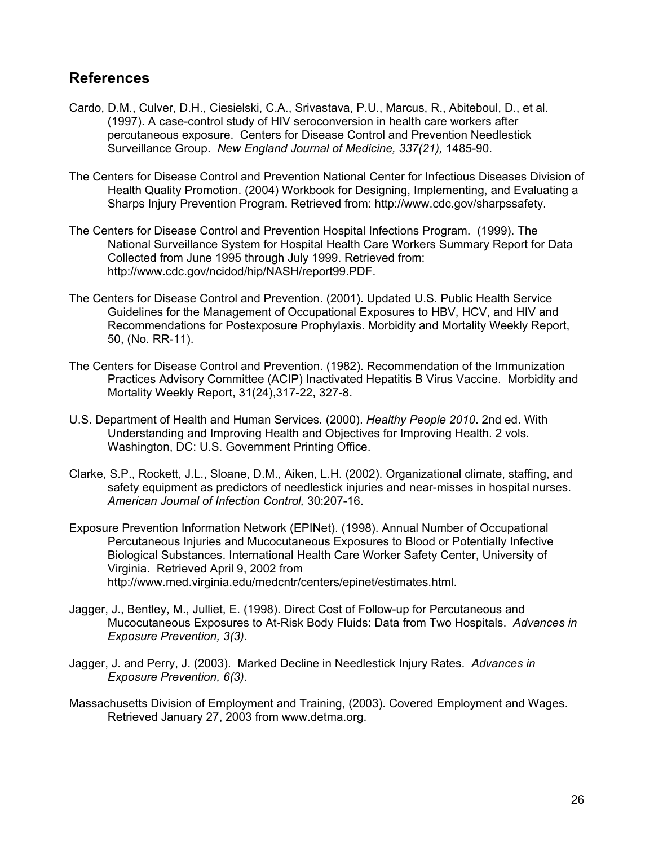## **References**

- Cardo, D.M., Culver, D.H., Ciesielski, C.A., Srivastava, P.U., Marcus, R., Abiteboul, D., et al. (1997). A case-control study of HIV seroconversion in health care workers after percutaneous exposure. Centers for Disease Control and Prevention Needlestick Surveillance Group. *New England Journal of Medicine, 337(21),* 1485-90.
- The Centers for Disease Control and Prevention National Center for Infectious Diseases Division of Health Quality Promotion. (2004) Workbook for Designing, Implementing, and Evaluating a Sharps Injury Prevention Program. Retrieved from: http://www.cdc.gov/sharpssafety.
- The Centers for Disease Control and Prevention Hospital Infections Program. (1999). The National Surveillance System for Hospital Health Care Workers Summary Report for Data Collected from June 1995 through July 1999. Retrieved from: http://www.cdc.gov/ncidod/hip/NASH/report99.PDF.
- The Centers for Disease Control and Prevention. (2001). Updated U.S. Public Health Service Guidelines for the Management of Occupational Exposures to HBV, HCV, and HIV and Recommendations for Postexposure Prophylaxis. Morbidity and Mortality Weekly Report, 50, (No. RR-11).
- The Centers for Disease Control and Prevention. (1982). Recommendation of the Immunization Practices Advisory Committee (ACIP) Inactivated Hepatitis B Virus Vaccine. Morbidity and Mortality Weekly Report, 31(24),317-22, 327-8.
- U.S. Department of Health and Human Services. (2000). *Healthy People 2010*. 2nd ed. With Understanding and Improving Health and Objectives for Improving Health. 2 vols. Washington, DC: U.S. Government Printing Office.
- Clarke, S.P., Rockett, J.L., Sloane, D.M., Aiken, L.H. (2002). Organizational climate, staffing, and safety equipment as predictors of needlestick injuries and near-misses in hospital nurses. *American Journal of Infection Control,* 30:207-16.
- Exposure Prevention Information Network (EPINet). (1998). Annual Number of Occupational Percutaneous Injuries and Mucocutaneous Exposures to Blood or Potentially Infective Biological Substances. International Health Care Worker Safety Center, University of Virginia. Retrieved April 9, 2002 from http://www.med.virginia.edu/medcntr/centers/epinet/estimates.html.
- Jagger, J., Bentley, M., Julliet, E. (1998). Direct Cost of Follow-up for Percutaneous and Mucocutaneous Exposures to At-Risk Body Fluids: Data from Two Hospitals. *Advances in Exposure Prevention, 3(3).*
- Jagger, J. and Perry, J. (2003). Marked Decline in Needlestick Injury Rates. *Advances in Exposure Prevention, 6(3).*
- Massachusetts Division of Employment and Training, (2003). Covered Employment and Wages. Retrieved January 27, 2003 from www.detma.org.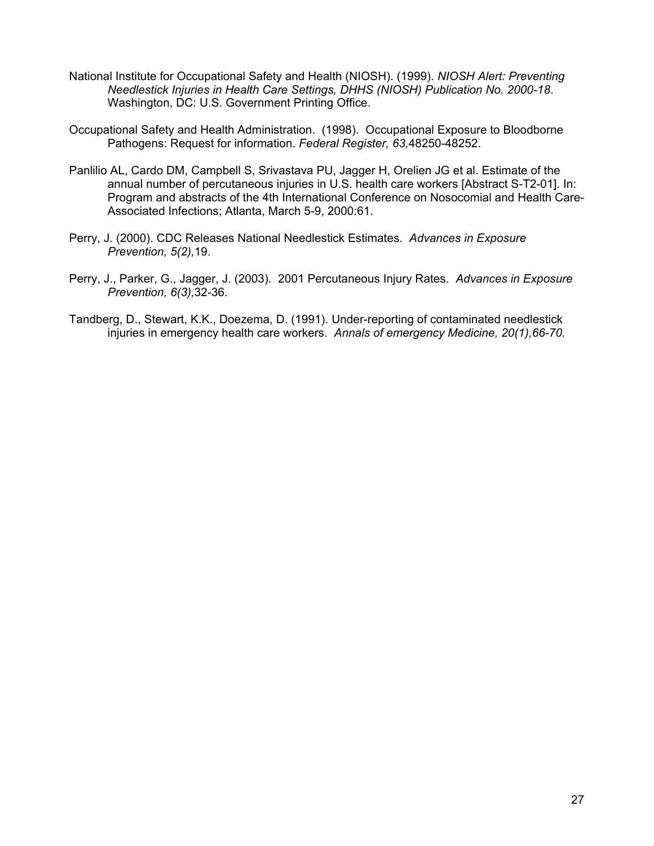- National Institute for Occupational Safety and Health (NIOSH). (1999). *NIOSH Alert: Preventing Needlestick Injuries in Health Care Settings, DHHS (NIOSH) Publication No. 2000-18*. Washington, DC: U.S. Government Printing Office.
- Occupational Safety and Health Administration. (1998). Occupational Exposure to Bloodborne Pathogens: Request for information. *Federal Register, 63,*48250-48252.
- Panlilio AL, Cardo DM, Campbell S, Srivastava PU, Jagger H, Orelien JG et al. Estimate of the annual number of percutaneous injuries in U.S. health care workers [Abstract S-T2-01]. In: Program and abstracts of the 4th International Conference on Nosocomial and Health Care-Associated Infections; Atlanta, March 5-9, 2000:61.
- Perry, J. (2000). CDC Releases National Needlestick Estimates. *Advances in Exposure Prevention, 5(2),*19.
- Perry, J., Parker, G., Jagger, J. (2003). 2001 Percutaneous Injury Rates. *Advances in Exposure Prevention, 6(3),*32-36.
- Tandberg, D., Stewart, K.K., Doezema, D. (1991). Under-reporting of contaminated needlestick injuries in emergency health care workers. *Annals of emergency Medicine, 20(1),66-70.*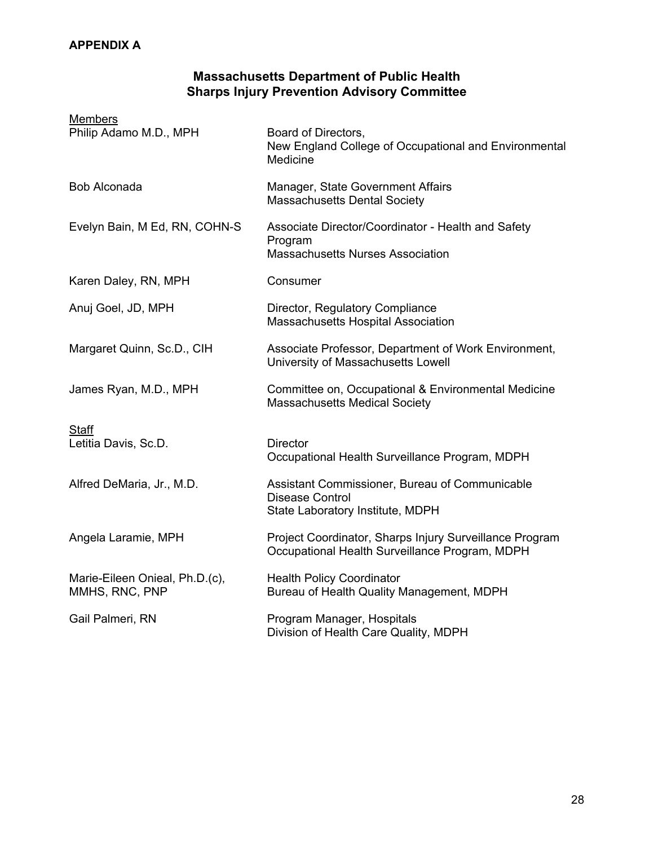#### **APPENDIX A**

#### **Massachusetts Department of Public Health Sharps Injury Prevention Advisory Committee**

| <b>Members</b>                                   |                                                                                                              |
|--------------------------------------------------|--------------------------------------------------------------------------------------------------------------|
| Philip Adamo M.D., MPH                           | Board of Directors,<br>New England College of Occupational and Environmental<br>Medicine                     |
| <b>Bob Alconada</b>                              | Manager, State Government Affairs<br>Massachusetts Dental Society                                            |
| Evelyn Bain, M Ed, RN, COHN-S                    | Associate Director/Coordinator - Health and Safety<br>Program<br><b>Massachusetts Nurses Association</b>     |
| Karen Daley, RN, MPH                             | Consumer                                                                                                     |
| Anuj Goel, JD, MPH                               | Director, Regulatory Compliance<br><b>Massachusetts Hospital Association</b>                                 |
| Margaret Quinn, Sc.D., CIH                       | Associate Professor, Department of Work Environment,<br>University of Massachusetts Lowell                   |
| James Ryan, M.D., MPH                            | Committee on, Occupational & Environmental Medicine<br><b>Massachusetts Medical Society</b>                  |
| Staff<br>Letitia Davis, Sc.D.                    | <b>Director</b><br>Occupational Health Surveillance Program, MDPH                                            |
| Alfred DeMaria, Jr., M.D.                        | Assistant Commissioner, Bureau of Communicable<br><b>Disease Control</b><br>State Laboratory Institute, MDPH |
| Angela Laramie, MPH                              | Project Coordinator, Sharps Injury Surveillance Program<br>Occupational Health Surveillance Program, MDPH    |
| Marie-Eileen Onieal, Ph.D.(c),<br>MMHS, RNC, PNP | <b>Health Policy Coordinator</b><br>Bureau of Health Quality Management, MDPH                                |
| Gail Palmeri, RN                                 | Program Manager, Hospitals<br>Division of Health Care Quality, MDPH                                          |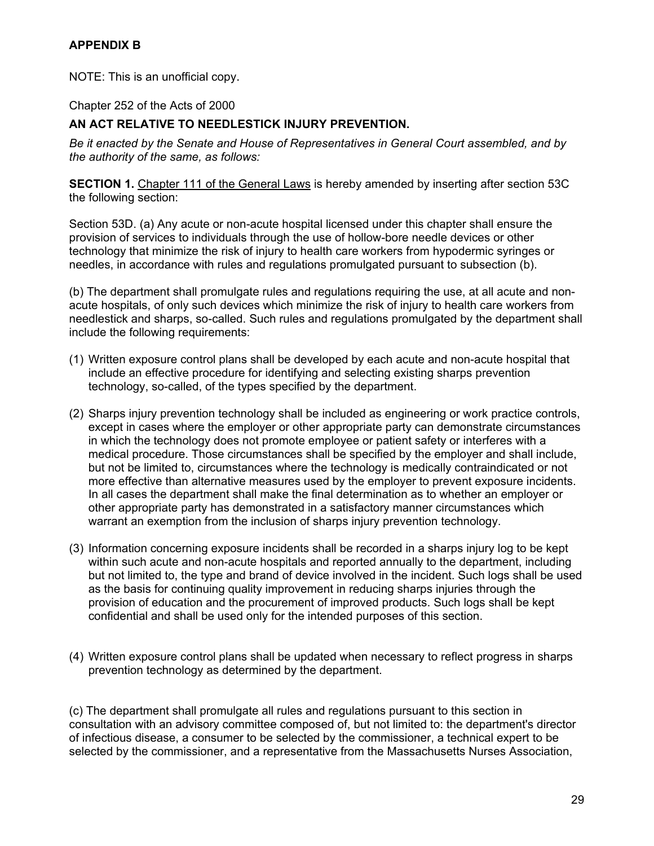#### **APPENDIX B**

NOTE: This is an unofficial copy.

Chapter 252 of the Acts of 2000

#### **AN ACT RELATIVE TO NEEDLESTICK INJURY PREVENTION.**

*Be it enacted by the Senate and House of Representatives in General Court assembled, and by the authority of the same, as follows:*

**SECTION 1.** Chapter 111 of the General Laws is hereby amended by inserting after section 53C the following section:

Section 53D. (a) Any acute or non-acute hospital licensed under this chapter shall ensure the provision of services to individuals through the use of hollow-bore needle devices or other technology that minimize the risk of injury to health care workers from hypodermic syringes or needles, in accordance with rules and regulations promulgated pursuant to subsection (b).

(b) The department shall promulgate rules and regulations requiring the use, at all acute and nonacute hospitals, of only such devices which minimize the risk of injury to health care workers from needlestick and sharps, so-called. Such rules and regulations promulgated by the department shall include the following requirements:

- (1) Written exposure control plans shall be developed by each acute and non-acute hospital that include an effective procedure for identifying and selecting existing sharps prevention technology, so-called, of the types specified by the department.
- (2) Sharps injury prevention technology shall be included as engineering or work practice controls, except in cases where the employer or other appropriate party can demonstrate circumstances in which the technology does not promote employee or patient safety or interferes with a medical procedure. Those circumstances shall be specified by the employer and shall include, but not be limited to, circumstances where the technology is medically contraindicated or not more effective than alternative measures used by the employer to prevent exposure incidents. In all cases the department shall make the final determination as to whether an employer or other appropriate party has demonstrated in a satisfactory manner circumstances which warrant an exemption from the inclusion of sharps injury prevention technology.
- (3) Information concerning exposure incidents shall be recorded in a sharps injury log to be kept within such acute and non-acute hospitals and reported annually to the department, including but not limited to, the type and brand of device involved in the incident. Such logs shall be used as the basis for continuing quality improvement in reducing sharps injuries through the provision of education and the procurement of improved products. Such logs shall be kept confidential and shall be used only for the intended purposes of this section.
- (4) Written exposure control plans shall be updated when necessary to reflect progress in sharps prevention technology as determined by the department.

(c) The department shall promulgate all rules and regulations pursuant to this section in consultation with an advisory committee composed of, but not limited to: the department's director of infectious disease, a consumer to be selected by the commissioner, a technical expert to be selected by the commissioner, and a representative from the Massachusetts Nurses Association,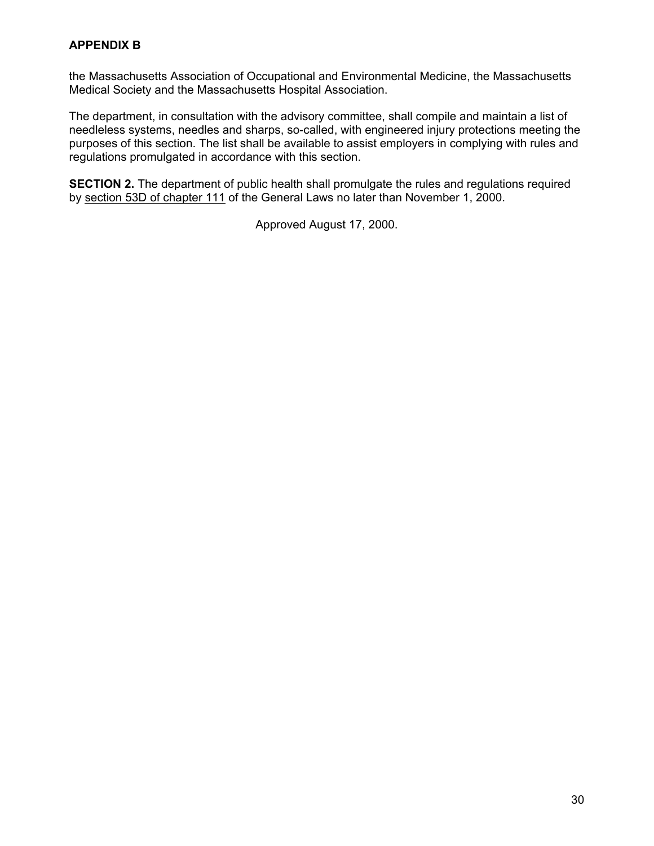#### **APPENDIX B**

the Massachusetts Association of Occupational and Environmental Medicine, the Massachusetts Medical Society and the Massachusetts Hospital Association.

The department, in consultation with the advisory committee, shall compile and maintain a list of needleless systems, needles and sharps, so-called, with engineered injury protections meeting the purposes of this section. The list shall be available to assist employers in complying with rules and regulations promulgated in accordance with this section.

**SECTION 2.** The department of public health shall promulgate the rules and regulations required by section 53D of chapter 111 of the General Laws no later than November 1, 2000.

Approved August 17, 2000.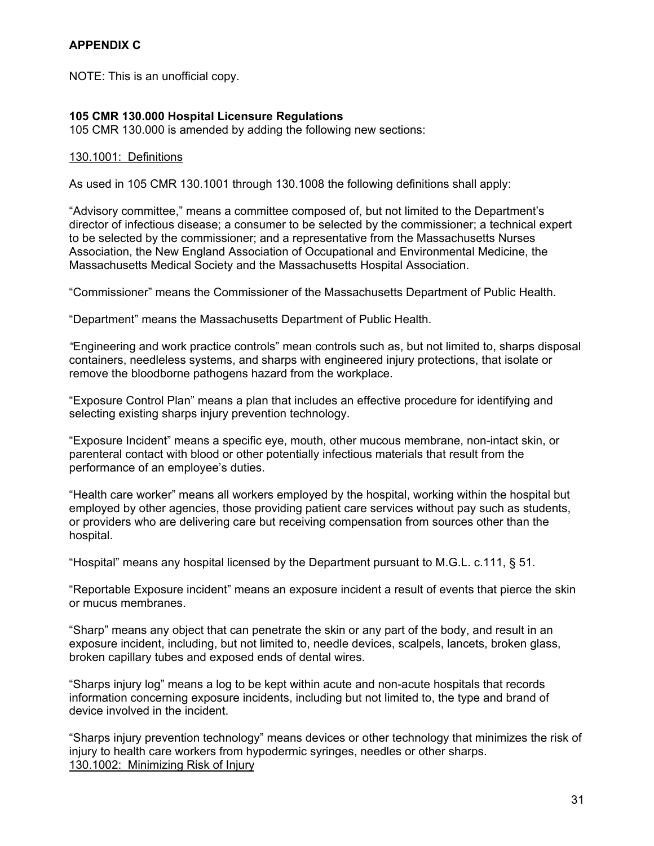NOTE: This is an unofficial copy.

#### **105 CMR 130.000 Hospital Licensure Regulations**

105 CMR 130.000 is amended by adding the following new sections:

#### 130.1001: Definitions

As used in 105 CMR 130.1001 through 130.1008 the following definitions shall apply:

"Advisory committee," means a committee composed of, but not limited to the Department's director of infectious disease; a consumer to be selected by the commissioner; a technical expert to be selected by the commissioner; and a representative from the Massachusetts Nurses Association, the New England Association of Occupational and Environmental Medicine, the Massachusetts Medical Society and the Massachusetts Hospital Association.

"Commissioner" means the Commissioner of the Massachusetts Department of Public Health.

"Department" means the Massachusetts Department of Public Health.

*"*Engineering and work practice controls" mean controls such as, but not limited to, sharps disposal containers, needleless systems, and sharps with engineered injury protections, that isolate or remove the bloodborne pathogens hazard from the workplace.

"Exposure Control Plan" means a plan that includes an effective procedure for identifying and selecting existing sharps injury prevention technology.

"Exposure Incident" means a specific eye, mouth, other mucous membrane, non-intact skin, or parenteral contact with blood or other potentially infectious materials that result from the performance of an employee's duties.

"Health care worker" means all workers employed by the hospital, working within the hospital but employed by other agencies, those providing patient care services without pay such as students, or providers who are delivering care but receiving compensation from sources other than the hospital.

"Hospital" means any hospital licensed by the Department pursuant to M.G.L. c.111,  $\S$  51.

"Reportable Exposure incident" means an exposure incident a result of events that pierce the skin or mucus membranes.

"Sharp" means any object that can penetrate the skin or any part of the body, and result in an exposure incident, including, but not limited to, needle devices, scalpels, lancets, broken glass, broken capillary tubes and exposed ends of dental wires.

"Sharps injury log" means a log to be kept within acute and non-acute hospitals that records information concerning exposure incidents, including but not limited to, the type and brand of device involved in the incident.

"Sharps injury prevention technology" means devices or other technology that minimizes the risk of injury to health care workers from hypodermic syringes, needles or other sharps. 130.1002: Minimizing Risk of Injury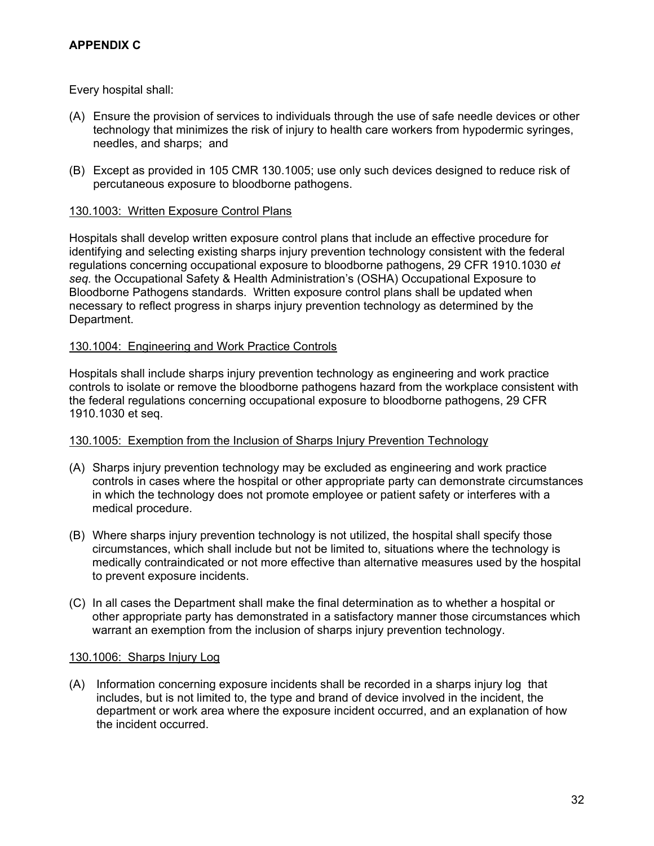#### **APPENDIX C**

Every hospital shall:

- (A) Ensure the provision of services to individuals through the use of safe needle devices or other technology that minimizes the risk of injury to health care workers from hypodermic syringes, needles, and sharps; and
- (B) Except as provided in 105 CMR 130.1005; use only such devices designed to reduce risk of percutaneous exposure to bloodborne pathogens.

#### 130.1003: Written Exposure Control Plans

Hospitals shall develop written exposure control plans that include an effective procedure for identifying and selecting existing sharps injury prevention technology consistent with the federal regulations concerning occupational exposure to bloodborne pathogens, 29 CFR 1910.1030 *et seq.* the Occupational Safety & Health Administration's (OSHA) Occupational Exposure to Bloodborne Pathogens standards. Written exposure control plans shall be updated when necessary to reflect progress in sharps injury prevention technology as determined by the Department.

#### 130.1004: Engineering and Work Practice Controls

Hospitals shall include sharps injury prevention technology as engineering and work practice controls to isolate or remove the bloodborne pathogens hazard from the workplace consistent with the federal regulations concerning occupational exposure to bloodborne pathogens, 29 CFR 1910.1030 et seq.

#### 130.1005: Exemption from the Inclusion of Sharps Injury Prevention Technology

- (A) Sharps injury prevention technology may be excluded as engineering and work practice controls in cases where the hospital or other appropriate party can demonstrate circumstances in which the technology does not promote employee or patient safety or interferes with a medical procedure.
- (B) Where sharps injury prevention technology is not utilized, the hospital shall specify those circumstances, which shall include but not be limited to, situations where the technology is medically contraindicated or not more effective than alternative measures used by the hospital to prevent exposure incidents.
- (C) In all cases the Department shall make the final determination as to whether a hospital or other appropriate party has demonstrated in a satisfactory manner those circumstances which warrant an exemption from the inclusion of sharps injury prevention technology.

#### 130.1006: Sharps Injury Log

(A) Information concerning exposure incidents shall be recorded in a sharps injury log that includes, but is not limited to, the type and brand of device involved in the incident, the department or work area where the exposure incident occurred, and an explanation of how the incident occurred.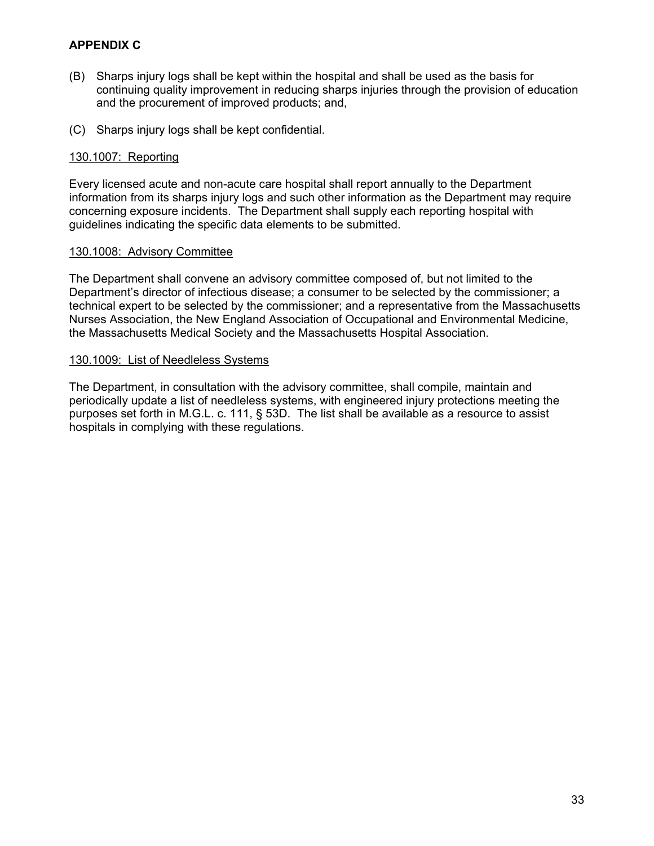#### **APPENDIX C**

- (B) Sharps injury logs shall be kept within the hospital and shall be used as the basis for continuing quality improvement in reducing sharps injuries through the provision of education and the procurement of improved products; and,
- (C) Sharps injury logs shall be kept confidential.

#### 130.1007: Reporting

Every licensed acute and non-acute care hospital shall report annually to the Department information from its sharps injury logs and such other information as the Department may require concerning exposure incidents. The Department shall supply each reporting hospital with guidelines indicating the specific data elements to be submitted.

#### 130.1008: Advisory Committee

The Department shall convene an advisory committee composed of, but not limited to the Department's director of infectious disease; a consumer to be selected by the commissioner; a technical expert to be selected by the commissioner; and a representative from the Massachusetts Nurses Association, the New England Association of Occupational and Environmental Medicine, the Massachusetts Medical Society and the Massachusetts Hospital Association.

#### 130.1009: List of Needleless Systems

The Department, in consultation with the advisory committee, shall compile, maintain and periodically update a list of needleless systems, with engineered injury protections meeting the purposes set forth in M.G.L. c. 111, § 53D. The list shall be available as a resource to assist hospitals in complying with these regulations.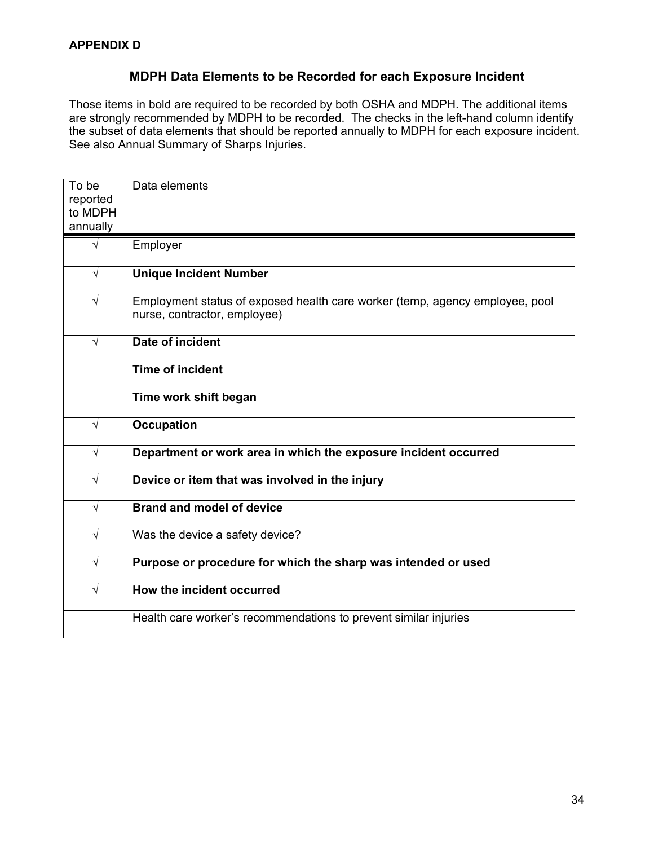#### **MDPH Data Elements to be Recorded for each Exposure Incident**

Those items in bold are required to be recorded by both OSHA and MDPH. The additional items are strongly recommended by MDPH to be recorded. The checks in the left-hand column identify the subset of data elements that should be reported annually to MDPH for each exposure incident. See also Annual Summary of Sharps Injuries.

| To be<br>reported<br>to MDPH<br>annually | Data elements                                                                                                |
|------------------------------------------|--------------------------------------------------------------------------------------------------------------|
| $\sqrt{ }$                               | Employer                                                                                                     |
| $\sqrt{ }$                               | <b>Unique Incident Number</b>                                                                                |
|                                          |                                                                                                              |
| $\sqrt{}$                                | Employment status of exposed health care worker (temp, agency employee, pool<br>nurse, contractor, employee) |
| $\sqrt{}$                                | Date of incident                                                                                             |
|                                          | <b>Time of incident</b>                                                                                      |
|                                          | Time work shift began                                                                                        |
| $\sqrt{ }$                               | <b>Occupation</b>                                                                                            |
| $\sqrt{ }$                               | Department or work area in which the exposure incident occurred                                              |
| $\sqrt{}$                                | Device or item that was involved in the injury                                                               |
| $\sqrt{ }$                               | <b>Brand and model of device</b>                                                                             |
| $\sqrt{ }$                               | Was the device a safety device?                                                                              |
| $\sqrt{ }$                               | Purpose or procedure for which the sharp was intended or used                                                |
| $\sqrt{}$                                | How the incident occurred                                                                                    |
|                                          | Health care worker's recommendations to prevent similar injuries                                             |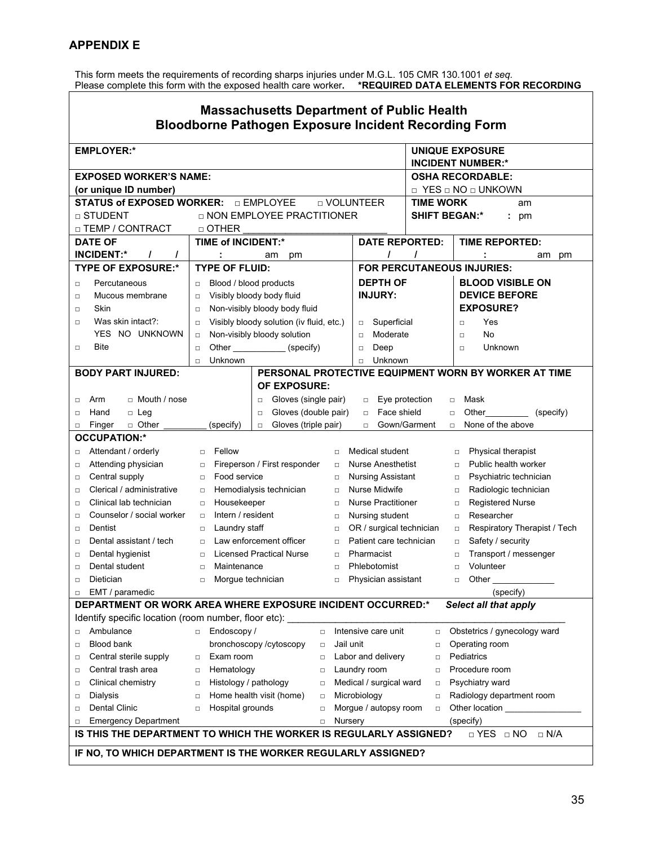This form meets the requirements of recording sharps injuries under M.G.L. 105 CMR 130.1001 *et seq.*  Please complete this form with the exposed health care worker**. \*REQUIRED DATA ELEMENTS FOR RECORDING**

| <b>Massachusetts Department of Public Health</b><br><b>Bloodborne Pathogen Exposure Incident Recording Form</b> |                                                                   |                                    |                                                      |  |  |  |  |  |
|-----------------------------------------------------------------------------------------------------------------|-------------------------------------------------------------------|------------------------------------|------------------------------------------------------|--|--|--|--|--|
| <b>EMPLOYER:*</b>                                                                                               |                                                                   |                                    | <b>UNIQUE EXPOSURE</b><br><b>INCIDENT NUMBER:*</b>   |  |  |  |  |  |
| <b>EXPOSED WORKER'S NAME:</b>                                                                                   |                                                                   |                                    | <b>OSHA RECORDABLE:</b>                              |  |  |  |  |  |
|                                                                                                                 |                                                                   |                                    |                                                      |  |  |  |  |  |
| (or unique ID number)                                                                                           | □ EMPLOYEE<br>□ VOLUNTEER                                         |                                    | □ YES □ NO □ UNKOWN                                  |  |  |  |  |  |
| <b>STATUS of EXPOSED WORKER:</b>                                                                                |                                                                   | <b>TIME WORK</b>                   | am                                                   |  |  |  |  |  |
| □ STUDENT                                                                                                       | □ NON EMPLOYEE PRACTITIONER                                       | <b>SHIFT BEGAN:*</b>               | $: \text{pm}$                                        |  |  |  |  |  |
| □ TEMP / CONTRACT                                                                                               | $\Box$ OTHER                                                      |                                    |                                                      |  |  |  |  |  |
| <b>DATE OF</b>                                                                                                  | <b>TIME of INCIDENT:*</b>                                         | <b>DATE REPORTED:</b>              | <b>TIME REPORTED:</b>                                |  |  |  |  |  |
| <b>INCIDENT:*</b><br>$\prime$                                                                                   | am<br>pm                                                          | $\prime$<br>I                      | am<br>pm                                             |  |  |  |  |  |
| <b>TYPE OF EXPOSURE:*</b>                                                                                       | <b>TYPE OF FLUID:</b>                                             | FOR PERCUTANEOUS INJURIES:         |                                                      |  |  |  |  |  |
| Percutaneous<br>□                                                                                               | Blood / blood products<br>$\Box$                                  | <b>DEPTH OF</b>                    | <b>BLOOD VISIBLE ON</b>                              |  |  |  |  |  |
| Mucous membrane<br>□                                                                                            | Visibly bloody body fluid<br>□                                    | <b>INJURY:</b>                     | <b>DEVICE BEFORE</b>                                 |  |  |  |  |  |
| Skin<br>□                                                                                                       | Non-visibly bloody body fluid<br>▫                                |                                    | <b>EXPOSURE?</b>                                     |  |  |  |  |  |
| Was skin intact?:<br>□                                                                                          | Visibly bloody solution (iv fluid, etc.)<br>□                     | Superficial<br>$\Box$              | Yes<br>$\Box$                                        |  |  |  |  |  |
| YES NO UNKNOWN                                                                                                  | Non-visibly bloody solution<br>$\Box$                             | Moderate<br>$\Box$                 | No<br>$\Box$                                         |  |  |  |  |  |
| Bite<br>□                                                                                                       | Other (specify)<br>$\Box$                                         | Deep<br>$\Box$                     | Unknown<br>$\Box$                                    |  |  |  |  |  |
|                                                                                                                 | Unknown<br>$\Box$                                                 | Unknown<br>$\Box$                  |                                                      |  |  |  |  |  |
| <b>BODY PART INJURED:</b>                                                                                       |                                                                   |                                    | PERSONAL PROTECTIVE EQUIPMENT WORN BY WORKER AT TIME |  |  |  |  |  |
|                                                                                                                 | <b>OF EXPOSURE:</b>                                               |                                    |                                                      |  |  |  |  |  |
| □ Mouth / nose<br>Arm<br>□                                                                                      | Gloves (single pair)<br>$\Box$                                    | Eye protection<br>$\Box$<br>$\Box$ | Mask                                                 |  |  |  |  |  |
| Hand<br>□ Leg<br>▫                                                                                              | Gloves (double pair)<br>$\Box$                                    | Face shield<br>$\Box$<br>$\Box$    | Other<br>(specify)                                   |  |  |  |  |  |
| □ Other<br>Finger<br>$\Box$                                                                                     | Gloves (triple pair)<br>(specify)<br>$\Box$                       | Gown/Garment<br>$\Box$<br>$\Box$   | None of the above                                    |  |  |  |  |  |
| <b>OCCUPATION:*</b>                                                                                             |                                                                   |                                    |                                                      |  |  |  |  |  |
| Attendant / orderly<br>□                                                                                        | Fellow<br>$\Box$<br>$\Box$                                        | Medical student                    | Physical therapist<br>$\Box$                         |  |  |  |  |  |
| Attending physician<br>□                                                                                        | Fireperson / First responder<br>$\Box$<br>$\Box$                  | <b>Nurse Anesthetist</b>           | Public health worker<br>$\Box$                       |  |  |  |  |  |
| Central supply<br>□                                                                                             | Food service<br>$\Box$<br>□                                       | <b>Nursing Assistant</b>           | Psychiatric technician<br>$\Box$                     |  |  |  |  |  |
| Clerical / administrative<br>о                                                                                  | Hemodialysis technician<br>$\Box$<br>$\Box$                       | Nurse Midwife                      | Radiologic technician<br>$\Box$                      |  |  |  |  |  |
| Clinical lab technician<br>□                                                                                    | Housekeeper<br>$\Box$<br>▫                                        | <b>Nurse Practitioner</b>          | <b>Registered Nurse</b><br>$\Box$                    |  |  |  |  |  |
| Counselor / social worker<br>□                                                                                  | Intern / resident<br>□<br>□                                       | Nursing student                    | Researcher<br>$\Box$                                 |  |  |  |  |  |
| Dentist<br>□                                                                                                    | Laundry staff<br>□<br>□                                           | OR / surgical technician           | Respiratory Therapist / Tech<br>$\Box$               |  |  |  |  |  |
| Dental assistant / tech<br>□                                                                                    | Law enforcement officer<br>$\Box$<br>$\Box$                       | Patient care technician            | Safety / security<br>$\Box$                          |  |  |  |  |  |
| Dental hygienist<br>□                                                                                           | <b>Licensed Practical Nurse</b><br>$\Box$<br>▫                    | Pharmacist                         | Transport / messenger<br>$\Box$                      |  |  |  |  |  |
| Dental student<br>□                                                                                             | Maintenance<br>$\Box$<br>▫                                        | Phlebotomist                       | Volunteer<br>$\Box$                                  |  |  |  |  |  |
| Dietician<br>□                                                                                                  | Morgue technician<br>$\Box$<br>$\Box$                             | Physician assistant                | Other<br>□                                           |  |  |  |  |  |
| EMT / paramedic<br>0                                                                                            |                                                                   |                                    | (specify)                                            |  |  |  |  |  |
|                                                                                                                 | DEPARTMENT OR WORK AREA WHERE EXPOSURE INCIDENT OCCURRED:*        |                                    | Select all that apply                                |  |  |  |  |  |
| Identify specific location (room number, floor etc):                                                            |                                                                   |                                    |                                                      |  |  |  |  |  |
| Ambulance<br>□                                                                                                  | Endoscopy /<br>$\Box$<br>$\Box$                                   | Intensive care unit<br>□           | Obstetrics / gynecology ward                         |  |  |  |  |  |
| <b>Blood bank</b><br>$\Box$                                                                                     | Jail unit<br>bronchoscopy /cytoscopy<br>$\Box$                    | $\Box$                             | Operating room                                       |  |  |  |  |  |
| Central sterile supply<br>$\Box$                                                                                | Exam room<br>$\Box$<br>$\Box$                                     | Labor and delivery<br>$\Box$       | Pediatrics                                           |  |  |  |  |  |
| Central trash area<br>ο                                                                                         | Hematology<br>$\Box$<br>$\Box$                                    | Laundry room<br>$\Box$             | Procedure room                                       |  |  |  |  |  |
| Clinical chemistry<br>α                                                                                         | Histology / pathology<br>$\Box$<br>$\Box$                         | Medical / surgical ward<br>$\Box$  | Psychiatry ward                                      |  |  |  |  |  |
| Dialysis<br>$\Box$                                                                                              | Home health visit (home)<br>$\Box$<br>$\Box$                      | Microbiology<br>$\Box$             | Radiology department room                            |  |  |  |  |  |
| <b>Dental Clinic</b><br>□                                                                                       | Hospital grounds<br>$\Box$<br>$\Box$                              | Morgue / autopsy room<br>$\Box$    | Other location                                       |  |  |  |  |  |
| <b>Emergency Department</b><br>□                                                                                | Nursery<br>$\Box$                                                 |                                    | (specify)                                            |  |  |  |  |  |
|                                                                                                                 | IS THIS THE DEPARTMENT TO WHICH THE WORKER IS REGULARLY ASSIGNED? |                                    | $\Box$ N/A<br>$\Box$ YES $\Box$ NO                   |  |  |  |  |  |
|                                                                                                                 | IF NO, TO WHICH DEPARTMENT IS THE WORKER REGULARLY ASSIGNED?      |                                    |                                                      |  |  |  |  |  |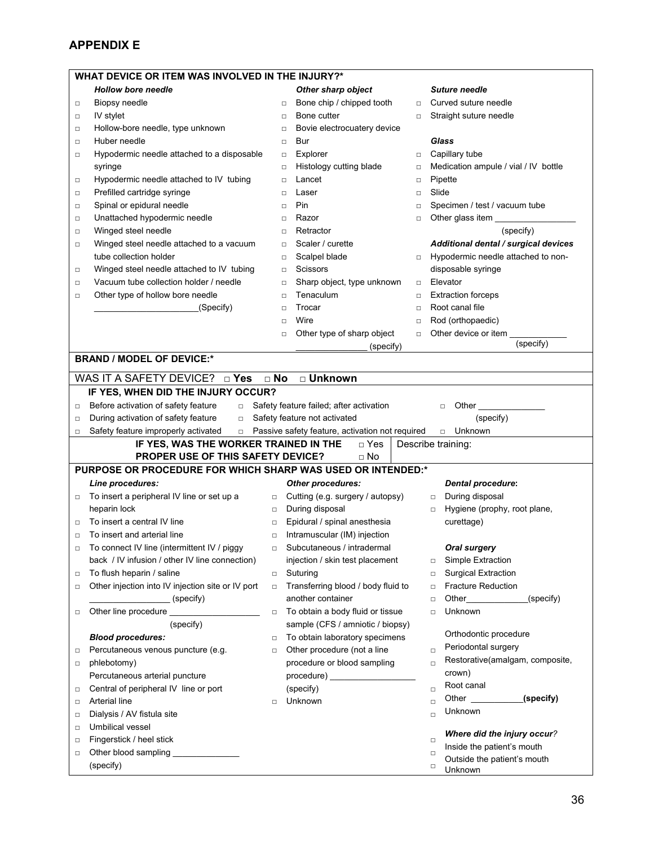|                                                                                    | WHAT DEVICE OR ITEM WAS INVOLVED IN THE INJURY?*            |           |                                                                                                                                                                                                                                |        |                                                                                                                                                                                                                                                       |  |  |  |  |
|------------------------------------------------------------------------------------|-------------------------------------------------------------|-----------|--------------------------------------------------------------------------------------------------------------------------------------------------------------------------------------------------------------------------------|--------|-------------------------------------------------------------------------------------------------------------------------------------------------------------------------------------------------------------------------------------------------------|--|--|--|--|
|                                                                                    | <b>Hollow bore needle</b>                                   |           | Other sharp object                                                                                                                                                                                                             |        | <b>Suture needle</b>                                                                                                                                                                                                                                  |  |  |  |  |
| Biopsy needle<br>$\Box$                                                            |                                                             | $\Box$    | Bone chip / chipped tooth                                                                                                                                                                                                      | $\Box$ | Curved suture needle                                                                                                                                                                                                                                  |  |  |  |  |
| IV stylet<br>$\Box$                                                                |                                                             | $\Box$    | Bone cutter                                                                                                                                                                                                                    | $\Box$ | Straight suture needle                                                                                                                                                                                                                                |  |  |  |  |
| $\Box$                                                                             | Hollow-bore needle, type unknown                            | □         | Bovie electrocuatery device                                                                                                                                                                                                    |        |                                                                                                                                                                                                                                                       |  |  |  |  |
| Huber needle<br>$\Box$                                                             |                                                             | $\Box$    | Bur                                                                                                                                                                                                                            |        | Glass                                                                                                                                                                                                                                                 |  |  |  |  |
| □                                                                                  | Hypodermic needle attached to a disposable                  | $\Box$    | Explorer                                                                                                                                                                                                                       | $\Box$ | Capillary tube                                                                                                                                                                                                                                        |  |  |  |  |
| syringe                                                                            |                                                             | $\Box$    | Histology cutting blade                                                                                                                                                                                                        | $\Box$ | Medication ampule / vial / IV bottle                                                                                                                                                                                                                  |  |  |  |  |
| о                                                                                  | Hypodermic needle attached to IV tubing                     | $\Box$    | Lancet                                                                                                                                                                                                                         | $\Box$ | Pipette                                                                                                                                                                                                                                               |  |  |  |  |
| $\Box$                                                                             | Prefilled cartridge syringe                                 | $\Box$    | Laser                                                                                                                                                                                                                          | $\Box$ | Slide                                                                                                                                                                                                                                                 |  |  |  |  |
| $\Box$                                                                             | Spinal or epidural needle                                   | $\Box$    | Pin                                                                                                                                                                                                                            | $\Box$ | Specimen / test / vacuum tube                                                                                                                                                                                                                         |  |  |  |  |
| $\Box$                                                                             | Unattached hypodermic needle                                | □         | Razor                                                                                                                                                                                                                          | $\Box$ | Other glass item                                                                                                                                                                                                                                      |  |  |  |  |
|                                                                                    | Winged steel needle                                         | $\Box$    | Retractor                                                                                                                                                                                                                      |        | (specify)                                                                                                                                                                                                                                             |  |  |  |  |
| $\Box$                                                                             | Winged steel needle attached to a vacuum                    |           | Scaler / curette                                                                                                                                                                                                               |        | Additional dental / surgical devices                                                                                                                                                                                                                  |  |  |  |  |
| □                                                                                  |                                                             | $\Box$    |                                                                                                                                                                                                                                |        |                                                                                                                                                                                                                                                       |  |  |  |  |
|                                                                                    | tube collection holder                                      | $\Box$    | Scalpel blade                                                                                                                                                                                                                  | $\Box$ | Hypodermic needle attached to non-                                                                                                                                                                                                                    |  |  |  |  |
| $\Box$                                                                             | Winged steel needle attached to IV tubing                   | $\Box$    | Scissors                                                                                                                                                                                                                       |        | disposable syringe                                                                                                                                                                                                                                    |  |  |  |  |
| $\Box$                                                                             | Vacuum tube collection holder / needle                      | $\Box$    | Sharp object, type unknown                                                                                                                                                                                                     | $\Box$ | Elevator                                                                                                                                                                                                                                              |  |  |  |  |
| □                                                                                  | Other type of hollow bore needle                            | $\Box$    | Tenaculum                                                                                                                                                                                                                      | $\Box$ | <b>Extraction forceps</b>                                                                                                                                                                                                                             |  |  |  |  |
|                                                                                    | (Specify)                                                   | $\Box$    | Trocar                                                                                                                                                                                                                         | $\Box$ | Root canal file                                                                                                                                                                                                                                       |  |  |  |  |
|                                                                                    |                                                             | $\Box$    | Wire                                                                                                                                                                                                                           | $\Box$ | Rod (orthopaedic)                                                                                                                                                                                                                                     |  |  |  |  |
|                                                                                    |                                                             | $\Box$    | Other type of sharp object                                                                                                                                                                                                     | $\Box$ | Other device or item<br>(specify)                                                                                                                                                                                                                     |  |  |  |  |
|                                                                                    |                                                             |           | (specify)                                                                                                                                                                                                                      |        |                                                                                                                                                                                                                                                       |  |  |  |  |
|                                                                                    | <b>BRAND / MODEL OF DEVICE:*</b>                            |           |                                                                                                                                                                                                                                |        |                                                                                                                                                                                                                                                       |  |  |  |  |
|                                                                                    | WAS IT A SAFETY DEVICE? $\Box$ Yes                          | $\Box$ No | □ Unknown                                                                                                                                                                                                                      |        |                                                                                                                                                                                                                                                       |  |  |  |  |
|                                                                                    | IF YES, WHEN DID THE INJURY OCCUR?                          |           |                                                                                                                                                                                                                                |        |                                                                                                                                                                                                                                                       |  |  |  |  |
| □                                                                                  | Before activation of safety feature<br>$\Box$               |           | Safety feature failed; after activation                                                                                                                                                                                        |        | Other<br>$\Box$                                                                                                                                                                                                                                       |  |  |  |  |
|                                                                                    |                                                             |           |                                                                                                                                                                                                                                |        |                                                                                                                                                                                                                                                       |  |  |  |  |
| During activation of safety feature<br>Safety feature not activated<br>$\Box$<br>□ |                                                             |           |                                                                                                                                                                                                                                |        |                                                                                                                                                                                                                                                       |  |  |  |  |
|                                                                                    |                                                             |           |                                                                                                                                                                                                                                |        | (specify)                                                                                                                                                                                                                                             |  |  |  |  |
| $\Box$                                                                             | Safety feature improperly activated<br>$\Box$               |           | Passive safety feature, activation not required                                                                                                                                                                                |        | Unknown<br>$\Box$                                                                                                                                                                                                                                     |  |  |  |  |
|                                                                                    | IF YES, WAS THE WORKER TRAINED IN THE                       |           | □ Yes                                                                                                                                                                                                                          |        | Describe training:                                                                                                                                                                                                                                    |  |  |  |  |
|                                                                                    | PROPER USE OF THIS SAFETY DEVICE?                           |           | □ No                                                                                                                                                                                                                           |        |                                                                                                                                                                                                                                                       |  |  |  |  |
|                                                                                    | PURPOSE OR PROCEDURE FOR WHICH SHARP WAS USED OR INTENDED:* |           |                                                                                                                                                                                                                                |        |                                                                                                                                                                                                                                                       |  |  |  |  |
| Line procedures:                                                                   |                                                             |           | Other procedures:                                                                                                                                                                                                              |        | <b>Dental procedure:</b>                                                                                                                                                                                                                              |  |  |  |  |
| $\Box$                                                                             | To insert a peripheral IV line or set up a                  | $\Box$    | Cutting (e.g. surgery / autopsy)                                                                                                                                                                                               |        | During disposal<br>$\Box$                                                                                                                                                                                                                             |  |  |  |  |
| heparin lock                                                                       |                                                             | $\Box$    | During disposal                                                                                                                                                                                                                |        | Hygiene (prophy, root plane,<br>$\Box$                                                                                                                                                                                                                |  |  |  |  |
| $\Box$                                                                             | To insert a central IV line                                 | $\Box$    | Epidural / spinal anesthesia                                                                                                                                                                                                   |        | curettage)                                                                                                                                                                                                                                            |  |  |  |  |
| $\Box$                                                                             | To insert and arterial line                                 | $\Box$    | Intramuscular (IM) injection                                                                                                                                                                                                   |        |                                                                                                                                                                                                                                                       |  |  |  |  |
| ο                                                                                  | To connect IV line (intermittent IV / piggy                 | □         | Subcutaneous / intradermal                                                                                                                                                                                                     |        | <b>Oral surgery</b>                                                                                                                                                                                                                                   |  |  |  |  |
|                                                                                    | back / IV infusion / other IV line connection)              |           | injection / skin test placement                                                                                                                                                                                                |        | Simple Extraction<br>$\Box$                                                                                                                                                                                                                           |  |  |  |  |
| $\Box$                                                                             | To flush heparin / saline                                   | $\Box$    | Suturing                                                                                                                                                                                                                       |        | <b>Surgical Extraction</b><br>$\Box$                                                                                                                                                                                                                  |  |  |  |  |
| $\Box$                                                                             | Other injection into IV injection site or IV port           | $\Box$    | Transferring blood / body fluid to                                                                                                                                                                                             |        | <b>Fracture Reduction</b><br>$\Box$                                                                                                                                                                                                                   |  |  |  |  |
|                                                                                    | (specify)                                                   |           | another container                                                                                                                                                                                                              |        | (specify)<br>Other the control of the control of the control of the control of the control of the control of the control of the control of the control of the control of the control of the control of the control of the control of the co<br>$\Box$ |  |  |  |  |
| $\Box$                                                                             | Other line procedure                                        | $\Box$    | To obtain a body fluid or tissue                                                                                                                                                                                               |        | Unknown<br>$\Box$                                                                                                                                                                                                                                     |  |  |  |  |
|                                                                                    | (specify)                                                   |           | sample (CFS / amniotic / biopsy)                                                                                                                                                                                               |        |                                                                                                                                                                                                                                                       |  |  |  |  |
| <b>Blood procedures:</b>                                                           |                                                             | $\Box$    | To obtain laboratory specimens                                                                                                                                                                                                 |        | Orthodontic procedure                                                                                                                                                                                                                                 |  |  |  |  |
| $\Box$                                                                             | Percutaneous venous puncture (e.g.                          | $\Box$    | Other procedure (not a line                                                                                                                                                                                                    |        | Periodontal surgery<br>$\Box$                                                                                                                                                                                                                         |  |  |  |  |
| phlebotomy)<br>$\Box$                                                              |                                                             |           | procedure or blood sampling                                                                                                                                                                                                    |        | Restorative(amalgam, composite,<br>$\Box$                                                                                                                                                                                                             |  |  |  |  |
|                                                                                    | Percutaneous arterial puncture                              |           | procedure) and the procedure of the state of the state of the state of the state of the state of the state of the state of the state of the state of the state of the state of the state of the state of the state of the stat |        | crown)                                                                                                                                                                                                                                                |  |  |  |  |
| $\Box$                                                                             | Central of peripheral IV line or port                       |           | (specify)                                                                                                                                                                                                                      |        | Root canal<br>$\Box$                                                                                                                                                                                                                                  |  |  |  |  |
| Arterial line<br>$\Box$                                                            |                                                             | $\Box$    | Unknown                                                                                                                                                                                                                        |        | Other ___________(specify)<br>$\Box$                                                                                                                                                                                                                  |  |  |  |  |
| $\Box$                                                                             | Dialysis / AV fistula site                                  |           |                                                                                                                                                                                                                                |        | Unknown<br>$\Box$                                                                                                                                                                                                                                     |  |  |  |  |
| Umbilical vessel<br>$\Box$                                                         |                                                             |           |                                                                                                                                                                                                                                |        |                                                                                                                                                                                                                                                       |  |  |  |  |
| $\Box$                                                                             | Fingerstick / heel stick                                    |           |                                                                                                                                                                                                                                |        | Where did the injury occur?<br>$\Box$                                                                                                                                                                                                                 |  |  |  |  |
| $\Box$                                                                             | Other blood sampling                                        |           |                                                                                                                                                                                                                                |        | Inside the patient's mouth<br>$\Box$<br>Outside the patient's mouth                                                                                                                                                                                   |  |  |  |  |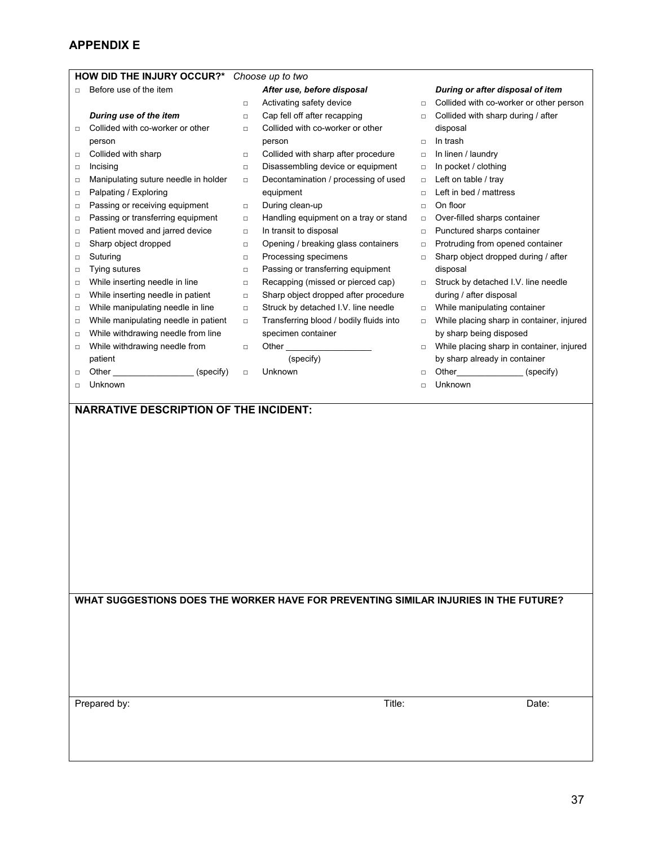#### **HOW DID THE INJURY OCCUR?\*** *Choose up to two* □ Before use of the item □ Collided with co-worker or other □ Collided with sharp □ Incising □  $\Box$ □ □ □ □  $\Box$ □ □ □ □ □  $\Box$  $\Box$ □  $\Box$ *During use of the item*  person Manipulating suture needle in holder Palpating / Exploring Passing or receiving equipment Passing or transferring equipment Patient moved and jarred device Sharp object dropped Suturing Tying sutures While inserting needle in line While inserting needle in patient While manipulating needle in line While manipulating needle in patient While withdrawing needle from line While withdrawing needle from patient Other (specify) Unknown  $\Box$  $\Box$  $\Box$ □ □  $\Box$  $\Box$  $\Box$  $\Box$  $\Box$  $\Box$  $\Box$  $\Box$ □  $\Box$ □  $\Box$  $\Box$ *After use, before disposal*  Activating safety device Cap fell off after recapping Collided with co-worker or other person Collided with sharp after procedure Disassembling device or equipment Decontamination / processing of used equipment During clean-up Handling equipment on a tray or stand In transit to disposal Opening / breaking glass containers Processing specimens Passing or transferring equipment Recapping (missed or pierced cap) Sharp object dropped after procedure Struck by detached I.V. line needle Transferring blood / bodily fluids into specimen container Other (specify) Unknown □  $\Box$ □ □ □ □ □ □ □ □ □  $\Box$ □ □ □ □ □ □ *During or after disposal of item*  Collided with co-worker or other person Collided with sharp during / after disposal In trash In linen / laundry In pocket / clothing Left on table / tray Left in bed / mattress On floor Over-filled sharps container Punctured sharps container Protruding from opened container Sharp object dropped during / after disposal Struck by detached I.V. line needle during / after disposal While manipulating container While placing sharp in container, injured by sharp being disposed While placing sharp in container, injured by sharp already in container Other (specify) Unknown **NARRATIVE DESCRIPTION OF THE INCIDENT:**

**WHAT SUGGESTIONS DOES THE WORKER HAVE FOR PREVENTING SIMILAR INJURIES IN THE FUTURE?** 

Prepared by: Date: Date: Date: Date: Date: Date: Date: Date: Date: Date: Date: Date: Date: Date: Date: Date: Date: Date: Date: Date: Date: Date: Date: Date: Date: Date: Date: Date: Date: Date: Date: Date: Date: Date: Date: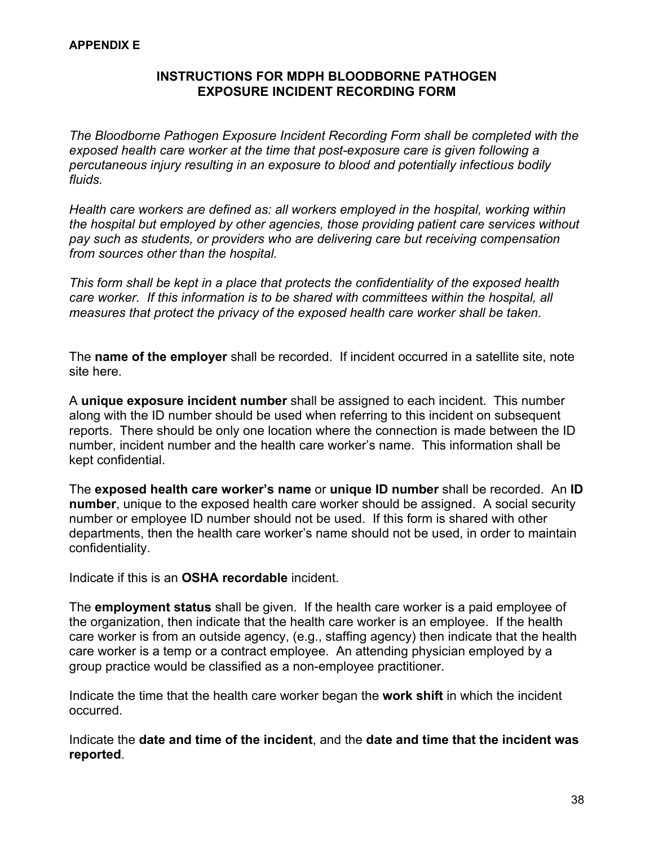#### **INSTRUCTIONS FOR MDPH BLOODBORNE PATHOGEN EXPOSURE INCIDENT RECORDING FORM**

*The Bloodborne Pathogen Exposure Incident Recording Form shall be completed with the exposed health care worker at the time that post-exposure care is given following a percutaneous injury resulting in an exposure to blood and potentially infectious bodily fluids.* 

*Health care workers are defined as: all workers employed in the hospital, working within the hospital but employed by other agencies, those providing patient care services without pay such as students, or providers who are delivering care but receiving compensation from sources other than the hospital.* 

*This form shall be kept in a place that protects the confidentiality of the exposed health care worker. If this information is to be shared with committees within the hospital, all measures that protect the privacy of the exposed health care worker shall be taken.*

The **name of the employer** shall be recorded. If incident occurred in a satellite site, note site here.

A **unique exposure incident number** shall be assigned to each incident. This number along with the ID number should be used when referring to this incident on subsequent reports. There should be only one location where the connection is made between the ID number, incident number and the health care worker's name. This information shall be kept confidential.

The **exposed health care worker's name** or **unique ID number** shall be recorded. An **ID number**, unique to the exposed health care worker should be assigned. A social security number or employee ID number should not be used. If this form is shared with other departments, then the health care worker's name should not be used, in order to maintain confidentiality.

Indicate if this is an **OSHA recordable** incident.

The **employment status** shall be given. If the health care worker is a paid employee of the organization, then indicate that the health care worker is an employee. If the health care worker is from an outside agency, (e.g., staffing agency) then indicate that the health care worker is a temp or a contract employee. An attending physician employed by a group practice would be classified as a non-employee practitioner.

Indicate the time that the health care worker began the **work shift** in which the incident occurred.

Indicate the **date and time of the incident**, and the **date and time that the incident was reported**.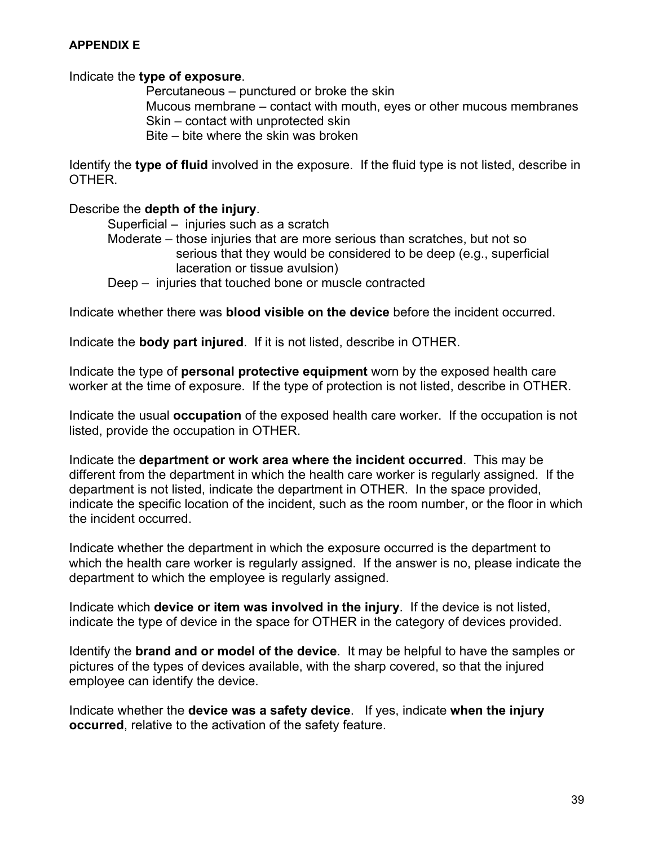#### Indicate the **type of exposure**.

 Percutaneous – punctured or broke the skin Mucous membrane – contact with mouth, eyes or other mucous membranes Skin – contact with unprotected skin Bite – bite where the skin was broken

Identify the **type of fluid** involved in the exposure. If the fluid type is not listed, describe in OTHER.

#### Describe the **depth of the injury**.

 Superficial – injuries such as a scratch Moderate – those injuries that are more serious than scratches, but not so serious that they would be considered to be deep (e.g., superficial laceration or tissue avulsion) Deep – injuries that touched bone or muscle contracted

Indicate whether there was **blood visible on the device** before the incident occurred.

Indicate the **body part injured**. If it is not listed, describe in OTHER.

Indicate the type of **personal protective equipment** worn by the exposed health care worker at the time of exposure. If the type of protection is not listed, describe in OTHER.

Indicate the usual **occupation** of the exposed health care worker. If the occupation is not listed, provide the occupation in OTHER.

Indicate the **department or work area where the incident occurred**. This may be different from the department in which the health care worker is regularly assigned. If the department is not listed, indicate the department in OTHER. In the space provided, indicate the specific location of the incident, such as the room number, or the floor in which the incident occurred.

Indicate whether the department in which the exposure occurred is the department to which the health care worker is regularly assigned. If the answer is no, please indicate the department to which the employee is regularly assigned.

Indicate which **device or item was involved in the injury**. If the device is not listed, indicate the type of device in the space for OTHER in the category of devices provided.

Identify the **brand and or model of the device**. It may be helpful to have the samples or pictures of the types of devices available, with the sharp covered, so that the injured employee can identify the device.

Indicate whether the **device was a safety device**. If yes, indicate **when the injury occurred**, relative to the activation of the safety feature.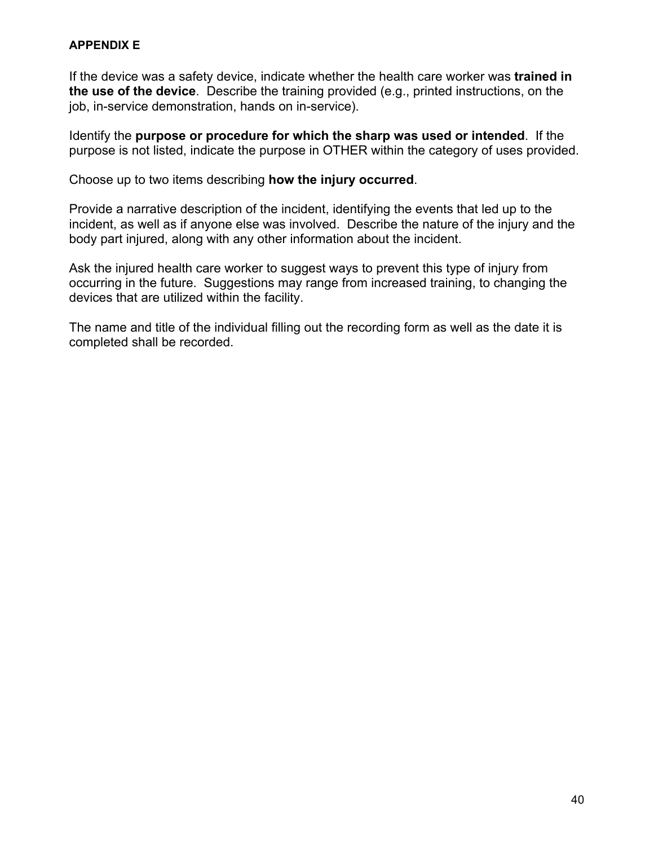If the device was a safety device, indicate whether the health care worker was **trained in the use of the device**. Describe the training provided (e.g., printed instructions, on the job, in-service demonstration, hands on in-service).

Identify the **purpose or procedure for which the sharp was used or intended**. If the purpose is not listed, indicate the purpose in OTHER within the category of uses provided.

Choose up to two items describing **how the injury occurred**.

Provide a narrative description of the incident, identifying the events that led up to the incident, as well as if anyone else was involved. Describe the nature of the injury and the body part injured, along with any other information about the incident.

Ask the injured health care worker to suggest ways to prevent this type of injury from occurring in the future. Suggestions may range from increased training, to changing the devices that are utilized within the facility.

The name and title of the individual filling out the recording form as well as the date it is completed shall be recorded.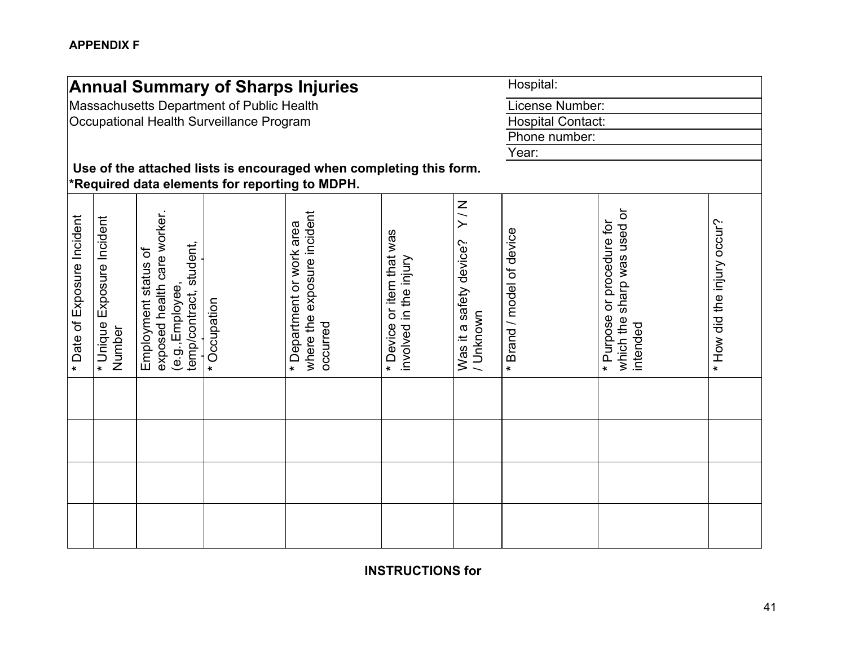|                                      |                                                                    |                                                                                                       | <b>Annual Summary of Sharps Injuries</b>  |                                                                         |                                                        |                                                | Hospital:                 |                                                                         |                             |  |  |
|--------------------------------------|--------------------------------------------------------------------|-------------------------------------------------------------------------------------------------------|-------------------------------------------|-------------------------------------------------------------------------|--------------------------------------------------------|------------------------------------------------|---------------------------|-------------------------------------------------------------------------|-----------------------------|--|--|
|                                      |                                                                    |                                                                                                       | Massachusetts Department of Public Health |                                                                         |                                                        |                                                | License Number:           |                                                                         |                             |  |  |
|                                      |                                                                    |                                                                                                       | Occupational Health Surveillance Program  |                                                                         |                                                        |                                                | <b>Hospital Contact:</b>  |                                                                         |                             |  |  |
|                                      |                                                                    |                                                                                                       |                                           |                                                                         |                                                        |                                                | Phone number:             |                                                                         |                             |  |  |
|                                      |                                                                    |                                                                                                       |                                           |                                                                         |                                                        |                                                | Year:                     |                                                                         |                             |  |  |
|                                      | Use of the attached lists is encouraged when completing this form. |                                                                                                       |                                           |                                                                         |                                                        |                                                |                           |                                                                         |                             |  |  |
|                                      | *Required data elements for reporting to MDPH.                     |                                                                                                       |                                           |                                                                         |                                                        |                                                |                           |                                                                         |                             |  |  |
| Date of Exposure Incident<br>$\star$ | Exposure Incident<br>* Unique<br>Number                            | exposed health care worker.<br>student,<br>Employment status of<br>(e.g., Employee,<br>temp/contract, | Occupation<br>$\star$                     | exposure incident<br>* Department or work area<br>where the<br>peannooo | or item that was<br>involved in the injury<br>* Device | N/X<br>device?<br>Was it a safety<br>/ Unknown | * Brand / model of device | sharp was used or<br>* Purpose or procedure for<br>which the<br>ntended | * How did the injury occur? |  |  |
|                                      |                                                                    |                                                                                                       |                                           |                                                                         |                                                        |                                                |                           |                                                                         |                             |  |  |
|                                      |                                                                    |                                                                                                       |                                           |                                                                         |                                                        |                                                |                           |                                                                         |                             |  |  |
|                                      |                                                                    |                                                                                                       |                                           |                                                                         |                                                        |                                                |                           |                                                                         |                             |  |  |
|                                      |                                                                    |                                                                                                       |                                           |                                                                         |                                                        |                                                |                           |                                                                         |                             |  |  |

**INSTRUCTIONS for**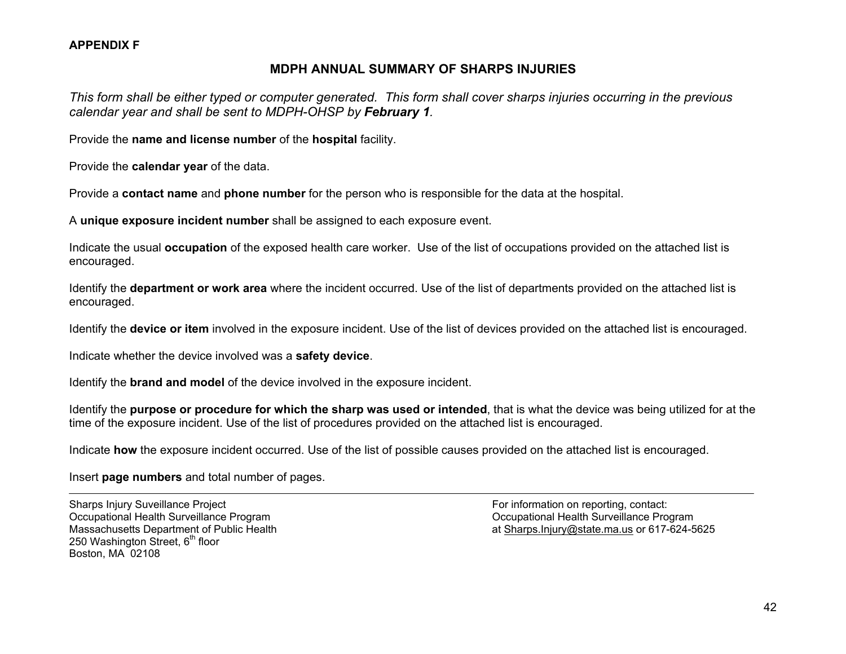#### **APPENDIX F**

#### **MDPH ANNUAL SUMMARY OF SHARPS INJURIES**

*This form shall be either typed or computer generated. This form shall cover sharps injuries occurring in the previous calendar year and shall be sent to MDPH-OHSP by February 1.*

Provide the **name and license number** of the **hospital** facility.

Provide the **calendar year** of the data.

Provide a **contact name** and **phone number** for the person who is responsible for the data at the hospital.

A **unique exposure incident number** shall be assigned to each exposure event.

Indicate the usual **occupation** of the exposed health care worker. Use of the list of occupations provided on the attached list is encouraged.

Identify the **department or work area** where the incident occurred. Use of the list of departments provided on the attached list is encouraged.

Identify the **device or item** involved in the exposure incident. Use of the list of devices provided on the attached list is encouraged.

Indicate whether the device involved was a **safety device**.

Identify the **brand and model** of the device involved in the exposure incident.

Identify the **purpose or procedure for which the sharp was used or intended**, that is what the device was being utilized for at the time of the exposure incident. Use of the list of procedures provided on the attached list is encouraged.

Indicate **how** the exposure incident occurred. Use of the list of possible causes provided on the attached list is encouraged.

Insert **page numbers** and total number of pages.

Sharps Injury Suveillance Project Formation on reporting, contact: Occupational Health Surveillance Program Occupational Health Surveillance Program 250 Washington Street,  $6<sup>th</sup>$  floor Boston, MA 02108

Massachusetts Department of Public Health at Sharps.Injury@state.ma.us or 617-624-5625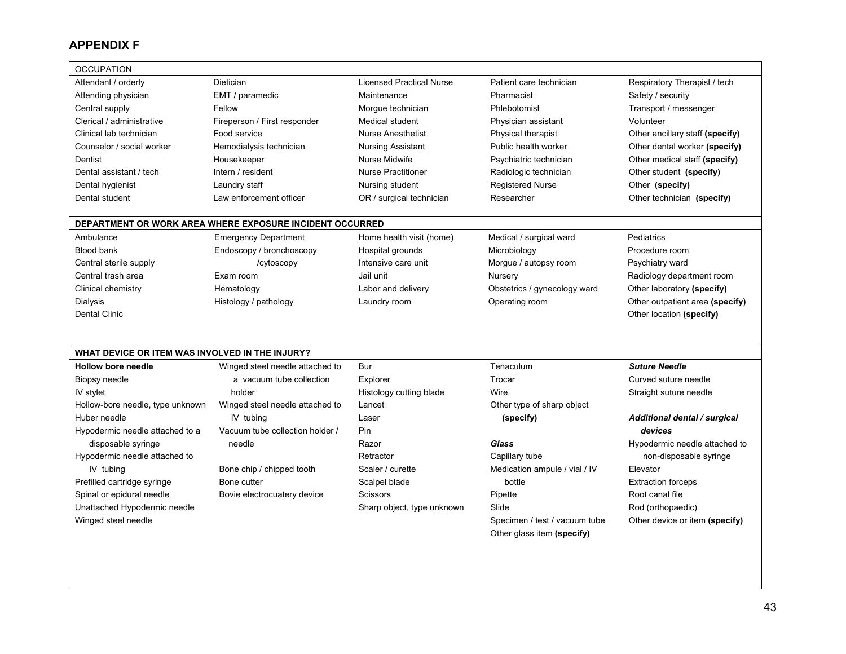#### **APPENDIX F**

| <b>OCCUPATION</b>                               |                                                          |                                 |                               |                                 |
|-------------------------------------------------|----------------------------------------------------------|---------------------------------|-------------------------------|---------------------------------|
| Attendant / orderly                             | Dietician                                                | <b>Licensed Practical Nurse</b> | Patient care technician       | Respiratory Therapist / tech    |
| Attending physician                             | EMT / paramedic                                          | Maintenance                     | Pharmacist                    | Safety / security               |
| Central supply                                  | Fellow                                                   | Morgue technician               | Phlebotomist                  | Transport / messenger           |
| Clerical / administrative                       | Fireperson / First responder                             | Medical student                 | Physician assistant           | Volunteer                       |
| Clinical lab technician                         | Food service                                             | <b>Nurse Anesthetist</b>        | Physical therapist            | Other ancillary staff (specify) |
| Counselor / social worker                       | Hemodialysis technician                                  | Nursing Assistant               | Public health worker          | Other dental worker (specify)   |
| Dentist                                         | Housekeeper                                              | Nurse Midwife                   | Psychiatric technician        | Other medical staff (specify)   |
| Dental assistant / tech                         | Intern / resident                                        | <b>Nurse Practitioner</b>       | Radiologic technician         | Other student (specify)         |
| Dental hygienist                                | Laundry staff                                            | Nursing student                 | <b>Registered Nurse</b>       | Other (specify)                 |
| Dental student                                  | Law enforcement officer                                  | OR / surgical technician        | Researcher                    | Other technician (specify)      |
|                                                 |                                                          |                                 |                               |                                 |
|                                                 | DEPARTMENT OR WORK AREA WHERE EXPOSURE INCIDENT OCCURRED |                                 |                               |                                 |
| Ambulance                                       | <b>Emergency Department</b>                              | Home health visit (home)        | Medical / surgical ward       | Pediatrics                      |
| Blood bank                                      | Endoscopy / bronchoscopy                                 | Hospital grounds                | Microbiology                  | Procedure room                  |
| Central sterile supply                          | /cytoscopy                                               | Intensive care unit             | Morgue / autopsy room         | Psychiatry ward                 |
| Central trash area                              | Exam room                                                | Jail unit                       | Nursery                       | Radiology department room       |
| Clinical chemistry                              | Hematology                                               | Labor and delivery              | Obstetrics / gynecology ward  | Other laboratory (specify)      |
| Dialysis                                        | Histology / pathology                                    | Laundry room                    | Operating room                | Other outpatient area (specify) |
| <b>Dental Clinic</b>                            |                                                          |                                 |                               | Other location (specify)        |
|                                                 |                                                          |                                 |                               |                                 |
|                                                 |                                                          |                                 |                               |                                 |
| WHAT DEVICE OR ITEM WAS INVOLVED IN THE INJURY? |                                                          |                                 |                               |                                 |
| <b>Hollow bore needle</b>                       | Winged steel needle attached to                          | Bur                             | Tenaculum                     | <b>Suture Needle</b>            |
| Biopsy needle                                   | a vacuum tube collection                                 | Explorer                        | Trocar                        | Curved suture needle            |
| IV stylet                                       | holder                                                   | Histology cutting blade         | Wire                          | Straight suture needle          |
| Hollow-bore needle, type unknown                | Winged steel needle attached to                          | Lancet                          | Other type of sharp object    |                                 |
| Huber needle                                    | IV tubing                                                | Laser                           | (specify)                     | Additional dental / surgical    |
| Hypodermic needle attached to a                 | Vacuum tube collection holder /                          | Pin                             |                               | devices                         |
| disposable syringe                              | needle                                                   | Razor                           | <b>Glass</b>                  | Hypodermic needle attached to   |
| Hypodermic needle attached to                   |                                                          | Retractor                       | Capillary tube                | non-disposable syringe          |
| IV tubing                                       | Bone chip / chipped tooth                                | Scaler / curette                | Medication ampule / vial / IV | Elevator                        |
| Prefilled cartridge syringe                     | Bone cutter                                              | Scalpel blade                   | bottle                        | <b>Extraction forceps</b>       |
| Spinal or epidural needle                       | Bovie electrocuatery device                              | Scissors                        | Pipette                       | Root canal file                 |
|                                                 |                                                          |                                 |                               |                                 |
| Unattached Hypodermic needle                    |                                                          | Sharp object, type unknown      | Slide                         | Rod (orthopaedic)               |
| Winged steel needle                             |                                                          |                                 | Specimen / test / vacuum tube | Other device or item (specify)  |
|                                                 |                                                          |                                 | Other glass item (specify)    |                                 |
|                                                 |                                                          |                                 |                               |                                 |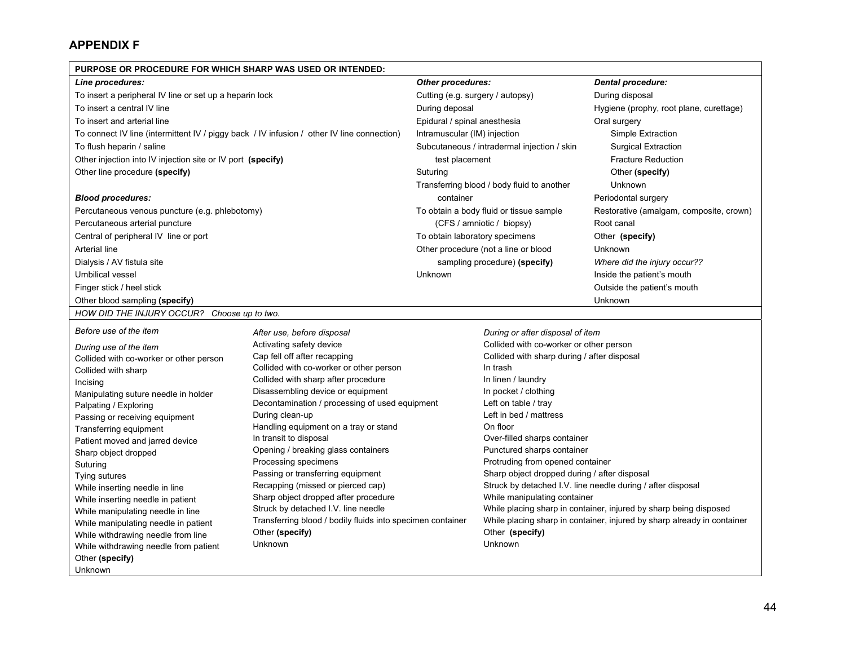#### **APPENDIX F**

Unknown

| PURPOSE OR PROCEDURE FOR WHICH SHARP WAS USED OR INTENDED:                                 |                                                                               |                                            |                                                                             |                                                                         |  |  |  |  |
|--------------------------------------------------------------------------------------------|-------------------------------------------------------------------------------|--------------------------------------------|-----------------------------------------------------------------------------|-------------------------------------------------------------------------|--|--|--|--|
| Line procedures:                                                                           |                                                                               | <b>Other procedures:</b>                   |                                                                             | <b>Dental procedure:</b>                                                |  |  |  |  |
| To insert a peripheral IV line or set up a heparin lock                                    |                                                                               | Cutting (e.g. surgery / autopsy)           |                                                                             | During disposal                                                         |  |  |  |  |
| To insert a central IV line                                                                |                                                                               | During deposal                             |                                                                             | Hygiene (prophy, root plane, curettage)                                 |  |  |  |  |
| To insert and arterial line                                                                |                                                                               | Epidural / spinal anesthesia               |                                                                             | Oral surgery                                                            |  |  |  |  |
| To connect IV line (intermittent IV / piggy back / IV infusion / other IV line connection) |                                                                               | Intramuscular (IM) injection               |                                                                             | Simple Extraction                                                       |  |  |  |  |
| To flush heparin / saline                                                                  |                                                                               |                                            | Subcutaneous / intradermal injection / skin                                 | <b>Surgical Extraction</b>                                              |  |  |  |  |
| Other injection into IV injection site or IV port (specify)                                |                                                                               | test placement                             |                                                                             | <b>Fracture Reduction</b>                                               |  |  |  |  |
| Other line procedure (specify)                                                             | Suturing                                                                      |                                            | Other (specify)                                                             |                                                                         |  |  |  |  |
|                                                                                            |                                                                               | Transferring blood / body fluid to another | Unknown                                                                     |                                                                         |  |  |  |  |
| <b>Blood procedures:</b>                                                                   | container                                                                     |                                            | Periodontal surgery                                                         |                                                                         |  |  |  |  |
| Percutaneous venous puncture (e.g. phlebotomy)                                             |                                                                               | To obtain a body fluid or tissue sample    | Restorative (amalgam, composite, crown)                                     |                                                                         |  |  |  |  |
| Percutaneous arterial puncture                                                             |                                                                               | (CFS / amniotic / biopsy)                  | Root canal                                                                  |                                                                         |  |  |  |  |
| Central of peripheral IV line or port                                                      |                                                                               | To obtain laboratory specimens             | Other (specify)                                                             |                                                                         |  |  |  |  |
| Arterial line                                                                              |                                                                               |                                            | Other procedure (not a line or blood                                        | Unknown                                                                 |  |  |  |  |
| Dialysis / AV fistula site                                                                 |                                                                               |                                            | sampling procedure) (specify)                                               | Where did the injury occur??                                            |  |  |  |  |
| <b>Umbilical vessel</b>                                                                    |                                                                               | Unknown                                    |                                                                             | Inside the patient's mouth                                              |  |  |  |  |
| Finger stick / heel stick                                                                  |                                                                               |                                            |                                                                             | Outside the patient's mouth                                             |  |  |  |  |
| Other blood sampling (specify)                                                             |                                                                               |                                            |                                                                             | Unknown                                                                 |  |  |  |  |
| HOW DID THE INJURY OCCUR? Choose up to two.                                                |                                                                               |                                            |                                                                             |                                                                         |  |  |  |  |
| Before use of the item                                                                     |                                                                               |                                            |                                                                             |                                                                         |  |  |  |  |
|                                                                                            | After use, before disposal<br>Activating safety device                        |                                            | During or after disposal of item<br>Collided with co-worker or other person |                                                                         |  |  |  |  |
| During use of the item                                                                     | Cap fell off after recapping                                                  |                                            | Collided with sharp during / after disposal                                 |                                                                         |  |  |  |  |
| Collided with co-worker or other person                                                    | Collided with co-worker or other person                                       |                                            | In trash                                                                    |                                                                         |  |  |  |  |
| Collided with sharp<br>Incising                                                            | Collided with sharp after procedure                                           |                                            | In linen / laundry                                                          |                                                                         |  |  |  |  |
| Manipulating suture needle in holder                                                       | Disassembling device or equipment                                             |                                            | In pocket / clothing                                                        |                                                                         |  |  |  |  |
| Palpating / Exploring                                                                      | Decontamination / processing of used equipment                                |                                            | Left on table / tray                                                        |                                                                         |  |  |  |  |
| Passing or receiving equipment                                                             | During clean-up                                                               |                                            | Left in bed / mattress                                                      |                                                                         |  |  |  |  |
| Transferring equipment                                                                     | Handling equipment on a tray or stand                                         |                                            | On floor                                                                    |                                                                         |  |  |  |  |
| Patient moved and jarred device                                                            | In transit to disposal                                                        |                                            | Over-filled sharps container                                                |                                                                         |  |  |  |  |
| Sharp object dropped                                                                       | Opening / breaking glass containers                                           |                                            | Punctured sharps container                                                  |                                                                         |  |  |  |  |
| Suturing                                                                                   | Processing specimens                                                          |                                            | Protruding from opened container                                            |                                                                         |  |  |  |  |
| Tying sutures                                                                              | Passing or transferring equipment                                             |                                            | Sharp object dropped during / after disposal                                |                                                                         |  |  |  |  |
| While inserting needle in line                                                             | Recapping (missed or pierced cap)                                             |                                            |                                                                             | Struck by detached I.V. line needle during / after disposal             |  |  |  |  |
| While inserting needle in patient                                                          | Sharp object dropped after procedure                                          |                                            | While manipulating container                                                |                                                                         |  |  |  |  |
| While manipulating needle in line                                                          | Struck by detached I.V. line needle                                           |                                            |                                                                             | While placing sharp in container, injured by sharp being disposed       |  |  |  |  |
| While manipulating needle in patient                                                       | Transferring blood / bodily fluids into specimen container<br>Other (specify) |                                            | Other (specify)                                                             | While placing sharp in container, injured by sharp already in container |  |  |  |  |
| While withdrawing needle from line                                                         | Unknown                                                                       |                                            | Unknown                                                                     |                                                                         |  |  |  |  |
| While withdrawing needle from patient                                                      |                                                                               |                                            |                                                                             |                                                                         |  |  |  |  |
| Other (specify)                                                                            |                                                                               |                                            |                                                                             |                                                                         |  |  |  |  |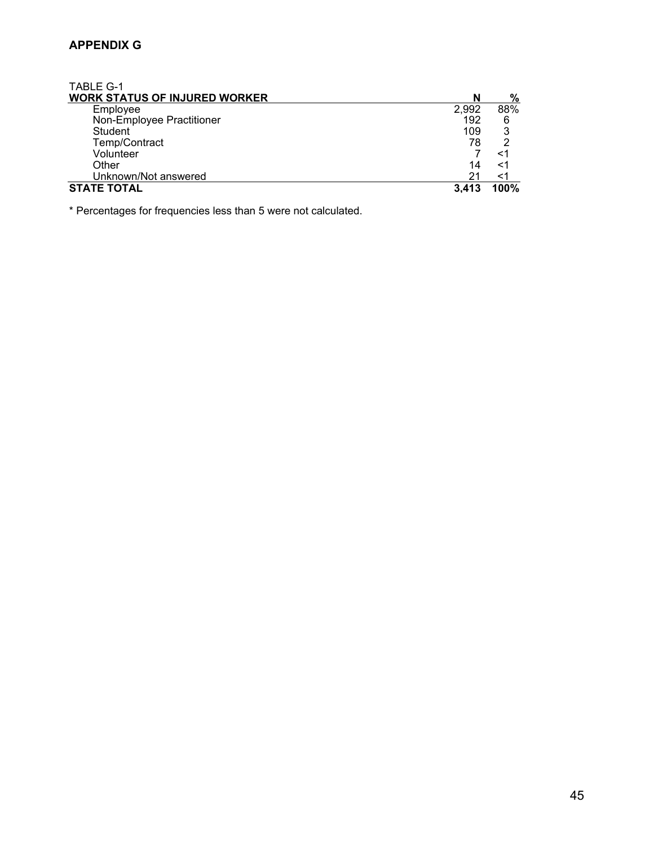## **APPENDIX G**

| <b>TABLE G-1</b>                     |       |      |
|--------------------------------------|-------|------|
| <b>WORK STATUS OF INJURED WORKER</b> | N     | %    |
| Employee                             | 2,992 | 88%  |
| Non-Employee Practitioner            | 192   | 6    |
| Student                              | 109   | 3    |
| Temp/Contract                        | 78    |      |
| Volunteer                            |       | <1   |
| Other                                | 14    | <1   |
| Unknown/Not answered                 | 21    | <1   |
| <b>STATE TOTAL</b>                   | 3.413 | 100% |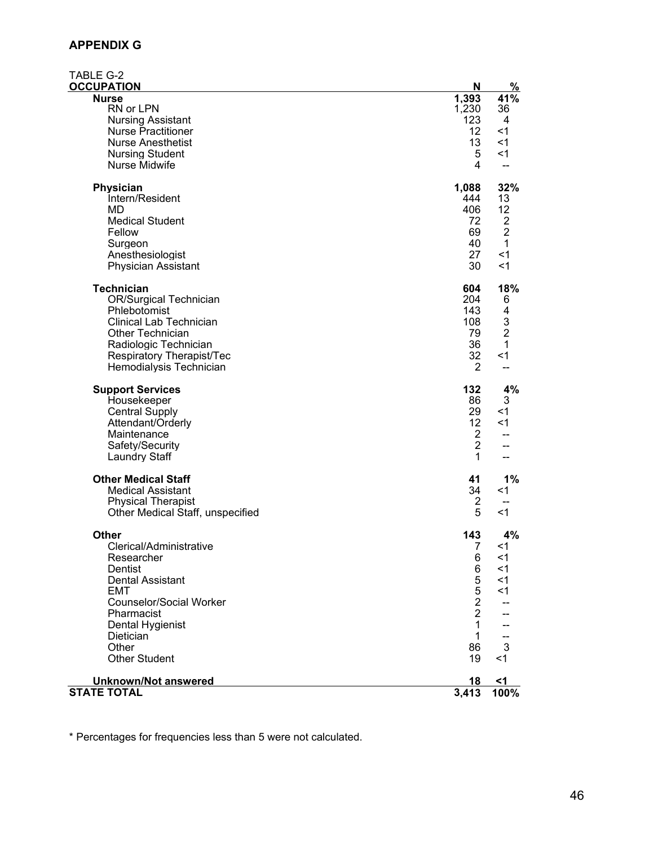## **APPENDIX G**

| TABLE G-2                                      |                |                |
|------------------------------------------------|----------------|----------------|
| <b>OCCUPATION</b>                              | N              | $\frac{9}{6}$  |
| <b>Nurse</b>                                   | 1,393          | 41%            |
| RN or LPN                                      | 1,230          | 36             |
| <b>Nursing Assistant</b>                       | 123            | 4              |
| <b>Nurse Practitioner</b>                      | 12             | $<$ 1          |
| <b>Nurse Anesthetist</b>                       | 13             | $<$ 1          |
| <b>Nursing Student</b><br><b>Nurse Midwife</b> | 5<br>4         | $<$ 1          |
|                                                |                |                |
| Physician                                      | 1,088          | 32%            |
| Intern/Resident                                | 444            | 13             |
| <b>MD</b>                                      | 406            | 12             |
| <b>Medical Student</b>                         | 72             | 2              |
| Fellow                                         | 69             | $\overline{2}$ |
| Surgeon                                        | 40             | 1              |
| Anesthesiologist                               | 27             | $<$ 1          |
| <b>Physician Assistant</b>                     | 30             | $<$ 1          |
|                                                |                |                |
| <b>Technician</b>                              | 604            | 18%            |
| <b>OR/Surgical Technician</b>                  | 204            | 6              |
| Phlebotomist                                   | 143            | 4              |
| <b>Clinical Lab Technician</b>                 | 108            | 3              |
| Other Technician                               | 79             | $\overline{2}$ |
| Radiologic Technician                          | 36             | 1              |
| Respiratory Therapist/Tec                      | 32             | $<$ 1          |
| Hemodialysis Technician                        | $\overline{2}$ | $-$            |
| <b>Support Services</b>                        | 132            | 4%             |
| Housekeeper                                    | 86             | 3              |
| <b>Central Supply</b>                          | 29             | <1             |
| Attendant/Orderly                              | 12             | $<$ 1          |
| Maintenance                                    | $\overline{2}$ | --             |
| Safety/Security                                | $\overline{2}$ | --             |
| <b>Laundry Staff</b>                           | 1              |                |
| <b>Other Medical Staff</b>                     | 41             | $1\%$          |
| <b>Medical Assistant</b>                       | 34             | $<$ 1          |
| <b>Physical Therapist</b>                      | 2              |                |
| Other Medical Staff, unspecified               | 5              | $<$ 1          |
|                                                |                |                |
| <b>Other</b>                                   | 143            | 4%             |
| Clerical/Administrative                        | 7              | <1             |
| Researcher                                     | 6              | $<$ 1          |
| Dentist                                        | 6              | $<$ 1          |
| <b>Dental Assistant</b>                        | 5              | $<$ 1          |
| <b>EMT</b>                                     | 5              | <1             |
| <b>Counselor/Social Worker</b>                 | $\overline{2}$ |                |
| Pharmacist                                     | $\overline{2}$ |                |
| Dental Hygienist                               | 1              |                |
| Dietician                                      | $\mathbf 1$    |                |
| Other                                          | 86             | 3              |
| <b>Other Student</b>                           | 19             | $<$ 1          |
| <b>Unknown/Not answered</b>                    | 18             | <1             |
| <b>STATE TOTAL</b>                             | 3,413          | 100%           |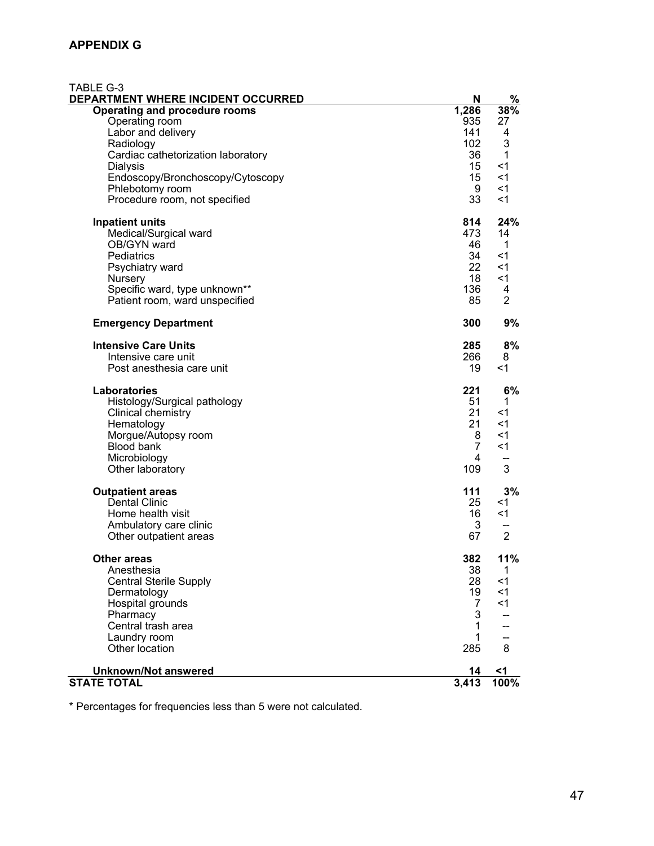| <b>TABLE G-3</b><br>DEPARTMENT WHERE INCIDENT OCCURRED                                                                                                                                                                       | N                                                        | %                                                           |
|------------------------------------------------------------------------------------------------------------------------------------------------------------------------------------------------------------------------------|----------------------------------------------------------|-------------------------------------------------------------|
| Operating and procedure rooms<br>Operating room<br>Labor and delivery<br>Radiology<br>Cardiac cathetorization laboratory<br>Dialysis<br>Endoscopy/Bronchoscopy/Cytoscopy<br>Phlebotomy room<br>Procedure room, not specified | 1,286<br>935<br>141<br>102<br>36<br>15<br>15<br>9<br>33  | 38%<br>27<br>4<br>3<br>1<br>$<$ 1<br>$<$ 1<br>$<$ 1<br><1   |
| <b>Inpatient units</b><br>Medical/Surgical ward<br>OB/GYN ward<br>Pediatrics<br>Psychiatry ward<br>Nursery<br>Specific ward, type unknown**<br>Patient room, ward unspecified                                                | 814<br>473<br>46<br>34<br>22<br>18<br>136<br>85          | 24%<br>14<br>-1<br><1<br><1<br>$<$ 1<br>4<br>$\overline{2}$ |
| <b>Emergency Department</b>                                                                                                                                                                                                  | 300                                                      | 9%                                                          |
| <b>Intensive Care Units</b><br>Intensive care unit<br>Post anesthesia care unit                                                                                                                                              | 285<br>266<br>19                                         | 8%<br>8<br>$<$ 1                                            |
| <b>Laboratories</b><br>Histology/Surgical pathology<br>Clinical chemistry<br>Hematology<br>Morgue/Autopsy room<br><b>Blood bank</b><br>Microbiology<br>Other laboratory                                                      | 221<br>51<br>21<br>21<br>8<br>$\overline{7}$<br>4<br>109 | 6%<br>1<br><1<br><1<br>$<$ 1<br>$<$ 1<br>3                  |
| <b>Outpatient areas</b><br><b>Dental Clinic</b><br>Home health visit<br>Ambulatory care clinic<br>Other outpatient areas                                                                                                     | 111<br>25<br>16<br>3<br>67                               | 3%<br><1<br>$<$ 1<br>$\overline{2}$                         |
| <b>Other areas</b><br>Anesthesia<br><b>Central Sterile Supply</b><br>Dermatology<br>Hospital grounds<br>Pharmacy<br>Central trash area<br>Laundry room<br>Other location                                                     | 382<br>38<br>28<br>19<br>7<br>3<br>1<br>1<br>285         | 11%<br>1<br>$<$ 1<br><1<br>$<$ 1<br>8                       |
| <b>Unknown/Not answered</b><br><b>STATE TOTAL</b>                                                                                                                                                                            | 14<br>3,413                                              | <1<br>$100\%$                                               |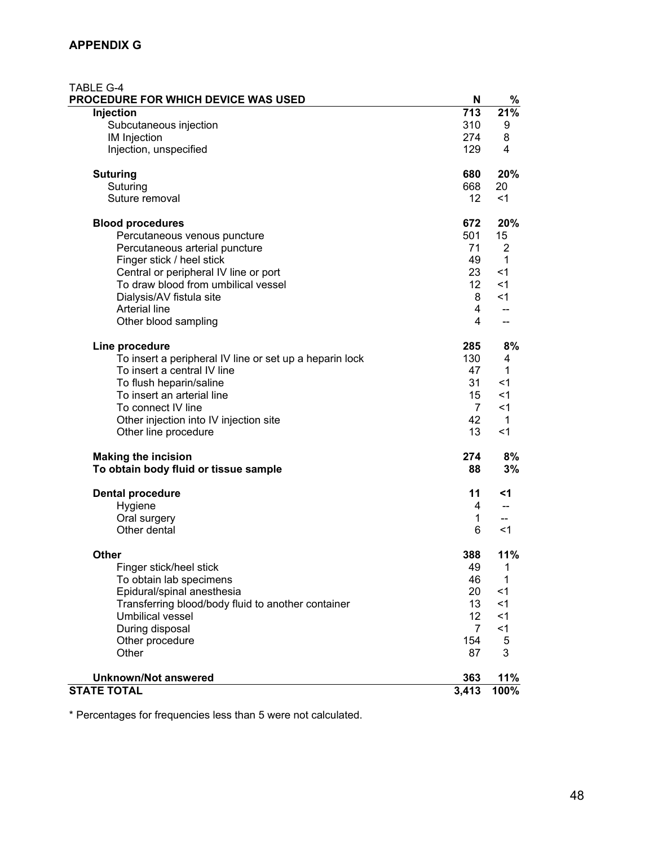| TABLE G-4<br><b>PROCEDURE FOR WHICH DEVICE WAS USED</b> | N               | %           |
|---------------------------------------------------------|-----------------|-------------|
| Injection                                               | 713             | 21%         |
| Subcutaneous injection                                  | 310             | 9           |
| IM Injection                                            | 274             | 8           |
| Injection, unspecified                                  | 129             | 4           |
| <b>Suturing</b>                                         | 680             | 20%         |
| Suturing                                                | 668             | 20          |
| Suture removal                                          | 12 <sup>°</sup> | $<$ 1       |
| <b>Blood procedures</b>                                 | 672             | 20%         |
| Percutaneous venous puncture                            | 501             | 15          |
| Percutaneous arterial puncture                          | 71              | 2           |
| Finger stick / heel stick                               | 49              | 1           |
| Central or peripheral IV line or port                   | 23              | $<$ 1       |
| To draw blood from umbilical vessel                     | 12 <sup>°</sup> | $<$ 1       |
| Dialysis/AV fistula site                                | 8               | $<$ 1       |
| <b>Arterial line</b>                                    | 4               | $-$         |
| Other blood sampling                                    | $\overline{4}$  | --          |
| Line procedure                                          | 285             | 8%          |
| To insert a peripheral IV line or set up a heparin lock | 130             | 4           |
| To insert a central IV line                             | 47              | 1           |
| To flush heparin/saline                                 | 31              | $<$ 1       |
| To insert an arterial line                              | 15              | $<$ 1       |
| To connect IV line                                      | $\overline{7}$  | $<$ 1       |
| Other injection into IV injection site                  | 42              | $\mathbf 1$ |
| Other line procedure                                    | 13              | $<$ 1       |
| <b>Making the incision</b>                              | 274             | 8%          |
| To obtain body fluid or tissue sample                   | 88              | 3%          |
| <b>Dental procedure</b>                                 | 11              | <1          |
| Hygiene                                                 | 4               | --          |
| Oral surgery                                            | $\mathbf 1$     |             |
| Other dental                                            | 6               | <1          |
| <b>Other</b>                                            | 388             | 11%         |
| Finger stick/heel stick                                 | 49              | 1           |
| To obtain lab specimens                                 | 46              | 1           |
| Epidural/spinal anesthesia                              | 20              | $<$ 1       |
| Transferring blood/body fluid to another container      | 13              | $<$ 1       |
| Umbilical vessel                                        | 12 <sub>2</sub> | $<$ 1       |
| During disposal                                         | $\overline{7}$  | < 1         |
| Other procedure                                         | 154             | 5           |
| Other                                                   | 87              | 3           |
| <b>Unknown/Not answered</b>                             | 363             | 11%         |
| <b>STATE TOTAL</b>                                      | 3,413           | 100%        |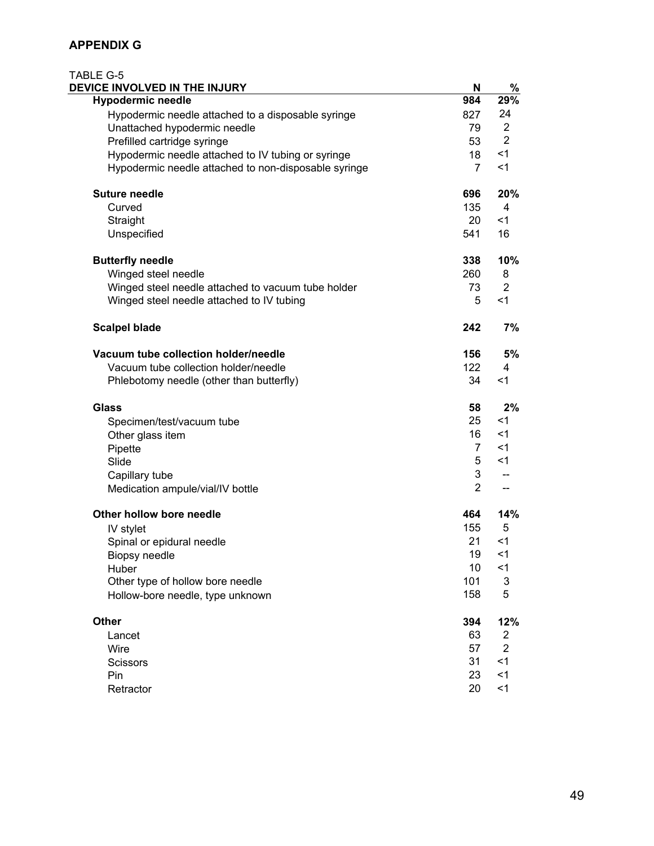### **APPENDIX G**

| <b>TABLE G-5</b><br>DEVICE INVOLVED IN THE INJURY    | N              | %              |
|------------------------------------------------------|----------------|----------------|
| <b>Hypodermic needle</b>                             | 984            | 29%            |
| Hypodermic needle attached to a disposable syringe   | 827            | 24             |
| Unattached hypodermic needle                         | 79             | $\overline{2}$ |
| Prefilled cartridge syringe                          | 53             | $\overline{2}$ |
| Hypodermic needle attached to IV tubing or syringe   | 18             | $<$ 1          |
| Hypodermic needle attached to non-disposable syringe | $\overline{7}$ | $<$ 1          |
| <b>Suture needle</b>                                 | 696            | 20%            |
| Curved                                               | 135            | $\overline{4}$ |
| Straight                                             | 20             | $<$ 1          |
| Unspecified                                          | 541            | 16             |
| <b>Butterfly needle</b>                              | 338            | 10%            |
| Winged steel needle                                  | 260            | 8              |
| Winged steel needle attached to vacuum tube holder   | 73             | $\overline{2}$ |
| Winged steel needle attached to IV tubing            | 5              | $<$ 1          |
| <b>Scalpel blade</b>                                 | 242            | 7%             |
| Vacuum tube collection holder/needle                 | 156            | 5%             |
| Vacuum tube collection holder/needle                 | 122            | 4              |
| Phlebotomy needle (other than butterfly)             | 34             | $<$ 1          |
| <b>Glass</b>                                         | 58             | 2%             |
| Specimen/test/vacuum tube                            | 25             | $<$ 1          |
| Other glass item                                     | 16             | $<$ 1          |
| Pipette                                              | $\overline{7}$ | $<$ 1          |
| Slide                                                | 5              | $<$ 1          |
| Capillary tube                                       | 3              | --             |
| Medication ampule/vial/IV bottle                     | $\overline{2}$ | $-$            |
| Other hollow bore needle                             | 464            | 14%            |
| IV stylet                                            | 155            | 5              |
| Spinal or epidural needle                            | 21             | $<$ 1          |
| <b>Biopsy needle</b>                                 | 19             | $<$ 1          |
| Huber                                                | 10             | $<$ 1          |
| Other type of hollow bore needle                     | 101            | 3              |
| Hollow-bore needle, type unknown                     | 158            | 5              |
| Other                                                | 394            | 12%            |
| Lancet                                               | 63             | 2              |
| Wire                                                 | 57             | $\overline{2}$ |
| <b>Scissors</b>                                      | 31             | $<$ 1          |
| Pin                                                  | 23             | $<$ 1          |
| Retractor                                            | 20             | < 1            |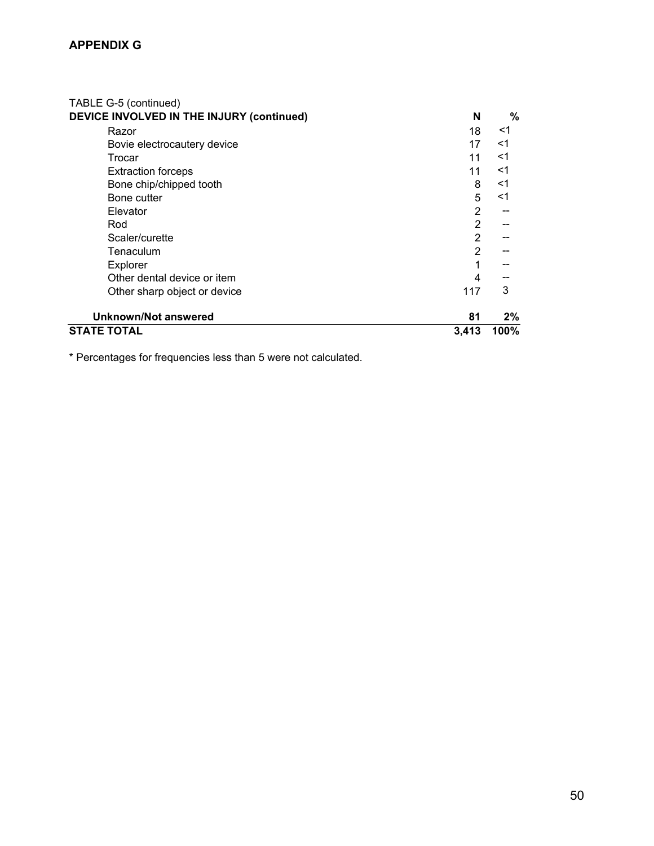| <b>STATE TOTAL</b>                        | 3,413          | 100%  |
|-------------------------------------------|----------------|-------|
| <b>Unknown/Not answered</b>               | 81             | $2\%$ |
| Other sharp object or device              | 117            | 3     |
| Other dental device or item               | 4              |       |
| Explorer                                  |                | --    |
| Tenaculum                                 | $\overline{2}$ |       |
| Scaler/curette                            | 2              |       |
| Rod                                       | $\overline{2}$ |       |
| Elevator                                  | 2              |       |
| Bone cutter                               | 5              | $<$ 1 |
| Bone chip/chipped tooth                   | 8              | $<$ 1 |
| <b>Extraction forceps</b>                 | 11             | $<$ 1 |
| Trocar                                    | 11             | $<$ 1 |
| Bovie electrocautery device               | 17             | $<$ 1 |
| Razor                                     | 18             | <1    |
| DEVICE INVOLVED IN THE INJURY (continued) | N              | %     |
| TABLE G-5 (continued)                     |                |       |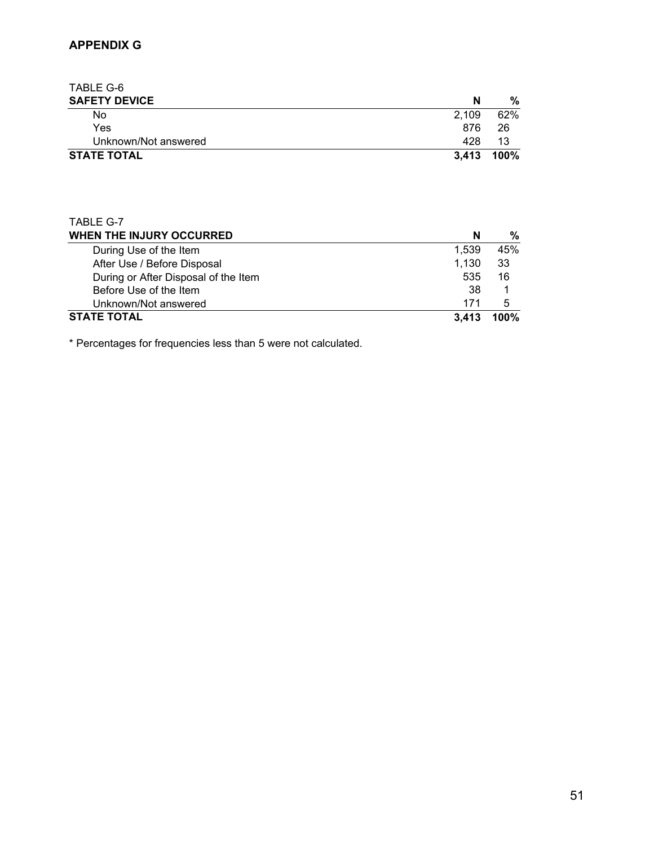TABLE G-6 **SAFETY DEVICE** N % No the contract of  $2,109$  and  $2,109$  and  $2\%$  Yes 876 26 Unknown/Not answered 428 13<br>TE TOTAL 3,413 100% **STATE TOTAL** 

| TABLE G-7                            |       |      |
|--------------------------------------|-------|------|
| WHEN THE INJURY OCCURRED             | N     | ℅    |
| During Use of the Item               | 1,539 | 45%  |
| After Use / Before Disposal          | 1,130 | 33   |
| During or After Disposal of the Item | 535   | 16   |
| Before Use of the Item               | 38    |      |
| Unknown/Not answered                 | 171   | 5    |
| <b>STATE TOTAL</b>                   | 3.413 | 100% |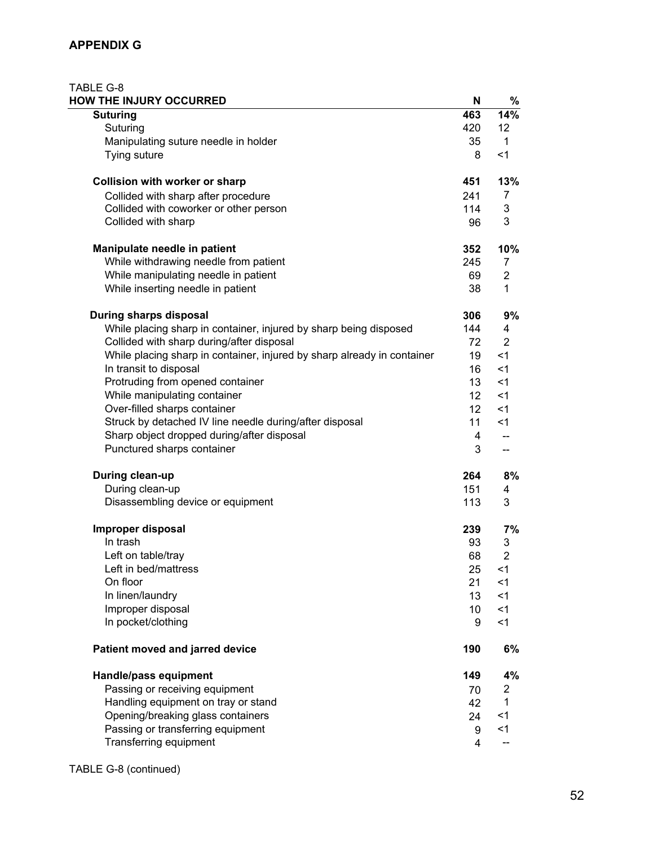#### **APPENDIX G**

| TABLE G-8<br>HOW THE INJURY OCCURRED                                    | N               | %                        |
|-------------------------------------------------------------------------|-----------------|--------------------------|
| <b>Suturing</b>                                                         | 463             | 14%                      |
| Suturing                                                                | 420             | 12                       |
| Manipulating suture needle in holder                                    | 35              | $\mathbf{1}$             |
| Tying suture                                                            | 8               | < 1                      |
| Collision with worker or sharp                                          | 451             | 13%                      |
| Collided with sharp after procedure                                     | 241             | 7                        |
| Collided with coworker or other person                                  | 114             | 3                        |
| Collided with sharp                                                     | 96              | 3                        |
| Manipulate needle in patient                                            | 352             | 10%                      |
| While withdrawing needle from patient                                   | 245             | 7                        |
| While manipulating needle in patient                                    | 69              | $\overline{2}$           |
| While inserting needle in patient                                       | 38              | 1                        |
| During sharps disposal                                                  | 306             | 9%                       |
| While placing sharp in container, injured by sharp being disposed       | 144             | 4                        |
| Collided with sharp during/after disposal                               | 72              | $\overline{2}$           |
| While placing sharp in container, injured by sharp already in container | 19              | $<$ 1                    |
| In transit to disposal                                                  | 16              | $<$ 1                    |
| Protruding from opened container                                        | 13              | $<$ 1                    |
| While manipulating container                                            | 12 <sup>°</sup> | $<$ 1                    |
| Over-filled sharps container                                            | 12 <sup>°</sup> | $<$ 1                    |
| Struck by detached IV line needle during/after disposal                 | 11              | $<$ 1                    |
| Sharp object dropped during/after disposal                              | 4               |                          |
| Punctured sharps container                                              | 3               | $\overline{\phantom{a}}$ |
| During clean-up                                                         | 264             | 8%                       |
| During clean-up                                                         | 151             | 4                        |
| Disassembling device or equipment                                       | 113             | 3                        |
| Improper disposal                                                       | 239             | 7%                       |
| In trash                                                                | 93              | 3                        |
| Left on table/tray                                                      | 68              | 2                        |
| Left in bed/mattress                                                    | 25              | $<$ 1                    |
| On floor                                                                | 21              | $<$ 1                    |
| In linen/laundry                                                        | 13              | $<$ 1                    |
| Improper disposal                                                       | 10              | $<$ 1                    |
| In pocket/clothing                                                      | 9               | $<$ 1                    |
| Patient moved and jarred device                                         | 190             | 6%                       |
| Handle/pass equipment                                                   | 149             | 4%                       |
| Passing or receiving equipment                                          | 70              | 2                        |
| Handling equipment on tray or stand                                     | 42              | 1                        |
| Opening/breaking glass containers                                       | 24              | <1                       |
| Passing or transferring equipment                                       | 9               | $<$ 1                    |
| Transferring equipment                                                  | 4               |                          |

#### TABLE G-8 (continued)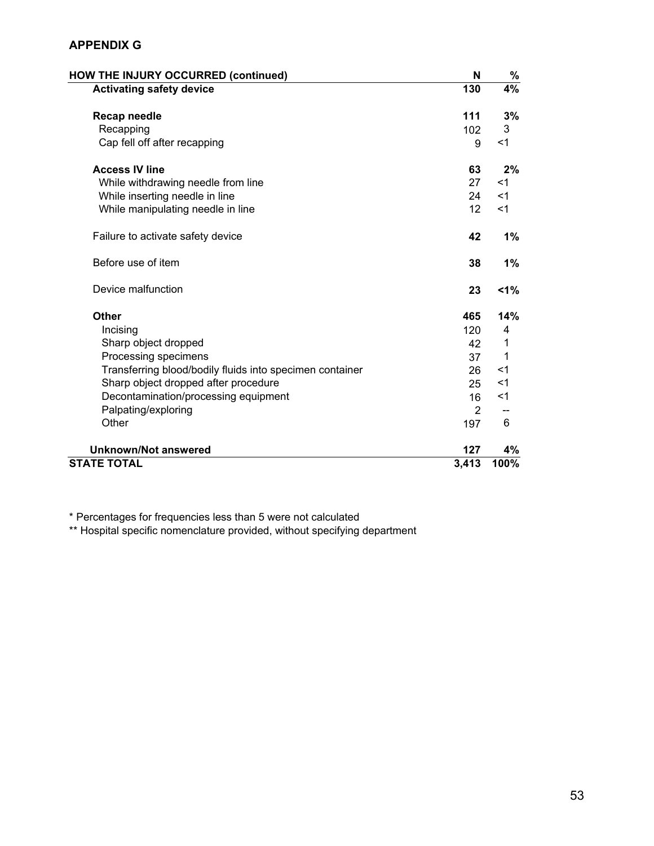#### **APPENDIX G**

| <b>HOW THE INJURY OCCURRED (continued)</b>               | N     | %              |
|----------------------------------------------------------|-------|----------------|
| <b>Activating safety device</b>                          | 130   | 4%             |
| <b>Recap needle</b>                                      | 111   | 3%             |
| Recapping                                                | 102   | 3              |
| Cap fell off after recapping                             | 9     | $<$ 1          |
| <b>Access IV line</b>                                    | 63    | 2%             |
| While withdrawing needle from line                       | 27    | $<$ 1          |
| While inserting needle in line                           | 24    | $<$ 1          |
| While manipulating needle in line                        | 12    | $<$ 1          |
| Failure to activate safety device                        | 42    | 1%             |
| Before use of item                                       | 38    | 1%             |
| Device malfunction                                       | 23    | $1\%$          |
| <b>Other</b>                                             | 465   | 14%            |
| Incising                                                 | 120   | $\overline{4}$ |
| Sharp object dropped                                     | 42    | 1              |
| Processing specimens                                     | 37    | $\mathbf 1$    |
| Transferring blood/bodily fluids into specimen container | 26    | $<$ 1          |
| Sharp object dropped after procedure                     | 25    | $<$ 1          |
| Decontamination/processing equipment                     | 16    | $<$ 1          |
| Palpating/exploring                                      | 2     |                |
| Other                                                    | 197   | 6              |
| <b>Unknown/Not answered</b>                              | 127   | 4%             |
| <b>STATE TOTAL</b>                                       | 3,413 | 100%           |

\* Percentages for frequencies less than 5 were not calculated

\*\* Hospital specific nomenclature provided, without specifying department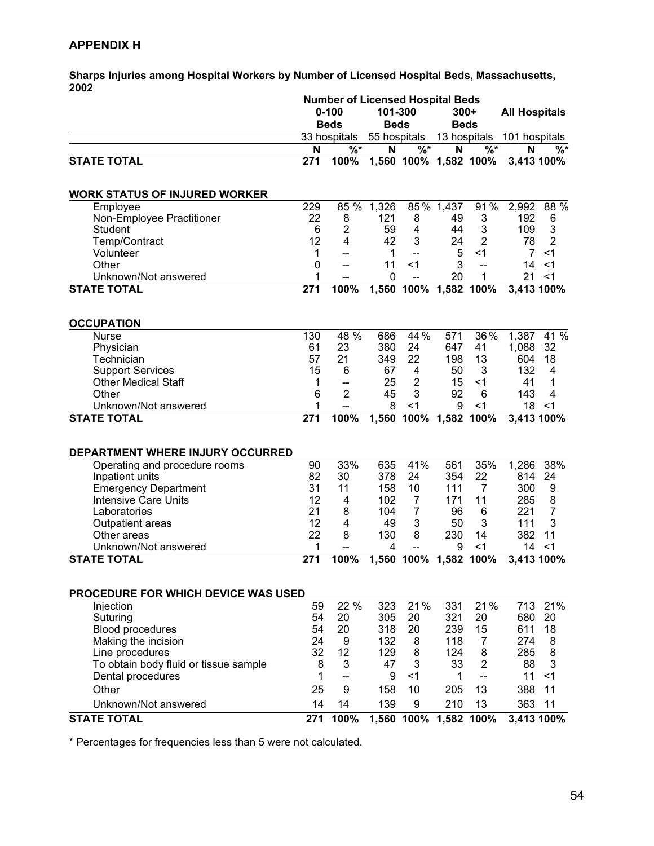#### **APPENDIX H**

**Sharps Injuries among Hospital Workers by Number of Licensed Hospital Beds, Massachusetts, 2002** 

|                                            |          | <b>Number of Licensed Hospital Beds</b> |              |                          |              |                          |                      |                |
|--------------------------------------------|----------|-----------------------------------------|--------------|--------------------------|--------------|--------------------------|----------------------|----------------|
|                                            |          | $0 - 100$                               | 101-300      |                          | $300+$       |                          | <b>All Hospitals</b> |                |
|                                            |          | <b>Beds</b>                             | <b>Beds</b>  |                          | <b>Beds</b>  |                          |                      |                |
|                                            |          | 33 hospitals                            | 55 hospitals |                          | 13 hospitals |                          | 101 hospitals        |                |
|                                            | N        | $\% *$                                  | N            | $\overline{\frac{9}{6}}$ | N            | $\sqrt[6]{6}$            | N                    | $\frac{1}{2}$  |
| <b>STATE TOTAL</b>                         | 271      | 100%                                    |              | 1,560 100% 1,582 100%    |              |                          | 3,413 100%           |                |
|                                            |          |                                         |              |                          |              |                          |                      |                |
| <b>WORK STATUS OF INJURED WORKER</b>       |          |                                         |              |                          |              |                          |                      |                |
| Employee                                   | 229      | 85 %                                    | 1,326        |                          | 85% 1,437    | 91%                      | 2,992                | 88 %           |
| Non-Employee Practitioner                  | 22       | 8                                       | 121          | 8                        | 49           | 3                        | 192                  | 6              |
| <b>Student</b>                             | 6        | $\overline{2}$                          | 59           | $\overline{4}$           | 44           | 3                        | 109                  | $\mathsf 3$    |
| Temp/Contract                              | 12       | $\overline{4}$                          | 42           | 3                        | 24           | $\overline{2}$           | 78                   | $\overline{2}$ |
| Volunteer                                  | 1        |                                         | 1            | $\overline{\phantom{0}}$ | 5            | $<$ 1                    | $\overline{7}$       | $<$ 1          |
| Other                                      | 0        | $-$                                     | 11           | $<$ 1                    | 3            | $\overline{\phantom{a}}$ | 14                   | $<$ 1          |
| Unknown/Not answered                       | 1        | --                                      | 0            |                          | 20           | 1                        | 21                   | $<$ 1          |
| <b>STATE TOTAL</b>                         | 271      | 100%                                    | 1,560        | 100%                     |              | 1,582 100%               | 3,413 100%           |                |
|                                            |          |                                         |              |                          |              |                          |                      |                |
| <b>OCCUPATION</b>                          |          |                                         |              |                          |              |                          |                      |                |
| <b>Nurse</b>                               | 130      | 48 %                                    | 686          | 44 %                     | 571          | $36\%$                   | 1,387                | 41 %           |
| Physician                                  | 61       | 23                                      | 380          | 24                       | 647          | 41                       | 1,088                | 32             |
| Technician                                 | 57       | 21                                      | 349          | 22                       | 198          | 13                       | 604                  | 18             |
| <b>Support Services</b>                    | 15       | 6                                       | 67           | 4                        | 50           | 3                        | 132                  | 4              |
| <b>Other Medical Staff</b>                 | 1        | $-$                                     | 25           | $\overline{2}$           | 15           | $<$ 1                    | 41                   | 1              |
| Other                                      | 6        | $\overline{2}$                          | 45           | 3                        | 92           | 6                        | 143                  | $\overline{4}$ |
| Unknown/Not answered                       | 1        | $\overline{\phantom{a}}$                | 8            | <1                       | 9            | < 1                      | 18                   | <1             |
| <b>STATE TOTAL</b>                         | 271      | 100%                                    |              | 1,560 100%               |              | 1,582 100%               | 3,413 100%           |                |
|                                            |          |                                         |              |                          |              |                          |                      |                |
| DEPARTMENT WHERE INJURY OCCURRED           |          |                                         |              |                          |              |                          |                      |                |
| Operating and procedure rooms              | 90       | 33%                                     | 635          | 41%                      | 561          | 35%                      | 1,286                | 38%            |
| Inpatient units                            | 82       | 30                                      | 378          | 24                       | 354          | 22                       | 814                  | 24             |
| <b>Emergency Department</b>                | 31       | 11                                      | 158          | 10                       | 111          | 7                        | 300                  | 9              |
| <b>Intensive Care Units</b>                | 12       | 4                                       | 102          | $\overline{7}$           | 171          | 11                       | 285                  | 8              |
| Laboratories                               | 21       | 8                                       | 104          | $\overline{7}$           | 96           | 6                        | 221                  | $\overline{7}$ |
| Outpatient areas                           | 12       | 4                                       | 49           | 3                        | 50           | 3                        | 111                  | 3              |
| Other areas                                | 22       | 8                                       | 130          | 8                        | 230          | 14                       | 382                  | 11             |
| Unknown/Not answered<br><b>STATE TOTAL</b> | 1<br>271 | $\overline{a}$<br>100%                  | 4            | 1,560 100% 1,582 100%    | 9            | < 1                      | 14<br>3,413 100%     | $<$ 1          |
|                                            |          |                                         |              |                          |              |                          |                      |                |
| PROCEDURE FOR WHICH DEVICE WAS USED        |          |                                         |              |                          |              |                          |                      |                |
| Injection                                  | 59       | 22 %                                    | 323          | 21%                      | 331          | 21%                      | 713                  | 21%            |
| Suturing                                   | 54       | 20                                      | 305          | 20                       | 321          | 20                       | 680                  | 20             |
| <b>Blood procedures</b>                    | 54       | 20                                      | 318          | 20                       | 239          | 15                       | 611                  | 18             |
| Making the incision                        | 24       | 9                                       | 132          | 8                        | 118          | $\overline{7}$           | 274                  | 8              |
| Line procedures                            | 32       | 12                                      | 129          | 8                        | 124          | 8                        | 285                  | 8              |
| To obtain body fluid or tissue sample      | 8        | $\mathbf{3}$                            | 47           | $\mathbf{3}$             | 33           | $\overline{2}$           | 88                   | 3              |
| Dental procedures                          | 1        | $\overline{a}$                          | 9            | $<$ 1                    | 1            | $\overline{\phantom{a}}$ | 11                   | $<$ 1          |
| Other                                      | 25       | 9                                       | 158          | 10                       | 205          | 13                       | 388                  | 11             |
| Unknown/Not answered                       | 14       | 14                                      | 139          | $\boldsymbol{9}$         |              |                          |                      |                |
| <b>STATE TOTAL</b>                         | 271      | 100%                                    |              | 1,560 100% 1,582 100%    | 210          | 13                       | 363<br>3,413 100%    | 11             |
|                                            |          |                                         |              |                          |              |                          |                      |                |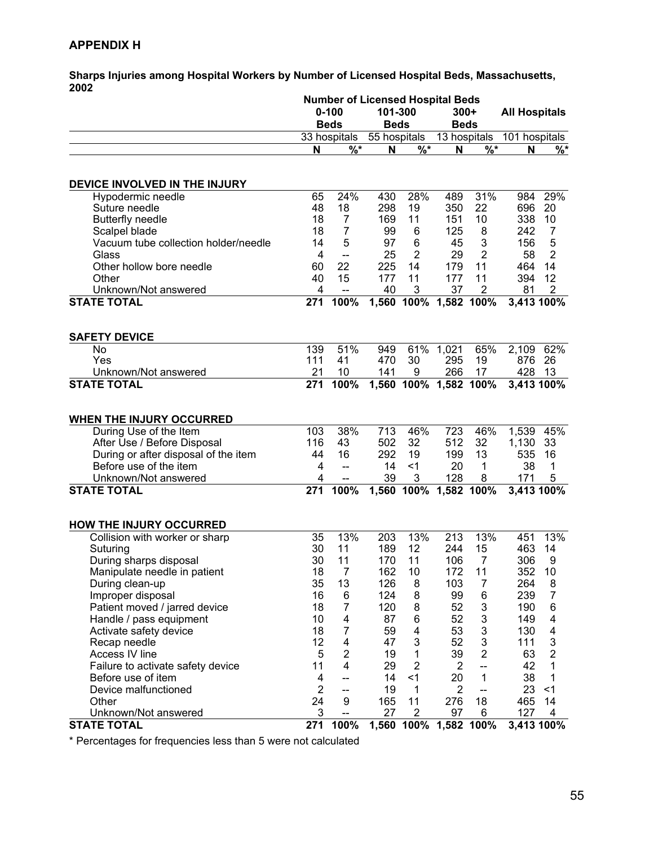#### **APPENDIX H**

**Sharps Injuries among Hospital Workers by Number of Licensed Hospital Beds, Massachusetts, 2002** 

|                                      | <b>Number of Licensed Hospital Beds</b> |                          |              |                          |                       |                          |                      |                           |
|--------------------------------------|-----------------------------------------|--------------------------|--------------|--------------------------|-----------------------|--------------------------|----------------------|---------------------------|
|                                      |                                         | $0 - 100$                | 101-300      |                          | $300+$                |                          | <b>All Hospitals</b> |                           |
|                                      |                                         | <b>Beds</b>              | <b>Beds</b>  |                          |                       | <b>Beds</b>              |                      |                           |
|                                      |                                         | 33 hospitals             | 55 hospitals |                          | 13 hospitals          |                          | 101 hospitals        |                           |
|                                      | N                                       | $\sqrt{0^*}$             | N            | $\overline{\frac{9}{6}}$ | N                     | $\overline{\frac{9}{6}}$ | N                    | $\frac{9}{6}$ *           |
|                                      |                                         |                          |              |                          |                       |                          |                      |                           |
| DEVICE INVOLVED IN THE INJURY        |                                         |                          |              |                          |                       |                          |                      |                           |
| Hypodermic needle                    | 65                                      | 24%                      | 430          | 28%                      | 489                   | 31%                      | 984                  | 29%                       |
| Suture needle                        | 48                                      | 18                       | 298          | 19                       | 350                   | 22                       | 696                  | 20                        |
| <b>Butterfly needle</b>              | 18                                      | $\overline{7}$           | 169          | 11                       | 151                   | 10                       | 338                  | 10                        |
| Scalpel blade                        | 18                                      | 7                        | 99           | 6                        | 125                   | 8                        | 242                  | 7                         |
| Vacuum tube collection holder/needle | 14                                      | 5                        | 97           | 6                        | 45                    | 3                        | 156                  | 5                         |
| Glass                                | 4                                       | $\overline{\phantom{a}}$ | 25           | 2                        | 29                    | $\overline{2}$           | 58                   | $\overline{2}$            |
| Other hollow bore needle             | 60                                      | 22                       | 225          | 14                       | 179                   | 11                       | 464                  | 14                        |
| Other                                | 40                                      | 15                       | 177          | 11                       | 177                   | 11                       | 394                  | 12                        |
| Unknown/Not answered                 | 4                                       | $\overline{\phantom{a}}$ | 40           | 3                        | 37                    | 2                        | 81                   | $\overline{2}$            |
| <b>STATE TOTAL</b>                   | 271                                     | 100%                     | 1,560        |                          | 100% 1,582 100%       |                          | 3,413 100%           |                           |
|                                      |                                         |                          |              |                          |                       |                          |                      |                           |
| <b>SAFETY DEVICE</b><br><b>No</b>    | 139                                     | 51%                      | 949          |                          | 61% 1,021             | 65%                      |                      | 62%                       |
| Yes                                  | 111                                     | 41                       | 470          | 30                       | 295                   | 19                       | 2,109<br>876         | 26                        |
| Unknown/Not answered                 | 21                                      | 10                       | 141          | 9                        | 266                   | 17                       | 428                  | -13                       |
| <b>STATE TOTAL</b>                   | 271                                     | 100%                     |              |                          | 1,560 100% 1,582 100% |                          | 3,413 100%           |                           |
|                                      |                                         |                          |              |                          |                       |                          |                      |                           |
|                                      |                                         |                          |              |                          |                       |                          |                      |                           |
| WHEN THE INJURY OCCURRED             |                                         |                          |              |                          |                       |                          |                      |                           |
| During Use of the Item               | 103                                     | 38%                      | 713          | 46%                      | 723                   | 46%                      | 1,539                | 45%                       |
| After Use / Before Disposal          | 116                                     | 43                       | 502          | 32                       | 512                   | 32                       | 1,130                | 33                        |
| During or after disposal of the item | 44                                      | 16                       | 292          | 19                       | 199                   | 13                       | 535                  | 16                        |
| Before use of the item               | 4                                       | $\overline{\phantom{a}}$ | 14           | $<$ 1                    | 20                    | 1                        | 38                   | 1                         |
| Unknown/Not answered                 | 4                                       |                          | 39           | 3                        | 128                   | 8                        | 171                  | 5                         |
| <b>STATE TOTAL</b>                   | 271                                     | 100%                     | 1,560        | 100%                     |                       | 1,582 100%               | 3,413 100%           |                           |
|                                      |                                         |                          |              |                          |                       |                          |                      |                           |
| <b>HOW THE INJURY OCCURRED</b>       |                                         |                          |              |                          |                       |                          |                      |                           |
| Collision with worker or sharp       | 35                                      | 13%                      | 203          | 13%                      | 213                   | 13%                      | 451                  | 13%                       |
| Suturing                             | 30                                      | 11                       | 189          | 12                       | 244                   | 15                       | 463                  | 14                        |
| During sharps disposal               | 30                                      | 11                       | 170          | 11                       | 106                   | $\overline{7}$           | 306                  | 9                         |
| Manipulate needle in patient         | 18                                      | $\overline{7}$           | 162          | 10                       | 172                   | 11                       | 352                  | 10                        |
| During clean-up                      | 35                                      | 13                       | 126          | 8                        | 103                   | 7                        | 264                  | 8                         |
| Improper disposal                    | 16                                      | 6                        | 124          | 8                        | 99                    | 6                        | 239                  | 7                         |
| Patient moved / jarred device        | 18                                      | $\overline{7}$           | 120          | 8                        | 52                    | 3                        | 190                  | 6                         |
| Handle / pass equipment              | 10                                      | 4                        | 87           | 6                        | 52                    | 3                        | 149                  | 4                         |
| Activate safety device               | 18                                      | $\overline{7}$           | 59           | 4                        | 53                    | 3                        | 130                  | 4                         |
| Recap needle                         | 12                                      | 4                        | 47           | 3                        | 52                    | 3                        | 111                  | $\ensuremath{\mathsf{3}}$ |
| Access IV line                       | 5                                       | $\overline{\mathbf{c}}$  | 19           | 1                        | 39                    | $\overline{2}$           | 63                   | $\overline{2}$            |
| Failure to activate safety device    | 11                                      | 4                        | 29           | $\overline{2}$           | 2                     | $\overline{\phantom{a}}$ | 42                   | 1                         |
| Before use of item                   | 4                                       | $-$                      | 14           | $<$ 1                    | 20                    | 1                        | 38                   | 1                         |
| Device malfunctioned                 | $\overline{2}$                          | $-$                      | 19           | 1                        | $\overline{2}$        | $-$                      | 23                   | < 1                       |
| Other                                | 24                                      | 9                        | 165          | 11                       | 276                   | 18                       | 465                  | 14                        |
| Unknown/Not answered                 | 3                                       | --                       | 27           | 2                        | 97                    | 6                        | 127                  | 4                         |
| <b>STATE TOTAL</b>                   | 271                                     | 100%                     | 1,560        |                          | 100% 1,582 100%       |                          |                      | 3,413 100%                |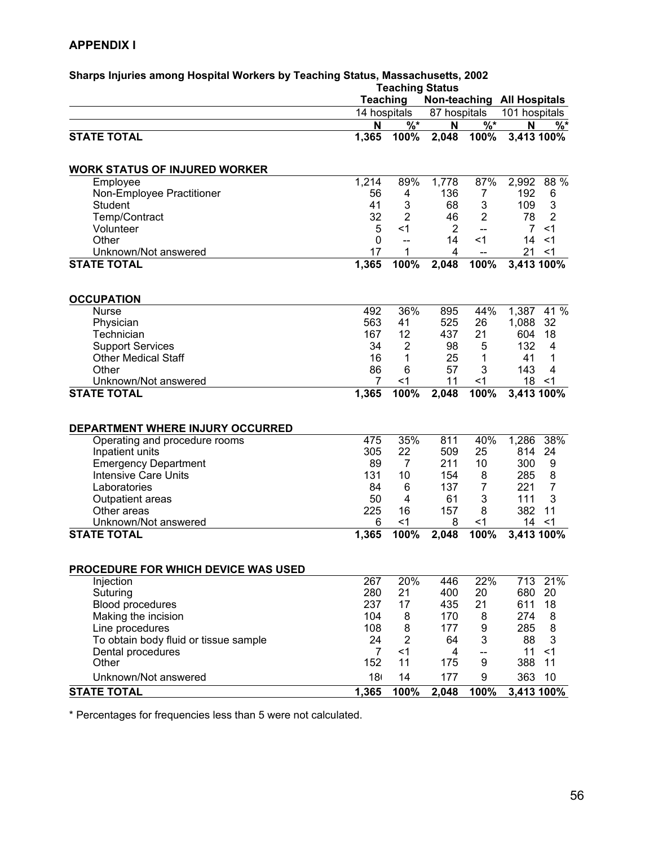#### **APPENDIX I**

|                                       | <b>Teaching Status</b> |                |              |                          |                                   |                |
|---------------------------------------|------------------------|----------------|--------------|--------------------------|-----------------------------------|----------------|
|                                       | <b>Teaching</b>        |                |              |                          | <b>Non-teaching All Hospitals</b> |                |
|                                       | 14 hospitals           |                | 87 hospitals |                          | 101 hospitals                     |                |
|                                       | N                      | $%$ *          | N            | $\overline{\frac{9}{6}}$ | N                                 | $%^*$          |
| <b>STATE TOTAL</b>                    | 1,365                  | 100%           | 2,048        | 100%                     | 3,413 100%                        |                |
| <b>WORK STATUS OF INJURED WORKER</b>  |                        |                |              |                          |                                   |                |
| Employee                              | 1,214                  | 89%            | 1,778        | 87%                      | 2,992                             | 88 %           |
| Non-Employee Practitioner             | 56                     | 4              | 136          | 7                        | 192                               | 6              |
| <b>Student</b>                        | 41                     | 3              | 68           | 3                        | 109                               | 3              |
| Temp/Contract                         | 32                     | $\overline{2}$ | 46           | $\overline{2}$           | 78                                | $\overline{2}$ |
| Volunteer                             | 5                      | $<$ 1          | 2            | $\overline{\phantom{a}}$ | $\overline{7}$                    | $<$ 1          |
| Other                                 | $\mathbf{0}$           | $-$            | 14           | $<$ 1                    | 14                                | $<$ 1          |
| Unknown/Not answered                  | 17                     | 1              | 4            | $\overline{\phantom{a}}$ | 21                                | $<$ 1          |
| <b>STATE TOTAL</b>                    | 1,365                  | 100%           | 2,048        | 100%                     | 3,413 100%                        |                |
| <b>OCCUPATION</b>                     |                        |                |              |                          |                                   |                |
| <b>Nurse</b>                          | 492                    | 36%            | 895          | 44%                      | 1,387                             | 41 %           |
| Physician                             | 563                    | 41             | 525          | 26                       | 1,088                             | 32             |
| Technician                            | 167                    | 12             | 437          | 21                       | 604                               | 18             |
| <b>Support Services</b>               | 34                     | $\overline{2}$ | 98           | 5                        | 132                               | 4              |
| <b>Other Medical Staff</b>            | 16                     | 1              | 25           | 1                        | 41                                | 1              |
| Other                                 | 86                     | 6              | 57           | 3                        | 143                               | $\overline{4}$ |
| Unknown/Not answered                  | 7                      | <1             | 11           | $<$ 1                    | 18                                | $<$ 1          |
| <b>STATE TOTAL</b>                    | 1,365                  | 100%           | 2,048        | 100%                     | 3,413 100%                        |                |
| DEPARTMENT WHERE INJURY OCCURRED      |                        |                |              |                          |                                   |                |
| Operating and procedure rooms         | 475                    | 35%            | 811          | 40%                      | 1,286                             | 38%            |
| Inpatient units                       | 305                    | 22             | 509          | 25                       | 814                               | 24             |
| <b>Emergency Department</b>           | 89                     | $\overline{7}$ | 211          | 10                       | 300                               | 9              |
| <b>Intensive Care Units</b>           | 131                    | 10             | 154          | 8                        | 285                               | 8              |
| Laboratories                          | 84                     | 6              | 137          | 7                        | 221                               | $\overline{7}$ |
| Outpatient areas                      | 50                     | $\overline{4}$ | 61           | 3                        | 111                               | 3              |
| Other areas                           | 225                    | 16             | 157          | 8                        | 382                               | 11             |
| Unknown/Not answered                  | 6                      | <1             | 8            | $<$ 1                    | 14                                | $<$ 1          |
| <b>STATE TOTAL</b>                    | 1,365                  | 100%           | 2,048        | 100%                     | 3,413 100%                        |                |
| PROCEDURE FOR WHICH DEVICE WAS USED   |                        |                |              |                          |                                   |                |
|                                       | 267                    | 20%            | 446          | 22%                      | 713                               | 21%            |
| Injection<br>Suturing                 | 280                    | 21             | 400          | 20                       | 680                               | 20             |
| <b>Blood procedures</b>               | 237                    | 17             | 435          | 21                       | 611                               | 18             |
| Making the incision                   | 104                    | 8              | 170          | 8                        | 274                               | 8              |
| Line procedures                       | 108                    | 8              | 177          | 9                        | 285                               | 8              |
| To obtain body fluid or tissue sample | 24                     | $\overline{2}$ | 64           | 3                        | 88                                | 3              |
| Dental procedures                     | $\overline{7}$         | $<$ 1          | 4            | --                       | 11                                | < 1            |
| Other                                 | 152                    | 11             | 175          | 9                        | 388                               | 11             |
| Unknown/Not answered                  |                        |                |              |                          |                                   |                |
|                                       | 18 <sub>1</sub>        | 14             | 177          | 9                        | 363                               | 10             |
| <b>STATE TOTAL</b>                    | 1,365                  | 100%           | 2,048        | 100%                     | 3,413 100%                        |                |

# **Sharps Injuries among Hospital Workers by Teaching Status, Massachusetts, 2002**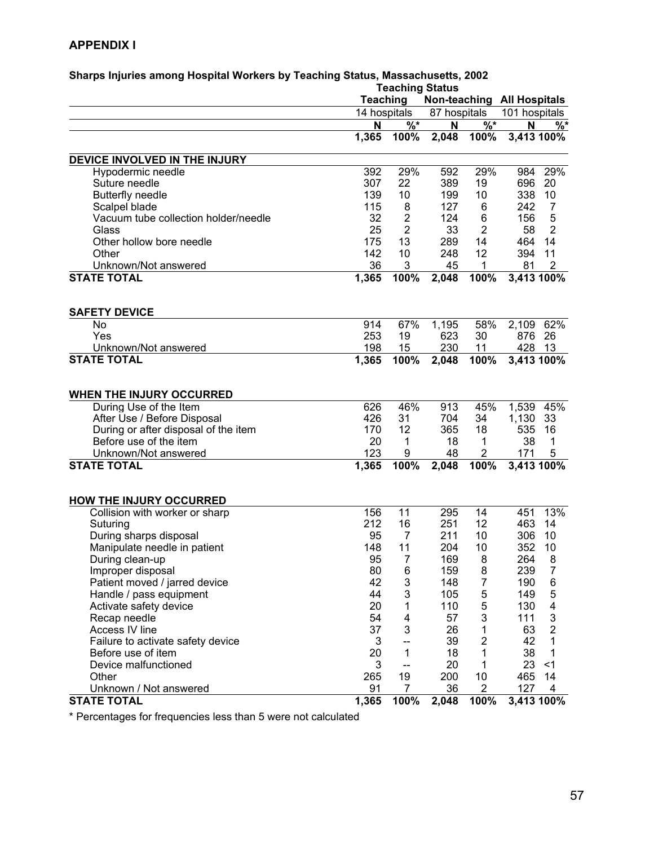#### **APPENDIX I**

|                                      |                 | <b>Teaching Status</b> |                            |                         |               |                           |  |
|--------------------------------------|-----------------|------------------------|----------------------------|-------------------------|---------------|---------------------------|--|
|                                      | <b>Teaching</b> |                        | Non-teaching All Hospitals |                         |               |                           |  |
|                                      | 14 hospitals    |                        | 87 hospitals               |                         | 101 hospitals |                           |  |
|                                      | N               | $%^*$                  | N                          | $\frac{9}{6}$ *         | N             | %                         |  |
|                                      | 1,365           | 100%                   | 2,048                      | 100%                    | 3,413 100%    |                           |  |
| DEVICE INVOLVED IN THE INJURY        |                 |                        |                            |                         |               |                           |  |
| Hypodermic needle                    | 392             | 29%                    | 592                        | 29%                     | 984           | 29%                       |  |
| Suture needle                        | 307             | 22                     | 389                        | 19                      | 696           | 20                        |  |
| <b>Butterfly needle</b>              | 139             | 10                     | 199                        | 10                      | 338           | 10                        |  |
| Scalpel blade                        | 115             | 8                      | 127                        | 6                       | 242           | $\overline{7}$            |  |
| Vacuum tube collection holder/needle | 32              | $\overline{2}$         | 124                        | 6                       | 156           | 5                         |  |
| Glass                                | 25              | $\overline{2}$         | 33                         | $\overline{2}$          | 58            | $\overline{2}$            |  |
| Other hollow bore needle             | 175             | 13                     | 289                        | 14                      | 464           | 14                        |  |
| Other                                | 142             | 10                     | 248                        | 12                      | 394           | 11                        |  |
| Unknown/Not answered                 | 36              | 3                      | 45                         | 1                       | 81            | $\overline{2}$            |  |
| <b>STATE TOTAL</b>                   | 1,365           | 100%                   | 2,048                      | 100%                    | 3,413 100%    |                           |  |
|                                      |                 |                        |                            |                         |               |                           |  |
| <b>SAFETY DEVICE</b>                 |                 |                        |                            |                         |               |                           |  |
| <b>No</b><br>Yes                     | 914             | 67%                    | 1,195<br>623               | 58%                     | 2,109         | 62%                       |  |
|                                      | 253<br>198      | 19<br>15               | 230                        | 30                      | 876<br>428    | 26<br>13                  |  |
| Unknown/Not answered                 |                 |                        |                            | 11                      |               |                           |  |
| <b>STATE TOTAL</b>                   | 1,365           | 100%                   | 2,048                      | 100%                    | 3,413 100%    |                           |  |
| WHEN THE INJURY OCCURRED             |                 |                        |                            |                         |               |                           |  |
| During Use of the Item               | 626             | 46%                    | 913                        | 45%                     | 1,539         | 45%                       |  |
| After Use / Before Disposal          | 426             | 31                     | 704                        | 34                      | 1,130         | 33                        |  |
| During or after disposal of the item | 170             | 12                     | 365                        | 18                      | 535           | 16                        |  |
| Before use of the item               | 20              | 1                      | 18                         | 1                       | 38            | 1                         |  |
| Unknown/Not answered                 | 123             | 9                      | 48                         | $\overline{\mathbf{c}}$ | 171           | 5                         |  |
| <b>STATE TOTAL</b>                   | 1,365           | 100%                   | 2,048                      | 100%                    | $3,413$ 100%  |                           |  |
|                                      |                 |                        |                            |                         |               |                           |  |
| <b>HOW THE INJURY OCCURRED</b>       |                 |                        |                            |                         |               |                           |  |
| Collision with worker or sharp       | 156             | 11                     | 295                        | 14                      | 451           | 13%                       |  |
| Suturing                             | 212             | 16                     | 251                        | 12                      | 463           | 14                        |  |
| During sharps disposal               | 95              | $\overline{7}$         | 211                        | 10                      | 306           | 10                        |  |
| Manipulate needle in patient         | 148             | 11                     | 204                        | 10                      | 352           | 10                        |  |
| During clean-up                      | 95              | $\overline{7}$         | 169                        | 8                       | 264           | 8                         |  |
| Improper disposal                    | 80              | 6                      | 159                        | 8                       | 239           | $\overline{7}$            |  |
| Patient moved / jarred device        | 42              | 3                      | 148                        | 7                       | 190           | 6                         |  |
| Handle / pass equipment              | 44              | 3                      | 105                        | 5                       | 149           | 5                         |  |
| Activate safety device               | 20              | 1                      | 110                        | 5                       | 130           | $\overline{\mathbf{4}}$   |  |
| Recap needle                         | 54              | 4                      | 57                         | 3                       | 111           | $\ensuremath{\mathsf{3}}$ |  |
| Access IV line                       | 37              | 3                      | 26                         | 1                       | 63            | $\overline{2}$            |  |
| Failure to activate safety device    | 3               | --                     | 39                         | $\overline{c}$          | 42            | 1                         |  |
| Before use of item                   | 20              | 1                      | 18                         | 1                       | 38            | 1                         |  |
| Device malfunctioned                 | 3               | --                     | 20                         | 1                       | 23            | $<$ 1                     |  |
| Other                                | 265             | 19                     | 200                        | 10                      | 465           | 14                        |  |
| Unknown / Not answered               | 91              | 7                      | 36                         | 2                       | 127           | 4                         |  |
| <b>STATE TOTAL</b>                   | 1,365           | 100%                   | 2,048                      | 100%                    |               | 3,413 100%                |  |

# **Sharps Injuries among Hospital Workers by Teaching Status, Massachusetts, 2002**